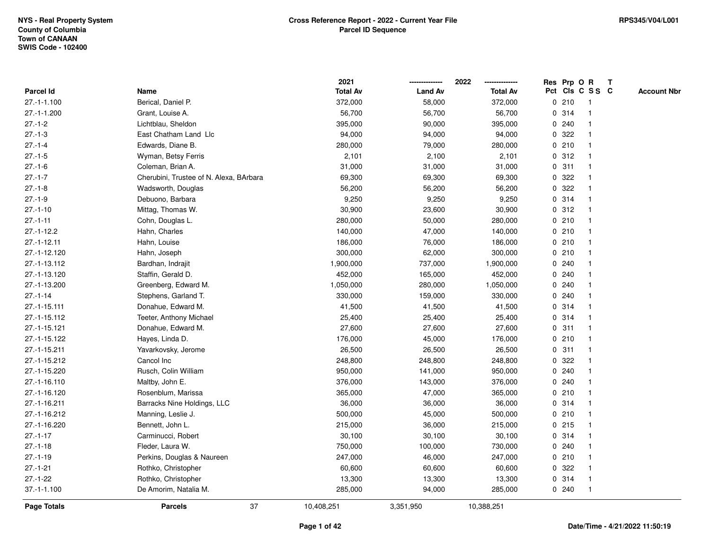|                    |                                         | 2021            |                | 2022            |              |         | Res Prp O R     | $\mathbf{T}$ |                    |
|--------------------|-----------------------------------------|-----------------|----------------|-----------------|--------------|---------|-----------------|--------------|--------------------|
| Parcel Id          | Name                                    | <b>Total Av</b> | <b>Land Av</b> | <b>Total Av</b> |              |         | Pct Cls C S S C |              | <b>Account Nbr</b> |
| 27.-1-1.100        | Berical, Daniel P.                      | 372,000         | 58,000         | 372,000         |              | 0210    | 1               |              |                    |
| $27.-1-1.200$      | Grant, Louise A.                        | 56,700          | 56,700         | 56,700          |              | 0.314   |                 |              |                    |
| $27 - 1 - 2$       | Lichtblau, Sheldon                      | 395,000         | 90,000         | 395,000         |              | 0.240   |                 |              |                    |
| $27.-1-3$          | East Chatham Land Llc                   | 94,000          | 94,000         | 94,000          | $\mathbf{0}$ | 322     | 1               |              |                    |
| $27 - 1 - 4$       | Edwards, Diane B.                       | 280,000         | 79,000         | 280,000         | 0            | 210     | -1              |              |                    |
| $27.-1-5$          | Wyman, Betsy Ferris                     | 2,101           | 2,100          | 2,101           |              | 0.312   | 1               |              |                    |
| $27.-1-6$          | Coleman, Brian A.                       | 31,000          | 31,000         | 31,000          |              | 0.311   |                 |              |                    |
| $27 - 1 - 7$       | Cherubini, Trustee of N. Alexa, BArbara | 69,300          | 69,300         | 69,300          |              | 0.322   |                 |              |                    |
| $27.-1-8$          | Wadsworth, Douglas                      | 56,200          | 56,200         | 56,200          |              | 0.322   |                 |              |                    |
| $27.-1-9$          | Debuono, Barbara                        | 9,250           | 9,250          | 9,250           | 0            | 314     | -1              |              |                    |
| $27.-1-10$         | Mittag, Thomas W.                       | 30,900          | 23,600         | 30,900          |              | 0.312   | $\overline{1}$  |              |                    |
| $27. - 1 - 11$     | Cohn, Douglas L.                        | 280,000         | 50,000         | 280,000         |              | 0210    | $\mathbf 1$     |              |                    |
| $27.-1-12.2$       | Hahn, Charles                           | 140,000         | 47,000         | 140,000         |              | 0210    |                 |              |                    |
| $27. - 1 - 12.11$  | Hahn, Louise                            | 186,000         | 76,000         | 186,000         |              | 0210    |                 |              |                    |
| 27.-1-12.120       | Hahn, Joseph                            | 300,000         | 62,000         | 300,000         |              | 0210    |                 |              |                    |
| 27.-1-13.112       | Bardhan, Indrajit                       | 1,900,000       | 737,000        | 1,900,000       |              | 0.240   |                 |              |                    |
| 27.-1-13.120       | Staffin, Gerald D.                      | 452,000         | 165,000        | 452,000         | 0            | 240     |                 |              |                    |
| 27.-1-13.200       | Greenberg, Edward M.                    | 1,050,000       | 280,000        | 1,050,000       | $\mathbf{0}$ | 240     | $\mathbf 1$     |              |                    |
| $27 - 1 - 14$      | Stephens, Garland T.                    | 330,000         | 159,000        | 330,000         |              | 0.240   |                 |              |                    |
| 27.-1-15.111       | Donahue, Edward M.                      | 41,500          | 41,500         | 41,500          |              | 0.314   |                 |              |                    |
| 27.-1-15.112       | Teeter, Anthony Michael                 | 25,400          | 25,400         | 25,400          |              | 0.314   |                 |              |                    |
| 27.-1-15.121       | Donahue, Edward M.                      | 27,600          | 27,600         | 27,600          |              | 0.311   | -1              |              |                    |
| 27.-1-15.122       | Hayes, Linda D.                         | 176,000         | 45,000         | 176,000         | 0            | 210     | $\mathbf 1$     |              |                    |
| 27.-1-15.211       | Yavarkovsky, Jerome                     | 26,500          | 26,500         | 26,500          | $\mathbf 0$  | 311     | $\overline{1}$  |              |                    |
| 27.-1-15.212       | Cancol Inc                              | 248,800         | 248,800        | 248,800         |              | 0.322   |                 |              |                    |
| 27.-1-15.220       | Rusch, Colin William                    | 950,000         | 141,000        | 950,000         |              | 0.240   |                 |              |                    |
| 27.-1-16.110       | Maltby, John E.                         | 376,000         | 143,000        | 376,000         |              | 0.240   |                 |              |                    |
| 27.-1-16.120       | Rosenblum, Marissa                      | 365,000         | 47,000         | 365,000         |              | 0210    |                 |              |                    |
| 27.-1-16.211       | Barracks Nine Holdings, LLC             | 36,000          | 36,000         | 36,000          |              | 0.314   |                 |              |                    |
| 27.-1-16.212       | Manning, Leslie J.                      | 500,000         | 45,000         | 500,000         | $\mathbf 0$  | 210     | $\mathbf{1}$    |              |                    |
| 27.-1-16.220       | Bennett, John L.                        | 215,000         | 36,000         | 215,000         |              | $0$ 215 | -1              |              |                    |
| $27 - 1 - 17$      | Carminucci, Robert                      | 30,100          | 30,100         | 30,100          |              | 0.314   | -1              |              |                    |
| $27.-1-18$         | Fleder, Laura W.                        | 750,000         | 100,000        | 730,000         |              | 0.240   |                 |              |                    |
| $27 - 1 - 19$      | Perkins, Douglas & Naureen              | 247,000         | 46,000         | 247,000         |              | 0210    |                 |              |                    |
| $27.-1-21$         | Rothko, Christopher                     | 60,600          | 60,600         | 60,600          |              | 0 322   |                 |              |                    |
| $27.-1-22$         | Rothko, Christopher                     | 13,300          | 13,300         | 13,300          | 0            | 314     | -1              |              |                    |
| $37.-1-1.100$      | De Amorim, Natalia M.                   | 285,000         | 94,000         | 285,000         |              | 0.240   | $\mathbf{1}$    |              |                    |
| <b>Page Totals</b> | 37<br><b>Parcels</b>                    | 10,408,251      | 3,351,950      | 10,388,251      |              |         |                 |              |                    |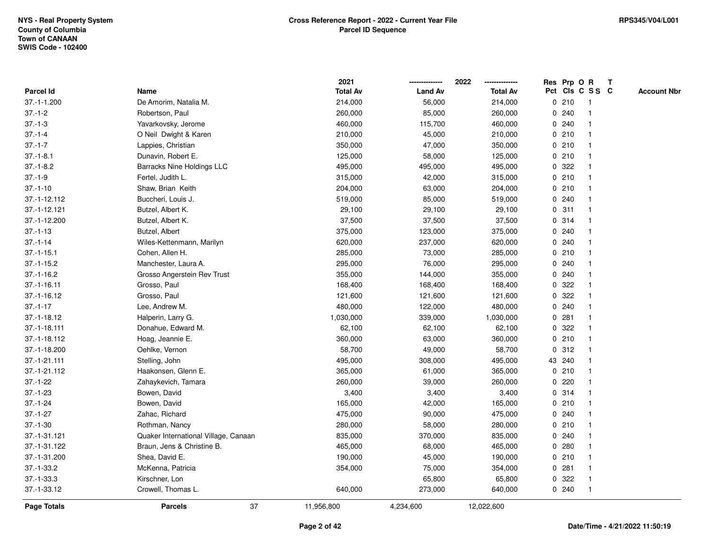|                    |                                      | 2021            | -------------  | 2022<br>--------------- | Res Prp O R  |                 |              | T |                    |
|--------------------|--------------------------------------|-----------------|----------------|-------------------------|--------------|-----------------|--------------|---|--------------------|
| <b>Parcel Id</b>   | Name                                 | <b>Total Av</b> | <b>Land Av</b> | <b>Total Av</b>         |              | Pct Cls C S S C |              |   | <b>Account Nbr</b> |
| 37.-1-1.200        | De Amorim, Natalia M.                | 214,000         | 56,000         | 214,000                 |              | 0210            | -1           |   |                    |
| $37 - 1 - 2$       | Robertson, Paul                      | 260,000         | 85,000         | 260,000                 |              | 0.240           |              |   |                    |
| $37 - 1 - 3$       | Yavarkovsky, Jerome                  | 460,000         | 115,700        | 460,000                 |              | 0.240           |              |   |                    |
| $37 - 1 - 4$       | O Neil Dwight & Karen                | 210,000         | 45,000         | 210,000                 |              | 0210            | -1           |   |                    |
| $37 - 1 - 7$       | Lappies, Christian                   | 350,000         | 47,000         | 350,000                 |              | 0210            | $\mathbf{1}$ |   |                    |
| $37.-1-8.1$        | Dunavin, Robert E.                   | 125,000         | 58,000         | 125,000                 |              | 0210            | $\mathbf 1$  |   |                    |
| $37.-1-8.2$        | <b>Barracks Nine Holdings LLC</b>    | 495,000         | 495,000        | 495,000                 |              | 0.322           |              |   |                    |
| $37 - 1 - 9$       | Fertel, Judith L.                    | 315,000         | 42,000         | 315,000                 |              | 0210            |              |   |                    |
| $37.-1-10$         | Shaw, Brian Keith                    | 204,000         | 63,000         | 204,000                 |              | 0210            |              |   |                    |
| 37.-1-12.112       | Buccheri, Louis J.                   | 519,000         | 85,000         | 519,000                 |              | 0.240           |              |   |                    |
| 37.-1-12.121       | Butzel, Albert K.                    | 29,100          | 29,100         | 29,100                  | $\mathbf 0$  | 311             | 1            |   |                    |
| 37.-1-12.200       | Butzel, Albert K.                    | 37,500          | 37,500         | 37,500                  |              | 0.314           | 1            |   |                    |
| $37 - 1 - 13$      | Butzel, Albert                       | 375,000         | 123,000        | 375,000                 |              | 0.240           | 1            |   |                    |
| $37 - 1 - 14$      | Wiles-Kettenmann, Marilyn            | 620,000         | 237,000        | 620,000                 |              | 0.240           |              |   |                    |
| $37 - 1 - 15.1$    | Cohen, Allen H.                      | 285,000         | 73,000         | 285,000                 |              | 0210            |              |   |                    |
| $37.-1-15.2$       | Manchester, Laura A.                 | 295,000         | 76,000         | 295,000                 |              | 0.240           |              |   |                    |
| $37.-1-16.2$       | Grosso Angerstein Rev Trust          | 355,000         | 144,000        | 355,000                 | 0            | 240             |              |   |                    |
| $37 - 1 - 16.11$   | Grosso, Paul                         | 168,400         | 168,400        | 168,400                 | 0            | 322             |              |   |                    |
| $37.-1-16.12$      | Grosso, Paul                         | 121,600         | 121,600        | 121,600                 |              | 0 322           |              |   |                    |
| $37 - 1 - 17$      | Lee, Andrew M.                       | 480,000         | 122,000        | 480,000                 |              | 0.240           |              |   |                    |
| 37.-1-18.12        | Halperin, Larry G.                   | 1,030,000       | 339,000        | 1,030,000               |              | 0.281           |              |   |                    |
| 37.-1-18.111       | Donahue, Edward M.                   | 62,100          | 62,100         | 62,100                  |              | 0.322           |              |   |                    |
| 37.-1-18.112       | Hoag, Jeannie E.                     | 360,000         | 63,000         | 360,000                 | $\mathbf{0}$ | 210             |              |   |                    |
| 37.-1-18.200       | Oehlke, Vernon                       | 58,700          | 49,000         | 58,700                  | $\mathbf{0}$ | 312             | -1           |   |                    |
| 37.-1-21.111       | Stelling, John                       | 495,000         | 308,000        | 495,000                 |              | 43 240          | $\mathbf{1}$ |   |                    |
| 37.-1-21.112       | Haakonsen, Glenn E.                  | 365,000         | 61,000         | 365,000                 |              | 0210            |              |   |                    |
| $37.-1-22$         | Zahaykevich, Tamara                  | 260,000         | 39,000         | 260,000                 |              | 0.220           |              |   |                    |
| $37.-1-23$         | Bowen, David                         | 3,400           | 3,400          | 3,400                   |              | 0.314           |              |   |                    |
| $37.-1-24$         | Bowen, David                         | 165,000         | 42,000         | 165,000                 |              | 0210            |              |   |                    |
| $37.-1-27$         | Zahac, Richard                       | 475,000         | 90,000         | 475,000                 | 0            | 240             |              |   |                    |
| $37.-1-30$         | Rothman, Nancy                       | 280,000         | 58,000         | 280,000                 | 0            | 210             | $\mathbf{1}$ |   |                    |
| 37.-1-31.121       | Quaker International Village, Canaan | 835,000         | 370,000        | 835,000                 |              | 0.240           | $\mathbf 1$  |   |                    |
| 37.-1-31.122       | Braun, Jens & Christine B.           | 465,000         | 68,000         | 465,000                 |              | 0.280           |              |   |                    |
| 37.-1-31.200       | Shea, David E.                       | 190,000         | 45,000         | 190,000                 |              | 0210            |              |   |                    |
| $37.-1-33.2$       | McKenna, Patricia                    | 354,000         | 75,000         | 354,000                 |              | 0.281           |              |   |                    |
| $37.-1-33.3$       | Kirschner, Lon                       |                 | 65,800         | 65,800                  | 0            | 322             | -1           |   |                    |
| 37.-1-33.12        | Crowell, Thomas L.                   | 640,000         | 273,000        | 640,000                 |              | 0.240           | $\mathbf{1}$ |   |                    |
| <b>Page Totals</b> | 37<br><b>Parcels</b>                 | 11,956,800      | 4,234,600      | 12,022,600              |              |                 |              |   |                    |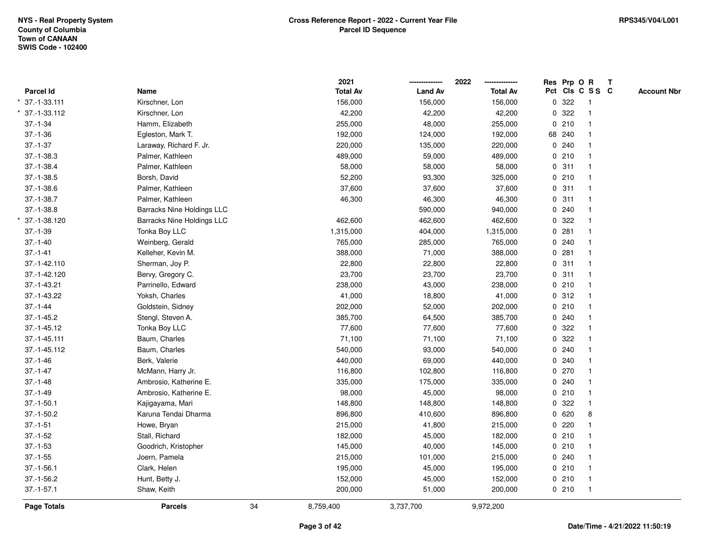|                 |                                   |    | 2021            |                | 2022            | Res Prp O R |                         | T |                    |
|-----------------|-----------------------------------|----|-----------------|----------------|-----------------|-------------|-------------------------|---|--------------------|
| Parcel Id       | Name                              |    | <b>Total Av</b> | <b>Land Av</b> | <b>Total Av</b> |             | Pct Cls C S S C         |   | <b>Account Nbr</b> |
| 37.-1-33.111    | Kirschner, Lon                    |    | 156,000         | 156,000        | 156,000         | 0.322       | $\overline{1}$          |   |                    |
| 37.-1-33.112    | Kirschner, Lon                    |    | 42,200          | 42,200         | 42,200          | 0.322       | $\overline{\mathbf{1}}$ |   |                    |
| $37.-1-34$      | Hamm, Elizabeth                   |    | 255,000         | 48,000         | 255,000         | 0210        | $\mathbf{1}$            |   |                    |
| $37.-1-36$      | Egleston, Mark T.                 |    | 192,000         | 124,000        | 192,000         | 68 240      |                         |   |                    |
| $37 - 1 - 37$   | Laraway, Richard F. Jr.           |    | 220,000         | 135,000        | 220,000         | 0.240       |                         |   |                    |
| $37 - 1 - 38.3$ | Palmer, Kathleen                  |    | 489,000         | 59,000         | 489,000         | 0210        |                         |   |                    |
| $37.-1-38.4$    | Palmer, Kathleen                  |    | 58,000          | 58,000         | 58,000          | 0.311       | $\overline{\mathbf{1}}$ |   |                    |
| $37.-1-38.5$    | Borsh, David                      |    | 52,200          | 93,300         | 325,000         | 0210        | $\mathbf{1}$            |   |                    |
| $37.-1-38.6$    | Palmer, Kathleen                  |    | 37,600          | 37,600         | 37,600          | 0.311       | $\overline{1}$          |   |                    |
| $37 - 1 - 38.7$ | Palmer, Kathleen                  |    | 46,300          | 46,300         | 46,300          | 0.311       | $\mathbf{1}$            |   |                    |
| $37.-1-38.8$    | <b>Barracks Nine Holdings LLC</b> |    |                 | 590,000        | 940,000         | 0.240       |                         |   |                    |
| 37.-1-38.120    | <b>Barracks Nine Holdings LLC</b> |    | 462,600         | 462,600        | 462,600         | 0.322       |                         |   |                    |
| $37.-1-39$      | Tonka Boy LLC                     |    | 1,315,000       | 404,000        | 1,315,000       | 0.281       |                         |   |                    |
| $37.-1-40$      | Weinberg, Gerald                  |    | 765,000         | 285,000        | 765,000         | 0.240       |                         |   |                    |
| $37.-1-41$      | Kelleher, Kevin M.                |    | 388,000         | 71,000         | 388,000         | 0.281       | $\overline{\mathbf{1}}$ |   |                    |
| 37.-1-42.110    | Sherman, Joy P.                   |    | 22,800          | 22,800         | 22,800          | 0.311       | $\mathbf{1}$            |   |                    |
| 37.-1-42.120    | Bervy, Gregory C.                 |    | 23,700          | 23,700         | 23,700          | 0.311       | $\mathbf{1}$            |   |                    |
| 37.-1-43.21     | Parrinello, Edward                |    | 238,000         | 43,000         | 238,000         | 0210        |                         |   |                    |
| 37.-1-43.22     | Yoksh, Charles                    |    | 41,000          | 18,800         | 41,000          | 0.312       |                         |   |                    |
| $37 - 1 - 44$   | Goldstein, Sidney                 |    | 202,000         | 52,000         | 202,000         | 0210        |                         |   |                    |
| $37.-1-45.2$    | Stengl, Steven A.                 |    | 385,700         | 64,500         | 385,700         | $0$ 240     |                         |   |                    |
| 37.-1-45.12     | Tonka Boy LLC                     |    | 77,600          | 77,600         | 77,600          | 0 322       |                         |   |                    |
| 37.-1-45.111    | Baum, Charles                     |    | 71,100          | 71,100         | 71,100          | 0.322       |                         |   |                    |
| 37.-1-45.112    | Baum, Charles                     |    | 540,000         | 93,000         | 540,000         | 0.240       |                         |   |                    |
| $37.-1-46$      | Berk, Valerie                     |    | 440,000         | 69,000         | 440,000         | 0.240       |                         |   |                    |
| $37 - 1 - 47$   | McMann, Harry Jr.                 |    | 116,800         | 102,800        | 116,800         | 0270        |                         |   |                    |
| $37.-1-48$      | Ambrosio, Katherine E.            |    | 335,000         | 175,000        | 335,000         | 0.240       |                         |   |                    |
| $37 - 1 - 49$   | Ambrosio, Katherine E.            |    | 98,000          | 45,000         | 98,000          | 0210        |                         |   |                    |
| $37.-1-50.1$    | Kajigayama, Mari                  |    | 148,800         | 148,800        | 148,800         | 0.322       | $\overline{\mathbf{1}}$ |   |                    |
| $37.-1-50.2$    | Karuna Tendai Dharma              |    | 896,800         | 410,600        | 896,800         | 0620        | 8                       |   |                    |
| $37.-1-51$      | Howe, Bryan                       |    | 215,000         | 41,800         | 215,000         | 0220        |                         |   |                    |
| $37.-1-52$      | Stall, Richard                    |    | 182,000         | 45,000         | 182,000         | 0210        |                         |   |                    |
| $37.-1-53$      | Goodrich, Kristopher              |    | 145,000         | 40,000         | 145,000         | 0210        |                         |   |                    |
| $37.-1-55$      | Joern, Pamela                     |    | 215,000         | 101,000        | 215,000         | 0.240       |                         |   |                    |
| $37.-1-56.1$    | Clark, Helen                      |    | 195,000         | 45,000         | 195,000         | 0210        |                         |   |                    |
| $37.-1-56.2$    | Hunt, Betty J.                    |    | 152,000         | 45,000         | 152,000         | 0210        | $\overline{\mathbf{1}}$ |   |                    |
| $37 - 1 - 57.1$ | Shaw, Keith                       |    | 200,000         | 51,000         | 200,000         | 0210        | $\overline{1}$          |   |                    |
| Page Totals     | <b>Parcels</b>                    | 34 | 8,759,400       | 3,737,700      | 9,972,200       |             |                         |   |                    |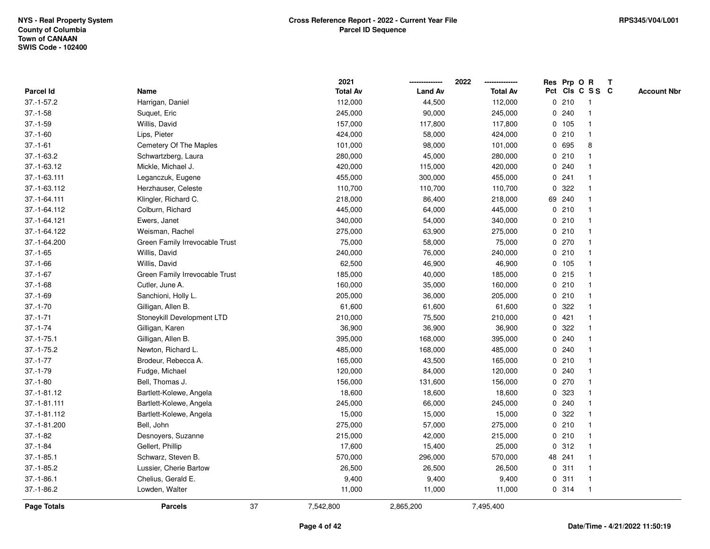|                  |                                |    | 2021            |                | 2022            |              | Res Prp O R |                         | Т |                    |
|------------------|--------------------------------|----|-----------------|----------------|-----------------|--------------|-------------|-------------------------|---|--------------------|
| Parcel Id        | Name                           |    | <b>Total Av</b> | <b>Land Av</b> | <b>Total Av</b> |              |             | Pct Cls C S S C         |   | <b>Account Nbr</b> |
| $37.-1-57.2$     | Harrigan, Daniel               |    | 112,000         | 44,500         | 112,000         |              | 0210        | $\mathbf{1}$            |   |                    |
| $37.-1-58$       | Suquet, Eric                   |    | 245,000         | 90,000         | 245,000         | 0            | 240         | -1                      |   |                    |
| $37.-1-59$       | Willis, David                  |    | 157,000         | 117,800        | 117,800         |              | 0, 105      | $\mathbf 1$             |   |                    |
| $37.-1-60$       | Lips, Pieter                   |    | 424,000         | 58,000         | 424,000         |              | 0210        | -1                      |   |                    |
| $37.-1-61$       | Cemetery Of The Maples         |    | 101,000         | 98,000         | 101,000         |              | 0 695       | 8                       |   |                    |
| $37.-1-63.2$     | Schwartzberg, Laura            |    | 280,000         | 45,000         | 280,000         |              | 0210        |                         |   |                    |
| 37.-1-63.12      | Mickle, Michael J.             |    | 420,000         | 115,000        | 420,000         |              | 0.240       |                         |   |                    |
| 37.-1-63.111     | Leganczuk, Eugene              |    | 455,000         | 300,000        | 455,000         | $\mathbf 0$  | 241         |                         |   |                    |
| 37.-1-63.112     | Herzhauser, Celeste            |    | 110,700         | 110,700        | 110,700         | 0            | 322         | -1                      |   |                    |
| 37.-1-64.111     | Klingler, Richard C.           |    | 218,000         | 86,400         | 218,000         |              | 69 240      | $\mathbf 1$             |   |                    |
| 37.-1-64.112     | Colburn, Richard               |    | 445,000         | 64,000         | 445,000         |              | 0210        |                         |   |                    |
| 37.-1-64.121     | Ewers, Janet                   |    | 340,000         | 54,000         | 340,000         |              | 0210        |                         |   |                    |
| 37.-1-64.122     | Weisman, Rachel                |    | 275,000         | 63,900         | 275,000         |              | 0210        |                         |   |                    |
| 37.-1-64.200     | Green Family Irrevocable Trust |    | 75,000          | 58,000         | 75,000          |              | 0270        |                         |   |                    |
| $37.-1-65$       | Willis, David                  |    | 240,000         | 76,000         | 240,000         |              | 0210        |                         |   |                    |
| $37 - 1 - 66$    | Willis, David                  |    | 62,500          | 46,900         | 46,900          |              | 0, 105      | $\mathbf{1}$            |   |                    |
| $37.-1-67$       | Green Family Irrevocable Trust |    | 185,000         | 40,000         | 185,000         |              | $0$ 215     | $\overline{\mathbf{1}}$ |   |                    |
| $37.-1-68$       | Cutler, June A.                |    | 160,000         | 35,000         | 160,000         |              | 0210        |                         |   |                    |
| $37.-1-69$       | Sanchioni, Holly L.            |    | 205,000         | 36,000         | 205,000         |              | 0210        |                         |   |                    |
| $37.-1-70$       | Gilligan, Allen B.             |    | 61,600          | 61,600         | 61,600          |              | 0.322       |                         |   |                    |
| $37.-1-71$       | Stoneykill Development LTD     |    | 210,000         | 75,500         | 210,000         |              | 0421        |                         |   |                    |
| $37 - 1 - 74$    | Gilligan, Karen                |    | 36,900          | 36,900         | 36,900          | $\mathbf{0}$ | 322         |                         |   |                    |
| $37.-1-75.1$     | Gilligan, Allen B.             |    | 395,000         | 168,000        | 395,000         |              | 0.240       |                         |   |                    |
| $37. - 1 - 75.2$ | Newton, Richard L.             |    | 485,000         | 168,000        | 485,000         |              | 0.240       | -1                      |   |                    |
| $37.-1-77$       | Brodeur, Rebecca A.            |    | 165,000         | 43,500         | 165,000         |              | 0210        | -1                      |   |                    |
| $37.-1-79$       | Fudge, Michael                 |    | 120,000         | 84,000         | 120,000         |              | 0.240       |                         |   |                    |
| $37.-1-80$       | Bell, Thomas J.                |    | 156,000         | 131,600        | 156,000         |              | 0270        |                         |   |                    |
| 37.-1-81.12      | Bartlett-Kolewe, Angela        |    | 18,600          | 18,600         | 18,600          |              | 0 323       |                         |   |                    |
| 37.-1-81.111     | Bartlett-Kolewe, Angela        |    | 245,000         | 66,000         | 245,000         |              | 0.240       |                         |   |                    |
| 37.-1-81.112     | Bartlett-Kolewe, Angela        |    | 15,000          | 15,000         | 15,000          | 0            | 322         | -1                      |   |                    |
| 37.-1-81.200     | Bell, John                     |    | 275,000         | 57,000         | 275,000         |              | 0210        | -1                      |   |                    |
| $37.-1-82$       | Desnoyers, Suzanne             |    | 215,000         | 42,000         | 215,000         |              | 0210        | $\mathbf 1$             |   |                    |
| $37 - 1 - 84$    | Gellert, Phillip               |    | 17,600          | 15,400         | 25,000          |              | 0.312       |                         |   |                    |
| $37.-1-85.1$     | Schwarz, Steven B.             |    | 570,000         | 296,000        | 570,000         |              | 48 241      |                         |   |                    |
| $37.-1-85.2$     | Lussier, Cherie Bartow         |    | 26,500          | 26,500         | 26,500          |              | 0.311       |                         |   |                    |
| $37.-1-86.1$     | Chelius, Gerald E.             |    | 9,400           | 9,400          | 9,400           |              | 0.311       | $\mathbf 1$             |   |                    |
| $37.-1-86.2$     | Lowden, Walter                 |    | 11,000          | 11,000         | 11,000          |              | 0.314       | $\mathbf{1}$            |   |                    |
| Page Totals      | <b>Parcels</b>                 | 37 | 7,542,800       | 2,865,200      | 7,495,400       |              |             |                         |   |                    |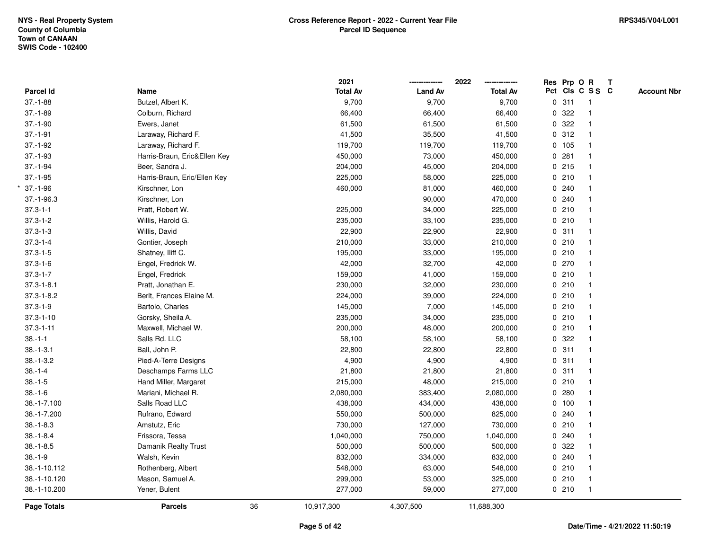|                  |                              |    | 2021            |                | 2022            | Res Prp O R |                 | $\mathbf{T}$ |                    |
|------------------|------------------------------|----|-----------------|----------------|-----------------|-------------|-----------------|--------------|--------------------|
| Parcel Id        | Name                         |    | <b>Total Av</b> | <b>Land Av</b> | <b>Total Av</b> |             | Pct Cls C S S C |              | <b>Account Nbr</b> |
| $37.-1-88$       | Butzel, Albert K.            |    | 9,700           | 9,700          | 9,700           | 0.311       | $\overline{1}$  |              |                    |
| $37.-1-89$       | Colburn, Richard             |    | 66,400          | 66,400         | 66,400          | 0.322       | $\mathbf{1}$    |              |                    |
| $37.-1-90$       | Ewers, Janet                 |    | 61,500          | 61,500         | 61,500          | 0.322       | $\mathbf{1}$    |              |                    |
| $37.-1-91$       | Laraway, Richard F.          |    | 41,500          | 35,500         | 41,500          | 0.312       |                 |              |                    |
| $37.-1-92$       | Laraway, Richard F.          |    | 119,700         | 119,700        | 119,700         | 0 105       |                 |              |                    |
| $37.-1-93$       | Harris-Braun, Eric&Ellen Key |    | 450,000         | 73,000         | 450,000         | 0.281       |                 |              |                    |
| $37 - 1 - 94$    | Beer, Sandra J.              |    | 204,000         | 45,000         | 204,000         | 0215        |                 |              |                    |
| $37.-1-95$       | Harris-Braun, Eric/Ellen Key |    | 225,000         | 58,000         | 225,000         | 0210        | $\mathbf{1}$    |              |                    |
| $37.-1-96$       | Kirschner, Lon               |    | 460,000         | 81,000         | 460,000         | 0.240       |                 |              |                    |
| $37.-1-96.3$     | Kirschner, Lon               |    |                 | 90,000         | 470,000         | 0.240       |                 |              |                    |
| $37.3 - 1 - 1$   | Pratt, Robert W.             |    | 225,000         | 34,000         | 225,000         | 0210        |                 |              |                    |
| $37.3 - 1 - 2$   | Willis, Harold G.            |    | 235,000         | 33,100         | 235,000         | 0210        |                 |              |                    |
| $37.3 - 1 - 3$   | Willis, David                |    | 22,900          | 22,900         | 22,900          | 0.311       |                 |              |                    |
| $37.3 - 1 - 4$   | Gontier, Joseph              |    | 210,000         | 33,000         | 210,000         | 0210        |                 |              |                    |
| $37.3 - 1 - 5$   | Shatney, Iliff C.            |    | 195,000         | 33,000         | 195,000         | 0210        | $\mathbf{1}$    |              |                    |
| $37.3 - 1 - 6$   | Engel, Fredrick W.           |    | 42,000          | 32,700         | 42,000          | 0270        | $\mathbf{1}$    |              |                    |
| $37.3 - 1 - 7$   | Engel, Fredrick              |    | 159,000         | 41,000         | 159,000         | 0210        | $\mathbf{1}$    |              |                    |
| $37.3 - 1 - 8.1$ | Pratt, Jonathan E.           |    | 230,000         | 32,000         | 230,000         | 0210        |                 |              |                    |
| $37.3 - 1 - 8.2$ | Berlt, Frances Elaine M.     |    | 224,000         | 39,000         | 224,000         | 0210        |                 |              |                    |
| $37.3 - 1 - 9$   | Bartolo, Charles             |    | 145,000         | 7,000          | 145,000         | 0210        |                 |              |                    |
| $37.3 - 1 - 10$  | Gorsky, Sheila A.            |    | 235,000         | 34,000         | 235,000         | 0210        |                 |              |                    |
| $37.3 - 1 - 11$  | Maxwell, Michael W.          |    | 200,000         | 48,000         | 200,000         | 0 210       | $\mathbf{1}$    |              |                    |
| $38 - 1 - 1$     | Salls Rd. LLC                |    | 58,100          | 58,100         | 58,100          | 0.322       |                 |              |                    |
| $38.-1-3.1$      | Ball, John P.                |    | 22,800          | 22,800         | 22,800          | 0.311       | $\mathbf{1}$    |              |                    |
| $38.-1-3.2$      | Pied-A-Terre Designs         |    | 4,900           | 4,900          | 4,900           | 0.311       |                 |              |                    |
| $38 - 1 - 4$     | Deschamps Farms LLC          |    | 21,800          | 21,800         | 21,800          | 0.311       |                 |              |                    |
| $38.-1-5$        | Hand Miller, Margaret        |    | 215,000         | 48,000         | 215,000         | 0210        |                 |              |                    |
| $38.-1-6$        | Mariani, Michael R.          |    | 2,080,000       | 383,400        | 2,080,000       | 0.280       |                 |              |                    |
| 38.-1-7.100      | Salls Road LLC               |    | 438,000         | 434,000        | 438,000         | 0 100       |                 |              |                    |
| 38.-1-7.200      | Rufrano, Edward              |    | 550,000         | 500,000        | 825,000         | 0.240       |                 |              |                    |
| $38. - 1 - 8.3$  | Amstutz, Eric                |    | 730,000         | 127,000        | 730,000         | 0210        | $\mathbf{1}$    |              |                    |
| $38.-1-8.4$      | Frissora, Tessa              |    | 1,040,000       | 750,000        | 1,040,000       | 0.240       |                 |              |                    |
| $38.-1-8.5$      | Damanik Realty Trust         |    | 500,000         | 500,000        | 500,000         | 0.322       |                 |              |                    |
| $38.-1-9$        | Walsh, Kevin                 |    | 832,000         | 334,000        | 832,000         | 0.240       |                 |              |                    |
| 38.-1-10.112     | Rothenberg, Albert           |    | 548,000         | 63,000         | 548,000         | 0210        |                 |              |                    |
| 38.-1-10.120     | Mason, Samuel A.             |    | 299,000         | 53,000         | 325,000         | 0210        | $\overline{1}$  |              |                    |
| 38.-1-10.200     | Yener, Bulent                |    | 277,000         | 59,000         | 277,000         | 0210        | $\mathbf{1}$    |              |                    |
| Page Totals      | <b>Parcels</b>               | 36 | 10,917,300      | 4,307,500      | 11,688,300      |             |                 |              |                    |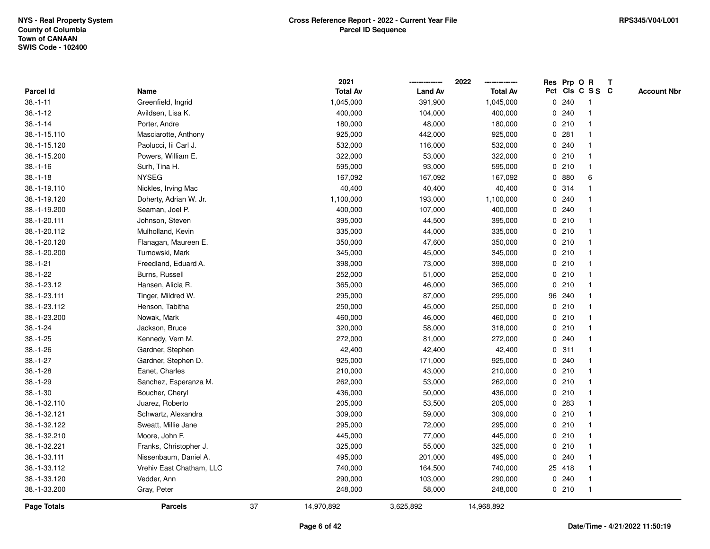|              |                          |    | 2021            |                | 2022            |             |        | Res Prp O R     | T |                    |
|--------------|--------------------------|----|-----------------|----------------|-----------------|-------------|--------|-----------------|---|--------------------|
| Parcel Id    | Name                     |    | <b>Total Av</b> | <b>Land Av</b> | <b>Total Av</b> |             |        | Pct Cls C S S C |   | <b>Account Nbr</b> |
| $38.-1-11$   | Greenfield, Ingrid       |    | 1,045,000       | 391,900        | 1,045,000       | 0           | 240    | -1              |   |                    |
| $38.-1-12$   | Avildsen, Lisa K.        |    | 400,000         | 104,000        | 400,000         | 0           | 240    | $\mathbf 1$     |   |                    |
| $38.-1-14$   | Porter, Andre            |    | 180,000         | 48,000         | 180,000         |             | 0210   | $\mathbf 1$     |   |                    |
| 38.-1-15.110 | Masciarotte, Anthony     |    | 925,000         | 442,000        | 925,000         |             | 0.281  |                 |   |                    |
| 38.-1-15.120 | Paolucci, lii Carl J.    |    | 532,000         | 116,000        | 532,000         |             | 0.240  |                 |   |                    |
| 38.-1-15.200 | Powers, William E.       |    | 322,000         | 53,000         | 322,000         |             | 0210   |                 |   |                    |
| $38.-1-16$   | Surh, Tina H.            |    | 595,000         | 93,000         | 595,000         |             | 0210   |                 |   |                    |
| $38.-1-18$   | <b>NYSEG</b>             |    | 167,092         | 167,092        | 167,092         | 0           | 880    | 6               |   |                    |
| 38.-1-19.110 | Nickles, Irving Mac      |    | 40,400          | 40,400         | 40,400          | 0           | 314    |                 |   |                    |
| 38.-1-19.120 | Doherty, Adrian W. Jr.   |    | 1,100,000       | 193,000        | 1,100,000       |             | 0.240  |                 |   |                    |
| 38.-1-19.200 | Seaman, Joel P.          |    | 400,000         | 107,000        | 400,000         |             | 0.240  |                 |   |                    |
| 38.-1-20.111 | Johnson, Steven          |    | 395,000         | 44,500         | 395,000         |             | 0210   |                 |   |                    |
| 38.-1-20.112 | Mulholland, Kevin        |    | 335,000         | 44,000         | 335,000         |             | 0210   |                 |   |                    |
| 38.-1-20.120 | Flanagan, Maureen E.     |    | 350,000         | 47,600         | 350,000         |             | 0210   |                 |   |                    |
| 38.-1-20.200 | Turnowski, Mark          |    | 345,000         | 45,000         | 345,000         | 0           | 210    |                 |   |                    |
| $38.-1-21$   | Freedland, Eduard A.     |    | 398,000         | 73,000         | 398,000         |             | 0210   | $\mathbf 1$     |   |                    |
| $38.-1-22$   | Burns, Russell           |    | 252,000         | 51,000         | 252,000         |             | 0210   | $\mathbf 1$     |   |                    |
| 38.-1-23.12  | Hansen, Alicia R.        |    | 365,000         | 46,000         | 365,000         |             | 0210   |                 |   |                    |
| 38.-1-23.111 | Tinger, Mildred W.       |    | 295,000         | 87,000         | 295,000         |             | 96 240 |                 |   |                    |
| 38.-1-23.112 | Henson, Tabitha          |    | 250,000         | 45,000         | 250,000         |             | 0210   |                 |   |                    |
| 38.-1-23.200 | Nowak, Mark              |    | 460,000         | 46,000         | 460,000         |             | 0210   |                 |   |                    |
| $38.-1-24$   | Jackson, Bruce           |    | 320,000         | 58,000         | 318,000         | $\mathbf 0$ | 210    |                 |   |                    |
| $38.-1-25$   | Kennedy, Vern M.         |    | 272,000         | 81,000         | 272,000         |             | 0.240  | $\mathbf{1}$    |   |                    |
| $38.-1-26$   | Gardner, Stephen         |    | 42,400          | 42,400         | 42,400          |             | 0.311  | $\mathbf 1$     |   |                    |
| $38.-1-27$   | Gardner, Stephen D.      |    | 925,000         | 171,000        | 925,000         |             | 0.240  |                 |   |                    |
| $38.-1-28$   | Eanet, Charles           |    | 210,000         | 43,000         | 210,000         |             | 0210   |                 |   |                    |
| $38.-1-29$   | Sanchez, Esperanza M.    |    | 262,000         | 53,000         | 262,000         |             | 0210   |                 |   |                    |
| $38.-1-30$   | Boucher, Cheryl          |    | 436,000         | 50,000         | 436,000         |             | 0210   |                 |   |                    |
| 38.-1-32.110 | Juarez, Roberto          |    | 205,000         | 53,500         | 205,000         | 0           | 283    |                 |   |                    |
| 38.-1-32.121 | Schwartz, Alexandra      |    | 309,000         | 59,000         | 309,000         | 0           | 210    | $\overline{1}$  |   |                    |
| 38.-1-32.122 | Sweatt, Millie Jane      |    | 295,000         | 72,000         | 295,000         |             | 0210   | $\mathbf{1}$    |   |                    |
| 38.-1-32.210 | Moore, John F.           |    | 445,000         | 77,000         | 445,000         |             | 0210   |                 |   |                    |
| 38.-1-32.221 | Franks, Christopher J.   |    | 325,000         | 55,000         | 325,000         |             | 0210   |                 |   |                    |
| 38.-1-33.111 | Nissenbaum, Daniel A.    |    | 495,000         | 201,000        | 495,000         | 0           | 240    |                 |   |                    |
| 38.-1-33.112 | Vrehiv East Chatham, LLC |    | 740,000         | 164,500        | 740,000         |             | 25 418 |                 |   |                    |
| 38.-1-33.120 | Vedder, Ann              |    | 290,000         | 103,000        | 290,000         |             | 0.240  | -1              |   |                    |
| 38.-1-33.200 | Gray, Peter              |    | 248,000         | 58,000         | 248,000         |             | 0210   | $\overline{1}$  |   |                    |
| Page Totals  | <b>Parcels</b>           | 37 | 14,970,892      | 3,625,892      | 14,968,892      |             |        |                 |   |                    |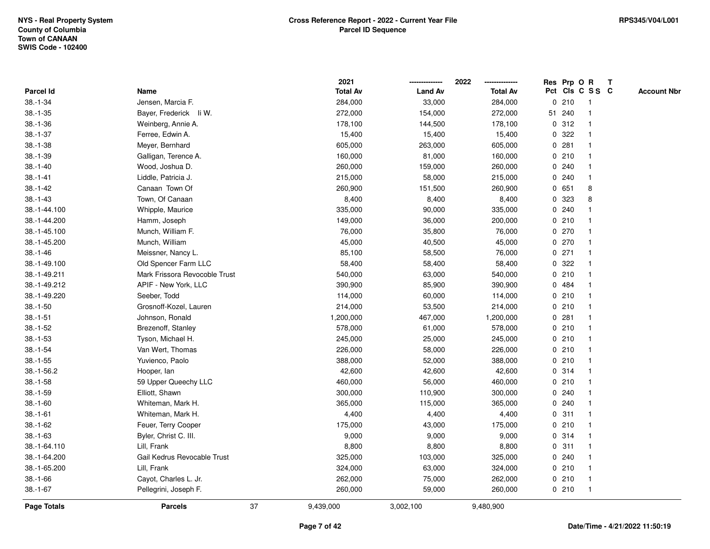|                    |                               |    | 2021            |                | 2022            |             |         | Res Prp O R     | $\mathbf{T}$       |
|--------------------|-------------------------------|----|-----------------|----------------|-----------------|-------------|---------|-----------------|--------------------|
| <b>Parcel Id</b>   | Name                          |    | <b>Total Av</b> | <b>Land Av</b> | <b>Total Av</b> |             |         | Pct Cls C S S C | <b>Account Nbr</b> |
| $38.-1-34$         | Jensen, Marcia F.             |    | 284,000         | 33,000         | 284,000         |             | 0210    |                 |                    |
| $38.-1-35$         | Bayer, Frederick li W.        |    | 272,000         | 154,000        | 272,000         |             | 51 240  |                 |                    |
| $38.-1-36$         | Weinberg, Annie A.            |    | 178,100         | 144,500        | 178,100         |             | 0.312   |                 |                    |
| $38.-1-37$         | Ferree, Edwin A.              |    | 15,400          | 15,400         | 15,400          | 0           | 322     |                 |                    |
| $38.-1-38$         | Meyer, Bernhard               |    | 605,000         | 263,000        | 605,000         | 0           | 281     |                 |                    |
| $38.-1-39$         | Galligan, Terence A.          |    | 160,000         | 81,000         | 160,000         |             | 0210    | -1              |                    |
| $38.-1-40$         | Wood, Joshua D.               |    | 260,000         | 159,000        | 260,000         |             | 0.240   |                 |                    |
| $38.-1-41$         | Liddle, Patricia J.           |    | 215,000         | 58,000         | 215,000         |             | 0.240   |                 |                    |
| $38.-1-42$         | Canaan Town Of                |    | 260,900         | 151,500        | 260,900         | 0           | 651     | 8               |                    |
| $38.-1-43$         | Town, Of Canaan               |    | 8,400           | 8,400          | 8,400           | 0           | 323     | 8               |                    |
| 38.-1-44.100       | Whipple, Maurice              |    | 335,000         | 90,000         | 335,000         |             | 0.240   |                 |                    |
| 38.-1-44.200       | Hamm, Joseph                  |    | 149,000         | 36,000         | 200,000         |             | 0210    |                 |                    |
| 38.-1-45.100       | Munch, William F.             |    | 76,000          | 35,800         | 76,000          |             | 0270    |                 |                    |
| 38.-1-45.200       | Munch, William                |    | 45,000          | 40,500         | 45,000          |             | 0270    |                 |                    |
| $38.-1-46$         | Meissner, Nancy L.            |    | 85,100          | 58,500         | 76,000          |             | $0$ 271 |                 |                    |
| 38.-1-49.100       | Old Spencer Farm LLC          |    | 58,400          | 58,400         | 58,400          | 0           | 322     |                 |                    |
| 38.-1-49.211       | Mark Frissora Revocoble Trust |    | 540,000         | 63,000         | 540,000         | $\mathbf 0$ | 210     |                 |                    |
| 38.-1-49.212       | APIF - New York, LLC          |    | 390,900         | 85,900         | 390,900         |             | 0 484   |                 |                    |
| 38.-1-49.220       | Seeber, Todd                  |    | 114,000         | 60,000         | 114,000         |             | 0210    | -1              |                    |
| $38.-1-50$         | Grosnoff-Kozel, Lauren        |    | 214,000         | 53,500         | 214,000         |             | 0210    |                 |                    |
| $38.-1-51$         | Johnson, Ronald               |    | 1,200,000       | 467,000        | 1,200,000       |             | 0.281   |                 |                    |
| $38.-1-52$         | Brezenoff, Stanley            |    | 578,000         | 61,000         | 578,000         |             | 0210    |                 |                    |
| $38.-1-53$         | Tyson, Michael H.             |    | 245,000         | 25,000         | 245,000         |             | 0210    |                 |                    |
| $38.-1-54$         | Van Wert, Thomas              |    | 226,000         | 58,000         | 226,000         |             | 0210    | $\mathbf{1}$    |                    |
| $38.-1-55$         | Yuvienco, Paolo               |    | 388,000         | 52,000         | 388,000         |             | 0210    |                 |                    |
| $38.-1-56.2$       | Hooper, lan                   |    | 42,600          | 42,600         | 42,600          |             | 0 314   | -1              |                    |
| $38.-1-58$         | 59 Upper Queechy LLC          |    | 460,000         | 56,000         | 460,000         |             | 0210    |                 |                    |
| $38.-1-59$         | Elliott, Shawn                |    | 300,000         | 110,900        | 300,000         |             | 0.240   |                 |                    |
| $38.-1-60$         | Whiteman, Mark H.             |    | 365,000         | 115,000        | 365,000         |             | 0.240   |                 |                    |
| $38.-1-61$         | Whiteman, Mark H.             |    | 4,400           | 4,400          | 4,400           | 0           | 311     |                 |                    |
| $38.-1-62$         | Feuer, Terry Cooper           |    | 175,000         | 43,000         | 175,000         | 0           | 210     | -1              |                    |
| $38.-1-63$         | Byler, Christ C. III.         |    | 9,000           | 9,000          | 9,000           |             | 0.314   | -1              |                    |
| 38.-1-64.110       | Lill, Frank                   |    | 8,800           | 8,800          | 8,800           |             | 0.311   |                 |                    |
| 38.-1-64.200       | Gail Kedrus Revocable Trust   |    | 325,000         | 103,000        | 325,000         |             | 0.240   |                 |                    |
| 38.-1-65.200       | Lill, Frank                   |    | 324,000         | 63,000         | 324,000         |             | 0210    |                 |                    |
| $38.-1-66$         | Cayot, Charles L. Jr.         |    | 262,000         | 75,000         | 262,000         |             | 0210    | $\mathbf 1$     |                    |
| $38.-1-67$         | Pellegrini, Joseph F.         |    | 260,000         | 59,000         | 260,000         |             | 0210    | -1              |                    |
| <b>Page Totals</b> | <b>Parcels</b>                | 37 | 9,439,000       | 3,002,100      | 9,480,900       |             |         |                 |                    |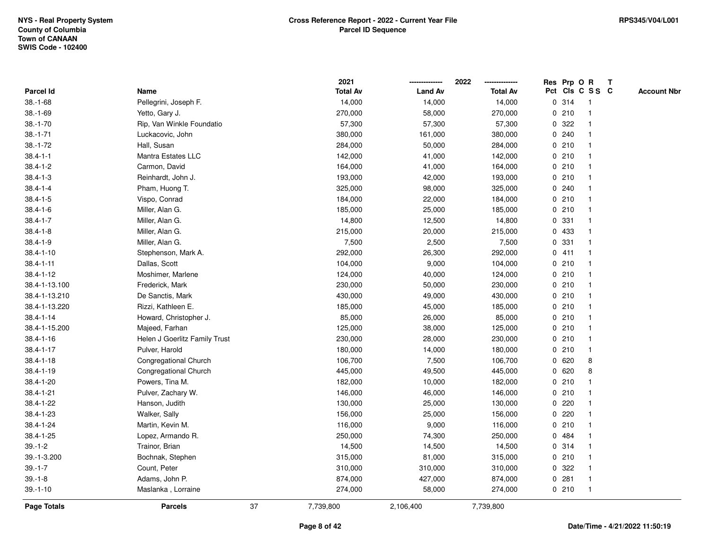|                    |                               |    | 2021            |                | 2022            |   |         | Res Prp O R     | Т |                    |
|--------------------|-------------------------------|----|-----------------|----------------|-----------------|---|---------|-----------------|---|--------------------|
| Parcel Id          | Name                          |    | <b>Total Av</b> | <b>Land Av</b> | <b>Total Av</b> |   |         | Pct Cls C S S C |   | <b>Account Nbr</b> |
| $38.-1-68$         | Pellegrini, Joseph F.         |    | 14,000          | 14,000         | 14,000          |   | 0 314   | $\mathbf{1}$    |   |                    |
| $38.-1-69$         | Yetto, Gary J.                |    | 270,000         | 58,000         | 270,000         |   | 0210    | $\mathbf{1}$    |   |                    |
| $38.-1-70$         | Rip, Van Winkle Foundatio     |    | 57,300          | 57,300         | 57,300          |   | 0.322   | $\mathbf{1}$    |   |                    |
| $38.-1-71$         | Luckacovic, John              |    | 380,000         | 161,000        | 380,000         |   | 0.240   | -1              |   |                    |
| $38.-1-72$         | Hall, Susan                   |    | 284,000         | 50,000         | 284,000         |   | 0210    |                 |   |                    |
| $38.4 - 1 - 1$     | Mantra Estates LLC            |    | 142,000         | 41,000         | 142,000         |   | 0210    |                 |   |                    |
| $38.4 - 1 - 2$     | Carmon, David                 |    | 164,000         | 41,000         | 164,000         |   | 0210    | $\mathbf{1}$    |   |                    |
| $38.4 - 1 - 3$     | Reinhardt, John J.            |    | 193,000         | 42,000         | 193,000         |   | 0210    | $\mathbf{1}$    |   |                    |
| $38.4 - 1 - 4$     | Pham, Huong T.                |    | 325,000         | 98,000         | 325,000         |   | 0.240   | $\mathbf{1}$    |   |                    |
| $38.4 - 1 - 5$     | Vispo, Conrad                 |    | 184,000         | 22,000         | 184,000         |   | 0210    | $\mathbf{1}$    |   |                    |
| $38.4 - 1 - 6$     | Miller, Alan G.               |    | 185,000         | 25,000         | 185,000         |   | 0210    | $\mathbf 1$     |   |                    |
| $38.4 - 1 - 7$     | Miller, Alan G.               |    | 14,800          | 12,500         | 14,800          |   | 0 331   |                 |   |                    |
| $38.4 - 1 - 8$     | Miller, Alan G.               |    | 215,000         | 20,000         | 215,000         |   | 0 433   |                 |   |                    |
| $38.4 - 1 - 9$     | Miller, Alan G.               |    | 7,500           | 2,500          | 7,500           |   | 0 331   | $\mathbf 1$     |   |                    |
| $38.4 - 1 - 10$    | Stephenson, Mark A.           |    | 292,000         | 26,300         | 292,000         |   | 0411    | $\mathbf{1}$    |   |                    |
| $38.4 - 1 - 11$    | Dallas, Scott                 |    | 104,000         | 9,000          | 104,000         |   | 0210    | $\mathbf{1}$    |   |                    |
| 38.4-1-12          | Moshimer, Marlene             |    | 124,000         | 40,000         | 124,000         |   | 0210    | $\mathbf{1}$    |   |                    |
| 38.4-1-13.100      | Frederick, Mark               |    | 230,000         | 50,000         | 230,000         |   | 0210    | $\mathbf 1$     |   |                    |
| 38.4-1-13.210      | De Sanctis, Mark              |    | 430,000         | 49,000         | 430,000         |   | 0210    |                 |   |                    |
| 38.4-1-13.220      | Rizzi, Kathleen E.            |    | 185,000         | 45,000         | 185,000         |   | 0210    |                 |   |                    |
| $38.4 - 1 - 14$    | Howard, Christopher J.        |    | 85,000          | 26,000         | 85,000          |   | 0210    | $\mathbf 1$     |   |                    |
| 38.4-1-15.200      | Majeed, Farhan                |    | 125,000         | 38,000         | 125,000         |   | 0210    | $\mathbf{1}$    |   |                    |
| $38.4 - 1 - 16$    | Helen J Goerlitz Family Trust |    | 230,000         | 28,000         | 230,000         |   | 0210    | $\mathbf{1}$    |   |                    |
| $38.4 - 1 - 17$    | Pulver, Harold                |    | 180,000         | 14,000         | 180,000         |   | 0210    | $\mathbf{1}$    |   |                    |
| $38.4 - 1 - 18$    | Congregational Church         |    | 106,700         | 7,500          | 106,700         |   | 0620    | 8               |   |                    |
| $38.4 - 1 - 19$    | Congregational Church         |    | 445,000         | 49,500         | 445,000         |   | 0620    | 8               |   |                    |
| 38.4-1-20          | Powers, Tina M.               |    | 182,000         | 10,000         | 182,000         |   | 0210    |                 |   |                    |
| 38.4-1-21          | Pulver, Zachary W.            |    | 146,000         | 46,000         | 146,000         |   | 0210    | $\mathbf 1$     |   |                    |
| 38.4-1-22          | Hanson, Judith                |    | 130,000         | 25,000         | 130,000         |   | $0$ 220 | $\mathbf 1$     |   |                    |
| 38.4-1-23          | Walker, Sally                 |    | 156,000         | 25,000         | 156,000         | 0 | 220     | $\mathbf{1}$    |   |                    |
| 38.4-1-24          | Martin, Kevin M.              |    | 116,000         | 9,000          | 116,000         |   | 0210    | $\mathbf{1}$    |   |                    |
| 38.4-1-25          | Lopez, Armando R.             |    | 250,000         | 74,300         | 250,000         |   | 0 484   | $\mathbf{1}$    |   |                    |
| $39. - 1 - 2$      | Trainor, Brian                |    | 14,500          | 14,500         | 14,500          |   | 0.314   | -1              |   |                    |
| 39.-1-3.200        | Bochnak, Stephen              |    | 315,000         | 81,000         | 315,000         |   | 0210    | $\mathbf 1$     |   |                    |
| $39.-1-7$          | Count, Peter                  |    | 310,000         | 310,000        | 310,000         |   | 0.322   | $\mathbf{1}$    |   |                    |
| $39. - 1 - 8$      | Adams, John P.                |    | 874,000         | 427,000        | 874,000         |   | 0.281   | $\mathbf{1}$    |   |                    |
| $39. - 1 - 10$     | Maslanka, Lorraine            |    | 274,000         | 58,000         | 274,000         |   | 0210    | $\mathbf{1}$    |   |                    |
| <b>Page Totals</b> | <b>Parcels</b>                | 37 | 7,739,800       | 2,106,400      | 7,739,800       |   |         |                 |   |                    |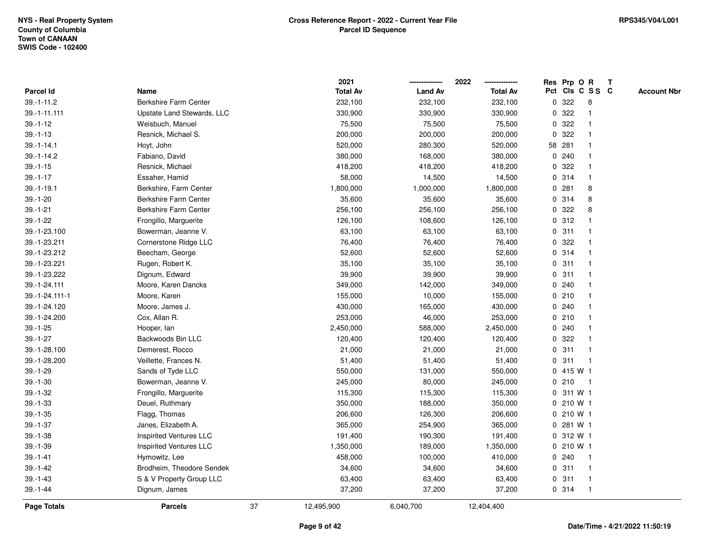|                  |                                |    | 2021            |                | 2022            | Res Prp O   |        | R                       | $\mathbf{T}$ |                    |
|------------------|--------------------------------|----|-----------------|----------------|-----------------|-------------|--------|-------------------------|--------------|--------------------|
| <b>Parcel Id</b> | Name                           |    | <b>Total Av</b> | <b>Land Av</b> | <b>Total Av</b> |             |        | Pct Cls C S S C         |              | <b>Account Nbr</b> |
| $39. - 1 - 11.2$ | <b>Berkshire Farm Center</b>   |    | 232,100         | 232,100        | 232,100         | 0           | 322    | 8                       |              |                    |
| 39.-1-11.111     | Upstate Land Stewards, LLC     |    | 330,900         | 330,900        | 330,900         | 0           | 322    |                         |              |                    |
| $39.-1-12$       | Weisbuch, Manuel               |    | 75,500          | 75,500         | 75,500          | 0           | 322    |                         |              |                    |
| $39.-1-13$       | Resnick, Michael S.            |    | 200,000         | 200,000        | 200,000         | $\mathbf 0$ | 322    |                         |              |                    |
| $39. - 1 - 14.1$ | Hoyt, John                     |    | 520,000         | 280,300        | 520,000         |             | 58 281 |                         |              |                    |
| $39. - 1 - 14.2$ | Fabiano, David                 |    | 380,000         | 168,000        | 380,000         |             | 0.240  |                         |              |                    |
| $39. - 1 - 15$   | Resnick, Michael               |    | 418,200         | 418,200        | 418,200         |             | 0.322  |                         |              |                    |
| $39. - 1 - 17$   | Essaher, Hamid                 |    | 58,000          | 14,500         | 14,500          |             | 0 314  |                         |              |                    |
| $39. - 1 - 19.1$ | Berkshire, Farm Center         |    | 1,800,000       | 1,000,000      | 1,800,000       | 0           | 281    | 8                       |              |                    |
| $39.-1-20$       | Berkshire Farm Center          |    | 35,600          | 35,600         | 35,600          | 0           | 314    | 8                       |              |                    |
| $39. - 1 - 21$   | Berkshire Farm Center          |    | 256,100         | 256,100        | 256,100         | 0           | 322    | 8                       |              |                    |
| $39 - 1 - 22$    | Frongillo, Marguerite          |    | 126,100         | 108,600        | 126,100         |             | 0.312  |                         |              |                    |
| 39.-1-23.100     | Bowerman, Jeanne V.            |    | 63,100          | 63,100         | 63,100          |             | 0.311  |                         |              |                    |
| 39.-1-23.211     | Cornerstone Ridge LLC          |    | 76,400          | 76,400         | 76,400          |             | 0.322  |                         |              |                    |
| 39.-1-23.212     | Beecham, George                |    | 52,600          | 52,600         | 52,600          |             | 0 314  |                         |              |                    |
| 39.-1-23.221     | Rugen, Robert K.               |    | 35,100          | 35,100         | 35,100          |             | 0.311  |                         |              |                    |
| 39.-1-23.222     | Dignum, Edward                 |    | 39,900          | 39,900         | 39,900          | 0           | 311    |                         |              |                    |
| 39.-1-24.111     | Moore, Karen Dancks            |    | 349,000         | 142,000        | 349,000         | 0           | 240    |                         |              |                    |
| 39.-1-24.111-1   | Moore, Karen                   |    | 155,000         | 10,000         | 155,000         |             | 0210   |                         |              |                    |
| 39.-1-24.120     | Moore, James J.                |    | 430,000         | 165,000        | 430,000         |             | 0.240  |                         |              |                    |
| 39.-1-24.200     | Cox, Allan R.                  |    | 253,000         | 46,000         | 253,000         |             | 0210   |                         |              |                    |
| $39.-1-25$       | Hooper, lan                    |    | 2,450,000       | 588,000        | 2,450,000       | 0           | 240    |                         |              |                    |
| $39. - 1 - 27$   | Backwoods Bin LLC              |    | 120,400         | 120,400        | 120,400         | 0           | 322    |                         |              |                    |
| 39.-1-28.100     | Demerest, Rocco                |    | 21,000          | 21,000         | 21,000          | 0           | 311    | $\overline{\mathbf{1}}$ |              |                    |
| 39.-1-28.200     | Veillette, Frances N.          |    | 51,400          | 51,400         | 51,400          | 0           | 311    | -1                      |              |                    |
| $39. - 1 - 29$   | Sands of Tyde LLC              |    | 550,000         | 131,000        | 550,000         |             |        | 0.415 W1                |              |                    |
| $39.-1-30$       | Bowerman, Jeanne V.            |    | 245,000         | 80,000         | 245,000         |             | 0210   |                         |              |                    |
| $39 - 1 - 32$    | Frongillo, Marguerite          |    | 115,300         | 115,300        | 115,300         |             |        | 0 311 W 1               |              |                    |
| $39. - 1 - 33$   | Deuel, Ruthmary                |    | 350,000         | 188,000        | 350,000         |             |        | 0 210 W 1               |              |                    |
| $39.-1-35$       | Flagg, Thomas                  |    | 206,600         | 126,300        | 206,600         |             |        | 0 210 W 1               |              |                    |
| $39. - 1 - 37$   | Janes, Elizabeth A.            |    | 365,000         | 254,900        | 365,000         | 0           |        | 281 W 1                 |              |                    |
| $39.-1-38$       | <b>Inspirited Ventures LLC</b> |    | 191,400         | 190,300        | 191,400         |             |        | 0 312 W 1               |              |                    |
| $39.-1-39$       | <b>Inspirited Ventures LLC</b> |    | 1,350,000       | 189,000        | 1,350,000       |             |        | $0, 210$ W 1            |              |                    |
| $39. - 1 - 41$   | Hymowitz, Lee                  |    | 458,000         | 100,000        | 410,000         |             | 0.240  |                         |              |                    |
| $39.-1-42$       | Brodheim, Theodore Sendek      |    | 34,600          | 34,600         | 34,600          |             | 0.311  |                         |              |                    |
| $39. - 1 - 43$   | S & V Property Group LLC       |    | 63,400          | 63,400         | 63,400          |             | 0.311  | $\mathbf 1$             |              |                    |
| $39 - 1 - 44$    | Dignum, James                  |    | 37,200          | 37,200         | 37,200          |             | 0 314  | -1                      |              |                    |
| Page Totals      | <b>Parcels</b>                 | 37 | 12,495,900      | 6,040,700      | 12,404,400      |             |        |                         |              |                    |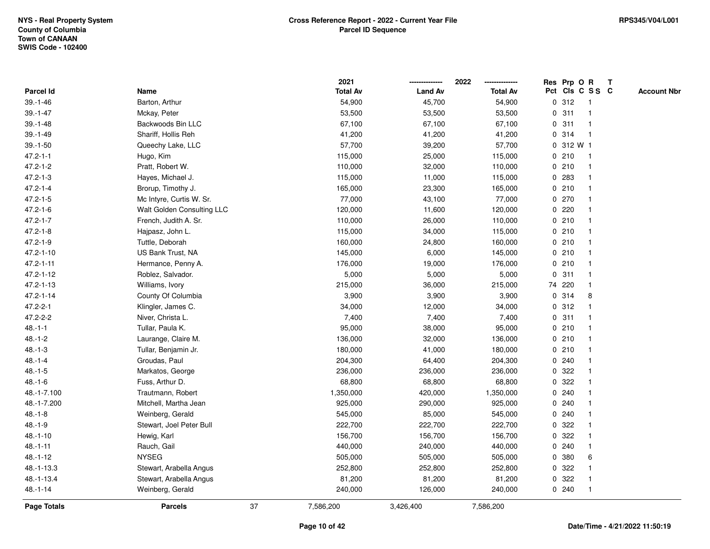|                  |                            |    | 2021            |                | 2022            |              | Res Prp O R |                 | Т |                    |
|------------------|----------------------------|----|-----------------|----------------|-----------------|--------------|-------------|-----------------|---|--------------------|
| <b>Parcel Id</b> | Name                       |    | <b>Total Av</b> | <b>Land Av</b> | <b>Total Av</b> |              |             | Pct Cls C S S C |   | <b>Account Nbr</b> |
| $39. - 1 - 46$   | Barton, Arthur             |    | 54,900          | 45,700         | 54,900          |              | 0.312       | -1              |   |                    |
| $39. - 1 - 47$   | Mckay, Peter               |    | 53,500          | 53,500         | 53,500          | $\mathbf{0}$ | 311         | 1               |   |                    |
| $39. - 1 - 48$   | Backwoods Bin LLC          |    | 67,100          | 67,100         | 67,100          |              | 0.311       | 1               |   |                    |
| $39.-1-49$       | Shariff, Hollis Reh        |    | 41,200          | 41,200         | 41,200          |              | 0 314       | 1               |   |                    |
| $39.-1-50$       | Queechy Lake, LLC          |    | 57,700          | 39,200         | 57,700          |              | 0 312 W 1   |                 |   |                    |
| $47.2 - 1 - 1$   | Hugo, Kim                  |    | 115,000         | 25,000         | 115,000         |              | 0210        | 1               |   |                    |
| $47.2 - 1 - 2$   | Pratt, Robert W.           |    | 110,000         | 32,000         | 110,000         |              | 0210        | $\mathbf 1$     |   |                    |
| $47.2 - 1 - 3$   | Hayes, Michael J.          |    | 115,000         | 11,000         | 115,000         |              | 0.283       | $\mathbf 1$     |   |                    |
| $47.2 - 1 - 4$   | Brorup, Timothy J.         |    | 165,000         | 23,300         | 165,000         |              | 0210        | $\mathbf{1}$    |   |                    |
| $47.2 - 1 - 5$   | Mc Intyre, Curtis W. Sr.   |    | 77,000          | 43,100         | 77,000          |              | 0270        | 1               |   |                    |
| $47.2 - 1 - 6$   | Walt Golden Consulting LLC |    | 120,000         | 11,600         | 120,000         |              | 0.220       |                 |   |                    |
| $47.2 - 1 - 7$   | French, Judith A. Sr.      |    | 110,000         | 26,000         | 110,000         |              | 0210        |                 |   |                    |
| $47.2 - 1 - 8$   | Hajpasz, John L.           |    | 115,000         | 34,000         | 115,000         |              | 0210        |                 |   |                    |
| $47.2 - 1 - 9$   | Tuttle, Deborah            |    | 160,000         | 24,800         | 160,000         |              | 0210        | 1               |   |                    |
| 47.2-1-10        | US Bank Trust, NA          |    | 145,000         | 6,000          | 145,000         |              | 0210        | 1               |   |                    |
| $47.2 - 1 - 11$  | Hermance, Penny A.         |    | 176,000         | 19,000         | 176,000         |              | 0210        | $\mathbf{1}$    |   |                    |
| 47.2-1-12        | Roblez, Salvador.          |    | 5,000           | 5,000          | 5,000           |              | 0.311       | $\mathbf{1}$    |   |                    |
| 47.2-1-13        | Williams, Ivory            |    | 215,000         | 36,000         | 215,000         |              | 74 220      | 1               |   |                    |
| $47.2 - 1 - 14$  | County Of Columbia         |    | 3,900           | 3,900          | 3,900           |              | 0 314       | 8               |   |                    |
| $47.2 - 2 - 1$   | Klingler, James C.         |    | 34,000          | 12,000         | 34,000          |              | 0.312       |                 |   |                    |
| 47.2-2-2         | Niver, Christa L.          |    | 7,400           | 7,400          | 7,400           |              | 0.311       |                 |   |                    |
| $48.-1-1$        | Tullar, Paula K.           |    | 95,000          | 38,000         | 95,000          |              | 0210        |                 |   |                    |
| $48.-1-2$        | Laurange, Claire M.        |    | 136,000         | 32,000         | 136,000         |              | 0210        | 1               |   |                    |
| $48.-1-3$        | Tullar, Benjamin Jr.       |    | 180,000         | 41,000         | 180,000         |              | 0210        | $\mathbf{1}$    |   |                    |
| $48.-1-4$        | Groudas, Paul              |    | 204,300         | 64,400         | 204,300         |              | 0.240       | 1               |   |                    |
| $48 - 1 - 5$     | Markatos, George           |    | 236,000         | 236,000        | 236,000         |              | 0 322       |                 |   |                    |
| $48.-1-6$        | Fuss, Arthur D.            |    | 68,800          | 68,800         | 68,800          |              | 0 322       |                 |   |                    |
| 48.-1-7.100      | Trautmann, Robert          |    | 1,350,000       | 420,000        | 1,350,000       |              | 0.240       |                 |   |                    |
| 48.-1-7.200      | Mitchell, Martha Jean      |    | 925,000         | 290,000        | 925,000         |              | 0.240       |                 |   |                    |
| $48.-1-8$        | Weinberg, Gerald           |    | 545,000         | 85,000         | 545,000         |              | 0.240       | 1               |   |                    |
| $48.-1-9$        | Stewart, Joel Peter Bull   |    | 222,700         | 222,700        | 222,700         |              | 0 322       | 1               |   |                    |
| $48.-1-10$       | Hewig, Karl                |    | 156,700         | 156,700        | 156,700         |              | 0 322       |                 |   |                    |
| $48.-1-11$       | Rauch, Gail                |    | 440,000         | 240,000        | 440,000         |              | 0.240       | 1               |   |                    |
| $48.-1-12$       | <b>NYSEG</b>               |    | 505,000         | 505,000        | 505,000         |              | 0 380       | 6               |   |                    |
| 48.-1-13.3       | Stewart, Arabella Angus    |    | 252,800         | 252,800        | 252,800         |              | 0 322       | 1               |   |                    |
| 48.-1-13.4       | Stewart, Arabella Angus    |    | 81,200          | 81,200         | 81,200          |              | 0.322       | 1               |   |                    |
| $48. - 1 - 14$   | Weinberg, Gerald           |    | 240,000         | 126,000        | 240,000         |              | 0.240       | $\mathbf 1$     |   |                    |
| Page Totals      | <b>Parcels</b>             | 37 | 7,586,200       | 3,426,400      | 7,586,200       |              |             |                 |   |                    |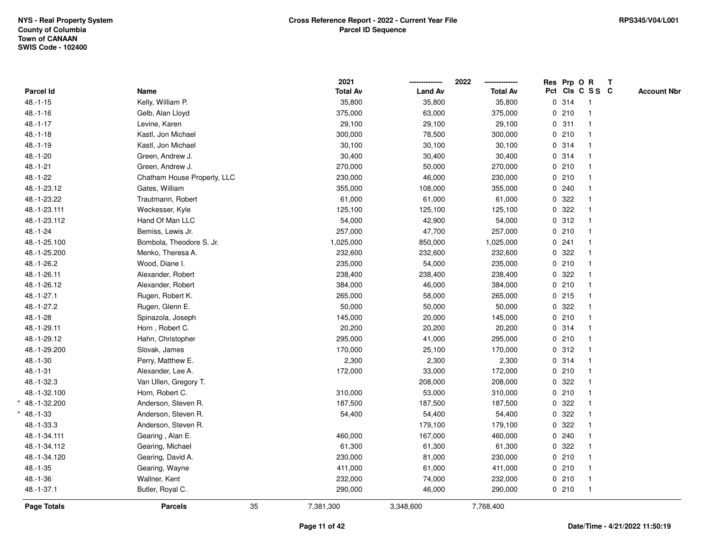| Pct Cls C S S C<br><b>Total Av</b><br><b>Land Av</b><br>Parcel Id<br><b>Total Av</b><br>Name<br>0.314<br>$48.-1-15$<br>Kelly, William P.<br>35,800<br>35,800<br>35,800<br>$\overline{1}$<br>0210<br>$48.-1-16$<br>Gelb, Alan Lloyd<br>375,000<br>63,000<br>375,000<br>$\mathbf{1}$<br>0.311<br>$48.-1-17$<br>29,100<br>29,100<br>29,100<br>Levine, Karen<br>$\mathbf{1}$<br>0210<br>$48.-1-18$<br>Kastl, Jon Michael<br>300,000<br>78,500<br>300,000<br>$\mathbf{1}$<br>$48.-1-19$<br>0.314<br>Kastl, Jon Michael<br>30,100<br>30,100<br>30,100<br>1<br>$48.-1-20$<br>30,400<br>30,400<br>30,400<br>0 314<br>Green, Andrew J.<br>$\mathbf{1}$<br>$48.-1-21$<br>Green, Andrew J.<br>270,000<br>0210<br>50,000<br>270,000<br>$\mathbf{1}$<br>$48.-1-22$<br>0210<br>Chatham House Property, LLC<br>230,000<br>46,000<br>230,000<br>$\mathbf{1}$<br>48.-1-23.12<br>0.240<br>Gates, William<br>355,000<br>108,000<br>355,000<br>$\mathbf{1}$<br>0 322<br>48.-1-23.22<br>Trautmann, Robert<br>61,000<br>61,000<br>61,000<br>$\mathbf{1}$<br>0.322<br>48.-1-23.111<br>125,100<br>Weckesser, Kyle<br>125,100<br>125,100<br>$\mathbf 1$<br>0.312<br>48.-1-23.112<br>Hand Of Man LLC<br>54,000<br>42,900<br>54,000<br>1<br>0210<br>$48.-1-24$<br>Bemiss, Lewis Jr.<br>257,000<br>47,700<br>257,000<br>$\mathbf{1}$<br>0.241<br>48.-1-25.100<br>Bombola, Theodore S. Jr.<br>1,025,000<br>1,025,000<br>850,000<br>$\mathbf{1}$<br>232,600<br>0 322<br>48.-1-25.200<br>Menko, Theresa A.<br>232,600<br>232,600<br>$\mathbf{1}$<br>0210<br>48.-1-26.2<br>235,000<br>54,000<br>235,000<br>$\mathbf{1}$<br>Wood, Diane I.<br>0.322<br>48.-1-26.11<br>Alexander, Robert<br>238,400<br>238,400<br>238,400<br>$\mathbf{1}$<br>0210<br>48.-1-26.12<br>384,000<br>46,000<br>384,000<br>Alexander, Robert<br>$\mathbf{1}$<br>$0$ 215<br>48.-1-27.1<br>265,000<br>Rugen, Robert K.<br>58,000<br>265,000<br>1<br>0.322<br>48.-1-27.2<br>Rugen, Glenn E.<br>50,000<br>50,000<br>50,000<br>$\mathbf{1}$<br>$48.-1-28$<br>0210<br>Spinazola, Joseph<br>145,000<br>20,000<br>145,000<br>$\mathbf{1}$<br>0 314<br>48.-1-29.11<br>Horn, Robert C.<br>20,200<br>20,200<br>20,200<br>$\mathbf{1}$<br>0210<br>48.-1-29.12<br>Hahn, Christopher<br>295,000<br>41,000<br>295,000<br>$\mathbf{1}$<br>0.312<br>48.-1-29.200<br>Slovak, James<br>170,000<br>25,100<br>170,000<br>$\mathbf{1}$<br>0 314<br>$48.-1-30$<br>2,300<br>2,300<br>2,300<br>Perry, Matthew E.<br>1<br>0210<br>$48.-1-31$<br>Alexander, Lee A.<br>172,000<br>172,000<br>33,000<br>1<br>0 322<br>48.-1-32.3<br>Van Ullen, Gregory T.<br>208,000<br>208,000<br>$\mathbf{1}$<br>0210<br>48.-1-32.100<br>Horn, Robert C.<br>53,000<br>310,000<br>310,000<br>$\mathbf{1}$<br>0 322<br>Anderson, Steven R.<br>187,500<br>187,500<br>187,500<br>$\mathbf{1}$<br>0.322<br>48.-1-33<br>Anderson, Steven R.<br>54,400<br>54,400<br>54,400<br>$\mathbf{1}$<br>0 322<br>48.-1-33.3<br>Anderson, Steven R.<br>179,100<br>179,100<br>1<br>0.240<br>48.-1-34.111<br>Gearing, Alan E.<br>460,000<br>167,000<br>460,000<br>1<br>0 322<br>48.-1-34.112<br>Gearing, Michael<br>61,300<br>61,300<br>61,300<br>$\mathbf{1}$<br>0210<br>48.-1-34.120<br>Gearing, David A.<br>230,000<br>81,000<br>230,000<br>$\mathbf{1}$<br>0210<br>$48.-1-35$<br>Gearing, Wayne<br>411,000<br>61,000<br>411,000<br>$\mathbf{1}$<br>$48.-1-36$<br>0210<br>Wallner, Kent<br>232,000<br>74,000<br>232,000<br>$\mathbf{1}$<br>48.-1-37.1<br>0210<br>Butler, Royal C.<br>290,000<br>46,000<br>290,000<br>$\mathbf{1}$ |             |                | 2021            |           | 2022      |  | Res Prp O R | $\mathbf{T}$ |                    |
|--------------------------------------------------------------------------------------------------------------------------------------------------------------------------------------------------------------------------------------------------------------------------------------------------------------------------------------------------------------------------------------------------------------------------------------------------------------------------------------------------------------------------------------------------------------------------------------------------------------------------------------------------------------------------------------------------------------------------------------------------------------------------------------------------------------------------------------------------------------------------------------------------------------------------------------------------------------------------------------------------------------------------------------------------------------------------------------------------------------------------------------------------------------------------------------------------------------------------------------------------------------------------------------------------------------------------------------------------------------------------------------------------------------------------------------------------------------------------------------------------------------------------------------------------------------------------------------------------------------------------------------------------------------------------------------------------------------------------------------------------------------------------------------------------------------------------------------------------------------------------------------------------------------------------------------------------------------------------------------------------------------------------------------------------------------------------------------------------------------------------------------------------------------------------------------------------------------------------------------------------------------------------------------------------------------------------------------------------------------------------------------------------------------------------------------------------------------------------------------------------------------------------------------------------------------------------------------------------------------------------------------------------------------------------------------------------------------------------------------------------------------------------------------------------------------------------------------------------------------------------------------------------------------------------------------------------------------------------------------------------------------------------------------------------------------------------------------------------------------------------------------------------------------------------------------------------------------------------------------------------------------------------------------------------------------------------------------------------------------------------------------------------------------------------------------------------------------------------------------------------------------|-------------|----------------|-----------------|-----------|-----------|--|-------------|--------------|--------------------|
|                                                                                                                                                                                                                                                                                                                                                                                                                                                                                                                                                                                                                                                                                                                                                                                                                                                                                                                                                                                                                                                                                                                                                                                                                                                                                                                                                                                                                                                                                                                                                                                                                                                                                                                                                                                                                                                                                                                                                                                                                                                                                                                                                                                                                                                                                                                                                                                                                                                                                                                                                                                                                                                                                                                                                                                                                                                                                                                                                                                                                                                                                                                                                                                                                                                                                                                                                                                                                                                                                                              |             |                |                 |           |           |  |             |              | <b>Account Nbr</b> |
|                                                                                                                                                                                                                                                                                                                                                                                                                                                                                                                                                                                                                                                                                                                                                                                                                                                                                                                                                                                                                                                                                                                                                                                                                                                                                                                                                                                                                                                                                                                                                                                                                                                                                                                                                                                                                                                                                                                                                                                                                                                                                                                                                                                                                                                                                                                                                                                                                                                                                                                                                                                                                                                                                                                                                                                                                                                                                                                                                                                                                                                                                                                                                                                                                                                                                                                                                                                                                                                                                                              |             |                |                 |           |           |  |             |              |                    |
|                                                                                                                                                                                                                                                                                                                                                                                                                                                                                                                                                                                                                                                                                                                                                                                                                                                                                                                                                                                                                                                                                                                                                                                                                                                                                                                                                                                                                                                                                                                                                                                                                                                                                                                                                                                                                                                                                                                                                                                                                                                                                                                                                                                                                                                                                                                                                                                                                                                                                                                                                                                                                                                                                                                                                                                                                                                                                                                                                                                                                                                                                                                                                                                                                                                                                                                                                                                                                                                                                                              |             |                |                 |           |           |  |             |              |                    |
|                                                                                                                                                                                                                                                                                                                                                                                                                                                                                                                                                                                                                                                                                                                                                                                                                                                                                                                                                                                                                                                                                                                                                                                                                                                                                                                                                                                                                                                                                                                                                                                                                                                                                                                                                                                                                                                                                                                                                                                                                                                                                                                                                                                                                                                                                                                                                                                                                                                                                                                                                                                                                                                                                                                                                                                                                                                                                                                                                                                                                                                                                                                                                                                                                                                                                                                                                                                                                                                                                                              |             |                |                 |           |           |  |             |              |                    |
|                                                                                                                                                                                                                                                                                                                                                                                                                                                                                                                                                                                                                                                                                                                                                                                                                                                                                                                                                                                                                                                                                                                                                                                                                                                                                                                                                                                                                                                                                                                                                                                                                                                                                                                                                                                                                                                                                                                                                                                                                                                                                                                                                                                                                                                                                                                                                                                                                                                                                                                                                                                                                                                                                                                                                                                                                                                                                                                                                                                                                                                                                                                                                                                                                                                                                                                                                                                                                                                                                                              |             |                |                 |           |           |  |             |              |                    |
|                                                                                                                                                                                                                                                                                                                                                                                                                                                                                                                                                                                                                                                                                                                                                                                                                                                                                                                                                                                                                                                                                                                                                                                                                                                                                                                                                                                                                                                                                                                                                                                                                                                                                                                                                                                                                                                                                                                                                                                                                                                                                                                                                                                                                                                                                                                                                                                                                                                                                                                                                                                                                                                                                                                                                                                                                                                                                                                                                                                                                                                                                                                                                                                                                                                                                                                                                                                                                                                                                                              |             |                |                 |           |           |  |             |              |                    |
|                                                                                                                                                                                                                                                                                                                                                                                                                                                                                                                                                                                                                                                                                                                                                                                                                                                                                                                                                                                                                                                                                                                                                                                                                                                                                                                                                                                                                                                                                                                                                                                                                                                                                                                                                                                                                                                                                                                                                                                                                                                                                                                                                                                                                                                                                                                                                                                                                                                                                                                                                                                                                                                                                                                                                                                                                                                                                                                                                                                                                                                                                                                                                                                                                                                                                                                                                                                                                                                                                                              |             |                |                 |           |           |  |             |              |                    |
|                                                                                                                                                                                                                                                                                                                                                                                                                                                                                                                                                                                                                                                                                                                                                                                                                                                                                                                                                                                                                                                                                                                                                                                                                                                                                                                                                                                                                                                                                                                                                                                                                                                                                                                                                                                                                                                                                                                                                                                                                                                                                                                                                                                                                                                                                                                                                                                                                                                                                                                                                                                                                                                                                                                                                                                                                                                                                                                                                                                                                                                                                                                                                                                                                                                                                                                                                                                                                                                                                                              |             |                |                 |           |           |  |             |              |                    |
|                                                                                                                                                                                                                                                                                                                                                                                                                                                                                                                                                                                                                                                                                                                                                                                                                                                                                                                                                                                                                                                                                                                                                                                                                                                                                                                                                                                                                                                                                                                                                                                                                                                                                                                                                                                                                                                                                                                                                                                                                                                                                                                                                                                                                                                                                                                                                                                                                                                                                                                                                                                                                                                                                                                                                                                                                                                                                                                                                                                                                                                                                                                                                                                                                                                                                                                                                                                                                                                                                                              |             |                |                 |           |           |  |             |              |                    |
|                                                                                                                                                                                                                                                                                                                                                                                                                                                                                                                                                                                                                                                                                                                                                                                                                                                                                                                                                                                                                                                                                                                                                                                                                                                                                                                                                                                                                                                                                                                                                                                                                                                                                                                                                                                                                                                                                                                                                                                                                                                                                                                                                                                                                                                                                                                                                                                                                                                                                                                                                                                                                                                                                                                                                                                                                                                                                                                                                                                                                                                                                                                                                                                                                                                                                                                                                                                                                                                                                                              |             |                |                 |           |           |  |             |              |                    |
|                                                                                                                                                                                                                                                                                                                                                                                                                                                                                                                                                                                                                                                                                                                                                                                                                                                                                                                                                                                                                                                                                                                                                                                                                                                                                                                                                                                                                                                                                                                                                                                                                                                                                                                                                                                                                                                                                                                                                                                                                                                                                                                                                                                                                                                                                                                                                                                                                                                                                                                                                                                                                                                                                                                                                                                                                                                                                                                                                                                                                                                                                                                                                                                                                                                                                                                                                                                                                                                                                                              |             |                |                 |           |           |  |             |              |                    |
|                                                                                                                                                                                                                                                                                                                                                                                                                                                                                                                                                                                                                                                                                                                                                                                                                                                                                                                                                                                                                                                                                                                                                                                                                                                                                                                                                                                                                                                                                                                                                                                                                                                                                                                                                                                                                                                                                                                                                                                                                                                                                                                                                                                                                                                                                                                                                                                                                                                                                                                                                                                                                                                                                                                                                                                                                                                                                                                                                                                                                                                                                                                                                                                                                                                                                                                                                                                                                                                                                                              |             |                |                 |           |           |  |             |              |                    |
|                                                                                                                                                                                                                                                                                                                                                                                                                                                                                                                                                                                                                                                                                                                                                                                                                                                                                                                                                                                                                                                                                                                                                                                                                                                                                                                                                                                                                                                                                                                                                                                                                                                                                                                                                                                                                                                                                                                                                                                                                                                                                                                                                                                                                                                                                                                                                                                                                                                                                                                                                                                                                                                                                                                                                                                                                                                                                                                                                                                                                                                                                                                                                                                                                                                                                                                                                                                                                                                                                                              |             |                |                 |           |           |  |             |              |                    |
|                                                                                                                                                                                                                                                                                                                                                                                                                                                                                                                                                                                                                                                                                                                                                                                                                                                                                                                                                                                                                                                                                                                                                                                                                                                                                                                                                                                                                                                                                                                                                                                                                                                                                                                                                                                                                                                                                                                                                                                                                                                                                                                                                                                                                                                                                                                                                                                                                                                                                                                                                                                                                                                                                                                                                                                                                                                                                                                                                                                                                                                                                                                                                                                                                                                                                                                                                                                                                                                                                                              |             |                |                 |           |           |  |             |              |                    |
|                                                                                                                                                                                                                                                                                                                                                                                                                                                                                                                                                                                                                                                                                                                                                                                                                                                                                                                                                                                                                                                                                                                                                                                                                                                                                                                                                                                                                                                                                                                                                                                                                                                                                                                                                                                                                                                                                                                                                                                                                                                                                                                                                                                                                                                                                                                                                                                                                                                                                                                                                                                                                                                                                                                                                                                                                                                                                                                                                                                                                                                                                                                                                                                                                                                                                                                                                                                                                                                                                                              |             |                |                 |           |           |  |             |              |                    |
|                                                                                                                                                                                                                                                                                                                                                                                                                                                                                                                                                                                                                                                                                                                                                                                                                                                                                                                                                                                                                                                                                                                                                                                                                                                                                                                                                                                                                                                                                                                                                                                                                                                                                                                                                                                                                                                                                                                                                                                                                                                                                                                                                                                                                                                                                                                                                                                                                                                                                                                                                                                                                                                                                                                                                                                                                                                                                                                                                                                                                                                                                                                                                                                                                                                                                                                                                                                                                                                                                                              |             |                |                 |           |           |  |             |              |                    |
|                                                                                                                                                                                                                                                                                                                                                                                                                                                                                                                                                                                                                                                                                                                                                                                                                                                                                                                                                                                                                                                                                                                                                                                                                                                                                                                                                                                                                                                                                                                                                                                                                                                                                                                                                                                                                                                                                                                                                                                                                                                                                                                                                                                                                                                                                                                                                                                                                                                                                                                                                                                                                                                                                                                                                                                                                                                                                                                                                                                                                                                                                                                                                                                                                                                                                                                                                                                                                                                                                                              |             |                |                 |           |           |  |             |              |                    |
|                                                                                                                                                                                                                                                                                                                                                                                                                                                                                                                                                                                                                                                                                                                                                                                                                                                                                                                                                                                                                                                                                                                                                                                                                                                                                                                                                                                                                                                                                                                                                                                                                                                                                                                                                                                                                                                                                                                                                                                                                                                                                                                                                                                                                                                                                                                                                                                                                                                                                                                                                                                                                                                                                                                                                                                                                                                                                                                                                                                                                                                                                                                                                                                                                                                                                                                                                                                                                                                                                                              |             |                |                 |           |           |  |             |              |                    |
|                                                                                                                                                                                                                                                                                                                                                                                                                                                                                                                                                                                                                                                                                                                                                                                                                                                                                                                                                                                                                                                                                                                                                                                                                                                                                                                                                                                                                                                                                                                                                                                                                                                                                                                                                                                                                                                                                                                                                                                                                                                                                                                                                                                                                                                                                                                                                                                                                                                                                                                                                                                                                                                                                                                                                                                                                                                                                                                                                                                                                                                                                                                                                                                                                                                                                                                                                                                                                                                                                                              |             |                |                 |           |           |  |             |              |                    |
| $*$ 48.-1-32.200                                                                                                                                                                                                                                                                                                                                                                                                                                                                                                                                                                                                                                                                                                                                                                                                                                                                                                                                                                                                                                                                                                                                                                                                                                                                                                                                                                                                                                                                                                                                                                                                                                                                                                                                                                                                                                                                                                                                                                                                                                                                                                                                                                                                                                                                                                                                                                                                                                                                                                                                                                                                                                                                                                                                                                                                                                                                                                                                                                                                                                                                                                                                                                                                                                                                                                                                                                                                                                                                                             |             |                |                 |           |           |  |             |              |                    |
|                                                                                                                                                                                                                                                                                                                                                                                                                                                                                                                                                                                                                                                                                                                                                                                                                                                                                                                                                                                                                                                                                                                                                                                                                                                                                                                                                                                                                                                                                                                                                                                                                                                                                                                                                                                                                                                                                                                                                                                                                                                                                                                                                                                                                                                                                                                                                                                                                                                                                                                                                                                                                                                                                                                                                                                                                                                                                                                                                                                                                                                                                                                                                                                                                                                                                                                                                                                                                                                                                                              |             |                |                 |           |           |  |             |              |                    |
|                                                                                                                                                                                                                                                                                                                                                                                                                                                                                                                                                                                                                                                                                                                                                                                                                                                                                                                                                                                                                                                                                                                                                                                                                                                                                                                                                                                                                                                                                                                                                                                                                                                                                                                                                                                                                                                                                                                                                                                                                                                                                                                                                                                                                                                                                                                                                                                                                                                                                                                                                                                                                                                                                                                                                                                                                                                                                                                                                                                                                                                                                                                                                                                                                                                                                                                                                                                                                                                                                                              |             |                |                 |           |           |  |             |              |                    |
|                                                                                                                                                                                                                                                                                                                                                                                                                                                                                                                                                                                                                                                                                                                                                                                                                                                                                                                                                                                                                                                                                                                                                                                                                                                                                                                                                                                                                                                                                                                                                                                                                                                                                                                                                                                                                                                                                                                                                                                                                                                                                                                                                                                                                                                                                                                                                                                                                                                                                                                                                                                                                                                                                                                                                                                                                                                                                                                                                                                                                                                                                                                                                                                                                                                                                                                                                                                                                                                                                                              |             |                |                 |           |           |  |             |              |                    |
|                                                                                                                                                                                                                                                                                                                                                                                                                                                                                                                                                                                                                                                                                                                                                                                                                                                                                                                                                                                                                                                                                                                                                                                                                                                                                                                                                                                                                                                                                                                                                                                                                                                                                                                                                                                                                                                                                                                                                                                                                                                                                                                                                                                                                                                                                                                                                                                                                                                                                                                                                                                                                                                                                                                                                                                                                                                                                                                                                                                                                                                                                                                                                                                                                                                                                                                                                                                                                                                                                                              |             |                |                 |           |           |  |             |              |                    |
|                                                                                                                                                                                                                                                                                                                                                                                                                                                                                                                                                                                                                                                                                                                                                                                                                                                                                                                                                                                                                                                                                                                                                                                                                                                                                                                                                                                                                                                                                                                                                                                                                                                                                                                                                                                                                                                                                                                                                                                                                                                                                                                                                                                                                                                                                                                                                                                                                                                                                                                                                                                                                                                                                                                                                                                                                                                                                                                                                                                                                                                                                                                                                                                                                                                                                                                                                                                                                                                                                                              |             |                |                 |           |           |  |             |              |                    |
|                                                                                                                                                                                                                                                                                                                                                                                                                                                                                                                                                                                                                                                                                                                                                                                                                                                                                                                                                                                                                                                                                                                                                                                                                                                                                                                                                                                                                                                                                                                                                                                                                                                                                                                                                                                                                                                                                                                                                                                                                                                                                                                                                                                                                                                                                                                                                                                                                                                                                                                                                                                                                                                                                                                                                                                                                                                                                                                                                                                                                                                                                                                                                                                                                                                                                                                                                                                                                                                                                                              |             |                |                 |           |           |  |             |              |                    |
|                                                                                                                                                                                                                                                                                                                                                                                                                                                                                                                                                                                                                                                                                                                                                                                                                                                                                                                                                                                                                                                                                                                                                                                                                                                                                                                                                                                                                                                                                                                                                                                                                                                                                                                                                                                                                                                                                                                                                                                                                                                                                                                                                                                                                                                                                                                                                                                                                                                                                                                                                                                                                                                                                                                                                                                                                                                                                                                                                                                                                                                                                                                                                                                                                                                                                                                                                                                                                                                                                                              |             |                |                 |           |           |  |             |              |                    |
|                                                                                                                                                                                                                                                                                                                                                                                                                                                                                                                                                                                                                                                                                                                                                                                                                                                                                                                                                                                                                                                                                                                                                                                                                                                                                                                                                                                                                                                                                                                                                                                                                                                                                                                                                                                                                                                                                                                                                                                                                                                                                                                                                                                                                                                                                                                                                                                                                                                                                                                                                                                                                                                                                                                                                                                                                                                                                                                                                                                                                                                                                                                                                                                                                                                                                                                                                                                                                                                                                                              |             |                |                 |           |           |  |             |              |                    |
|                                                                                                                                                                                                                                                                                                                                                                                                                                                                                                                                                                                                                                                                                                                                                                                                                                                                                                                                                                                                                                                                                                                                                                                                                                                                                                                                                                                                                                                                                                                                                                                                                                                                                                                                                                                                                                                                                                                                                                                                                                                                                                                                                                                                                                                                                                                                                                                                                                                                                                                                                                                                                                                                                                                                                                                                                                                                                                                                                                                                                                                                                                                                                                                                                                                                                                                                                                                                                                                                                                              |             |                |                 |           |           |  |             |              |                    |
|                                                                                                                                                                                                                                                                                                                                                                                                                                                                                                                                                                                                                                                                                                                                                                                                                                                                                                                                                                                                                                                                                                                                                                                                                                                                                                                                                                                                                                                                                                                                                                                                                                                                                                                                                                                                                                                                                                                                                                                                                                                                                                                                                                                                                                                                                                                                                                                                                                                                                                                                                                                                                                                                                                                                                                                                                                                                                                                                                                                                                                                                                                                                                                                                                                                                                                                                                                                                                                                                                                              |             |                |                 |           |           |  |             |              |                    |
|                                                                                                                                                                                                                                                                                                                                                                                                                                                                                                                                                                                                                                                                                                                                                                                                                                                                                                                                                                                                                                                                                                                                                                                                                                                                                                                                                                                                                                                                                                                                                                                                                                                                                                                                                                                                                                                                                                                                                                                                                                                                                                                                                                                                                                                                                                                                                                                                                                                                                                                                                                                                                                                                                                                                                                                                                                                                                                                                                                                                                                                                                                                                                                                                                                                                                                                                                                                                                                                                                                              |             |                |                 |           |           |  |             |              |                    |
|                                                                                                                                                                                                                                                                                                                                                                                                                                                                                                                                                                                                                                                                                                                                                                                                                                                                                                                                                                                                                                                                                                                                                                                                                                                                                                                                                                                                                                                                                                                                                                                                                                                                                                                                                                                                                                                                                                                                                                                                                                                                                                                                                                                                                                                                                                                                                                                                                                                                                                                                                                                                                                                                                                                                                                                                                                                                                                                                                                                                                                                                                                                                                                                                                                                                                                                                                                                                                                                                                                              |             |                |                 |           |           |  |             |              |                    |
|                                                                                                                                                                                                                                                                                                                                                                                                                                                                                                                                                                                                                                                                                                                                                                                                                                                                                                                                                                                                                                                                                                                                                                                                                                                                                                                                                                                                                                                                                                                                                                                                                                                                                                                                                                                                                                                                                                                                                                                                                                                                                                                                                                                                                                                                                                                                                                                                                                                                                                                                                                                                                                                                                                                                                                                                                                                                                                                                                                                                                                                                                                                                                                                                                                                                                                                                                                                                                                                                                                              |             |                |                 |           |           |  |             |              |                    |
|                                                                                                                                                                                                                                                                                                                                                                                                                                                                                                                                                                                                                                                                                                                                                                                                                                                                                                                                                                                                                                                                                                                                                                                                                                                                                                                                                                                                                                                                                                                                                                                                                                                                                                                                                                                                                                                                                                                                                                                                                                                                                                                                                                                                                                                                                                                                                                                                                                                                                                                                                                                                                                                                                                                                                                                                                                                                                                                                                                                                                                                                                                                                                                                                                                                                                                                                                                                                                                                                                                              |             |                |                 |           |           |  |             |              |                    |
|                                                                                                                                                                                                                                                                                                                                                                                                                                                                                                                                                                                                                                                                                                                                                                                                                                                                                                                                                                                                                                                                                                                                                                                                                                                                                                                                                                                                                                                                                                                                                                                                                                                                                                                                                                                                                                                                                                                                                                                                                                                                                                                                                                                                                                                                                                                                                                                                                                                                                                                                                                                                                                                                                                                                                                                                                                                                                                                                                                                                                                                                                                                                                                                                                                                                                                                                                                                                                                                                                                              |             |                |                 |           |           |  |             |              |                    |
|                                                                                                                                                                                                                                                                                                                                                                                                                                                                                                                                                                                                                                                                                                                                                                                                                                                                                                                                                                                                                                                                                                                                                                                                                                                                                                                                                                                                                                                                                                                                                                                                                                                                                                                                                                                                                                                                                                                                                                                                                                                                                                                                                                                                                                                                                                                                                                                                                                                                                                                                                                                                                                                                                                                                                                                                                                                                                                                                                                                                                                                                                                                                                                                                                                                                                                                                                                                                                                                                                                              |             |                |                 |           |           |  |             |              |                    |
|                                                                                                                                                                                                                                                                                                                                                                                                                                                                                                                                                                                                                                                                                                                                                                                                                                                                                                                                                                                                                                                                                                                                                                                                                                                                                                                                                                                                                                                                                                                                                                                                                                                                                                                                                                                                                                                                                                                                                                                                                                                                                                                                                                                                                                                                                                                                                                                                                                                                                                                                                                                                                                                                                                                                                                                                                                                                                                                                                                                                                                                                                                                                                                                                                                                                                                                                                                                                                                                                                                              |             |                |                 |           |           |  |             |              |                    |
|                                                                                                                                                                                                                                                                                                                                                                                                                                                                                                                                                                                                                                                                                                                                                                                                                                                                                                                                                                                                                                                                                                                                                                                                                                                                                                                                                                                                                                                                                                                                                                                                                                                                                                                                                                                                                                                                                                                                                                                                                                                                                                                                                                                                                                                                                                                                                                                                                                                                                                                                                                                                                                                                                                                                                                                                                                                                                                                                                                                                                                                                                                                                                                                                                                                                                                                                                                                                                                                                                                              |             |                |                 |           |           |  |             |              |                    |
|                                                                                                                                                                                                                                                                                                                                                                                                                                                                                                                                                                                                                                                                                                                                                                                                                                                                                                                                                                                                                                                                                                                                                                                                                                                                                                                                                                                                                                                                                                                                                                                                                                                                                                                                                                                                                                                                                                                                                                                                                                                                                                                                                                                                                                                                                                                                                                                                                                                                                                                                                                                                                                                                                                                                                                                                                                                                                                                                                                                                                                                                                                                                                                                                                                                                                                                                                                                                                                                                                                              | Page Totals | <b>Parcels</b> | 35<br>7,381,300 | 3,348,600 | 7,768,400 |  |             |              |                    |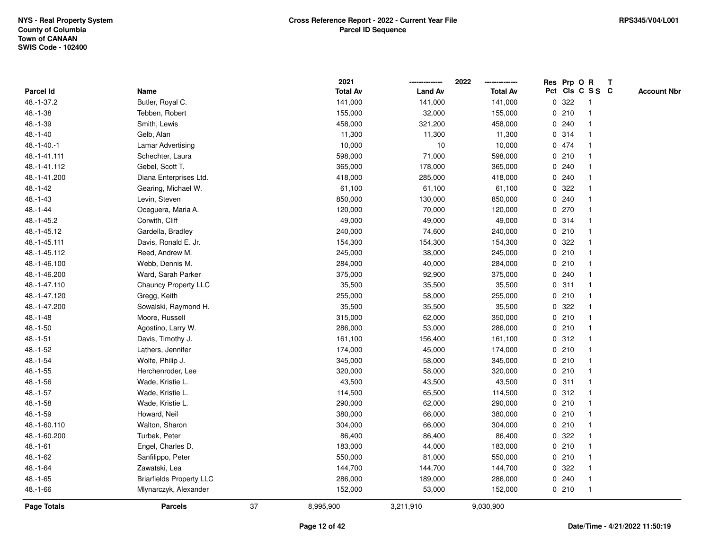|                |                                 |    | 2021            |                | 2022            |             |       | Res Prp O R     | Т |                    |
|----------------|---------------------------------|----|-----------------|----------------|-----------------|-------------|-------|-----------------|---|--------------------|
| Parcel Id      | Name                            |    | <b>Total Av</b> | <b>Land Av</b> | <b>Total Av</b> |             |       | Pct Cls C S S C |   | <b>Account Nbr</b> |
| 48.-1-37.2     | Butler, Royal C.                |    | 141,000         | 141,000        | 141,000         | $\mathbf 0$ | 322   | -1              |   |                    |
| $48.-1-38$     | Tebben, Robert                  |    | 155,000         | 32,000         | 155,000         | 0           | 210   | -1              |   |                    |
| 48.-1-39       | Smith, Lewis                    |    | 458,000         | 321,200        | 458,000         |             | 0.240 | $\mathbf 1$     |   |                    |
| $48.-1-40$     | Gelb, Alan                      |    | 11,300          | 11,300         | 11,300          |             | 0 314 |                 |   |                    |
| 48.-1-40.-1    | <b>Lamar Advertising</b>        |    | 10,000          | $10$           | 10,000          |             | 0 474 |                 |   |                    |
| 48.-1-41.111   | Schechter, Laura                |    | 598,000         | 71,000         | 598,000         |             | 0210  |                 |   |                    |
| 48.-1-41.112   | Gebel, Scott T.                 |    | 365,000         | 178,000        | 365,000         |             | 0.240 |                 |   |                    |
| 48.-1-41.200   | Diana Enterprises Ltd.          |    | 418,000         | 285,000        | 418,000         | 0           | 240   |                 |   |                    |
| 48.-1-42       | Gearing, Michael W.             |    | 61,100          | 61,100         | 61,100          | 0           | 322   |                 |   |                    |
| $48. - 1 - 43$ | Levin, Steven                   |    | 850,000         | 130,000        | 850,000         |             | 0.240 | $\mathbf 1$     |   |                    |
| $48. - 1 - 44$ | Oceguera, Maria A.              |    | 120,000         | 70,000         | 120,000         |             | 0270  |                 |   |                    |
| 48.-1-45.2     | Corwith, Cliff                  |    | 49,000          | 49,000         | 49,000          |             | 0 314 |                 |   |                    |
| 48.-1-45.12    | Gardella, Bradley               |    | 240,000         | 74,600         | 240,000         |             | 0210  |                 |   |                    |
| 48.-1-45.111   | Davis, Ronald E. Jr.            |    | 154,300         | 154,300        | 154,300         |             | 0 322 |                 |   |                    |
| 48.-1-45.112   | Reed, Andrew M.                 |    | 245,000         | 38,000         | 245,000         | $\mathbf 0$ | 210   |                 |   |                    |
| 48.-1-46.100   | Webb, Dennis M.                 |    | 284,000         | 40,000         | 284,000         | 0           | 210   | $\mathbf{1}$    |   |                    |
| 48.-1-46.200   | Ward, Sarah Parker              |    | 375,000         | 92,900         | 375,000         | $\mathbf 0$ | 240   | $\mathbf{1}$    |   |                    |
| 48.-1-47.110   | Chauncy Property LLC            |    | 35,500          | 35,500         | 35,500          |             | 0.311 |                 |   |                    |
| 48.-1-47.120   | Gregg, Keith                    |    | 255,000         | 58,000         | 255,000         |             | 0210  |                 |   |                    |
| 48.-1-47.200   | Sowalski, Raymond H.            |    | 35,500          | 35,500         | 35,500          | 0           | 322   |                 |   |                    |
| $48.-1-48$     | Moore, Russell                  |    | 315,000         | 62,000         | 350,000         |             | 0210  |                 |   |                    |
| $48.-1-50$     | Agostino, Larry W.              |    | 286,000         | 53,000         | 286,000         |             | 0210  |                 |   |                    |
| $48.-1-51$     | Davis, Timothy J.               |    | 161,100         | 156,400        | 161,100         |             | 0.312 | $\mathbf{1}$    |   |                    |
| 48.-1-52       | Lathers, Jennifer               |    | 174,000         | 45,000         | 174,000         | $\mathbf 0$ | 210   | $\mathbf{1}$    |   |                    |
| $48.-1-54$     | Wolfe, Philip J.                |    | 345,000         | 58,000         | 345,000         |             | 0210  | -1              |   |                    |
| $48.-1-55$     | Herchenroder, Lee               |    | 320,000         | 58,000         | 320,000         |             | 0210  |                 |   |                    |
| 48.-1-56       | Wade, Kristie L.                |    | 43,500          | 43,500         | 43,500          |             | 0.311 |                 |   |                    |
| $48.-1-57$     | Wade, Kristie L.                |    | 114,500         | 65,500         | 114,500         |             | 0.312 |                 |   |                    |
| $48.-1-58$     | Wade, Kristie L.                |    | 290,000         | 62,000         | 290,000         |             | 0210  |                 |   |                    |
| 48.-1-59       | Howard, Neil                    |    | 380,000         | 66,000         | 380,000         | 0           | 210   | 1               |   |                    |
| 48.-1-60.110   | Walton, Sharon                  |    | 304,000         | 66,000         | 304,000         | 0           | 210   | $\mathbf{1}$    |   |                    |
| 48.-1-60.200   | Turbek, Peter                   |    | 86,400          | 86,400         | 86,400          |             | 0.322 |                 |   |                    |
| $48.-1-61$     | Engel, Charles D.               |    | 183,000         | 44,000         | 183,000         |             | 0210  |                 |   |                    |
| 48.-1-62       | Sanfilippo, Peter               |    | 550,000         | 81,000         | 550,000         |             | 0210  |                 |   |                    |
| 48.-1-64       | Zawatski, Lea                   |    | 144,700         | 144,700        | 144,700         | 0           | 322   |                 |   |                    |
| 48.-1-65       | <b>Briarfields Property LLC</b> |    | 286,000         | 189,000        | 286,000         | 0           | 240   |                 |   |                    |
| 48.-1-66       | Mlynarczyk, Alexander           |    | 152,000         | 53,000         | 152,000         |             | 0210  | $\mathbf{1}$    |   |                    |
| Page Totals    | <b>Parcels</b>                  | 37 | 8,995,900       | 3,211,910      | 9,030,900       |             |       |                 |   |                    |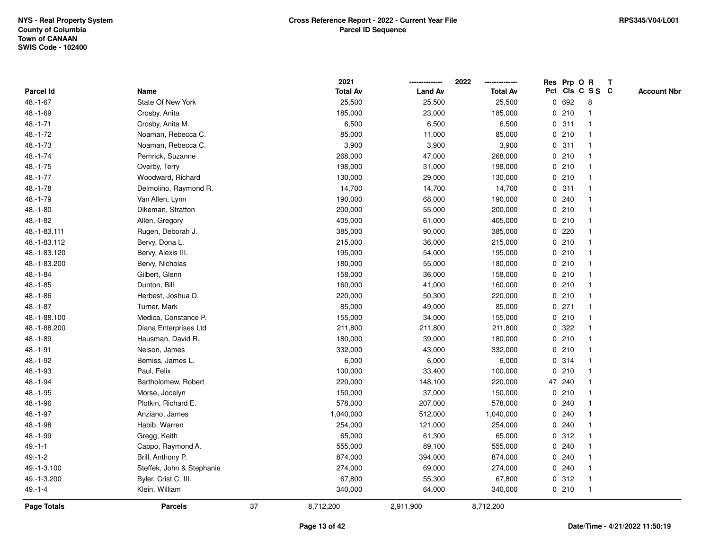|                  |                           |    | 2021            |                | 2022            |             |         | Res Prp O R     | $\mathbf{T}$ |                    |
|------------------|---------------------------|----|-----------------|----------------|-----------------|-------------|---------|-----------------|--------------|--------------------|
| <b>Parcel Id</b> | Name                      |    | <b>Total Av</b> | <b>Land Av</b> | <b>Total Av</b> |             |         | Pct Cls C S S C |              | <b>Account Nbr</b> |
| $48.-1-67$       | State Of New York         |    | 25,500          | 25,500         | 25,500          | 0           | 692     | 8               |              |                    |
| $48.-1-69$       | Crosby, Anita             |    | 185,000         | 23,000         | 185,000         |             | 0210    |                 |              |                    |
| $48.-1-71$       | Crosby, Anita M.          |    | 6,500           | 6,500          | 6,500           |             | 0.311   | -1              |              |                    |
| $48.-1-72$       | Noaman, Rebecca C.        |    | 85,000          | 11,000         | 85,000          | $\mathbf 0$ | 210     | $\mathbf{1}$    |              |                    |
| $48.-1-73$       | Noaman, Rebecca C.        |    | 3,900           | 3,900          | 3,900           | 0           | 311     | $\mathbf 1$     |              |                    |
| $48.-1-74$       | Pemrick, Suzanne          |    | 268,000         | 47,000         | 268,000         |             | 0210    | -1              |              |                    |
| $48.-1-75$       | Overby, Terry             |    | 198,000         | 31,000         | 198,000         |             | 0210    |                 |              |                    |
| 48.-1-77         | Woodward, Richard         |    | 130,000         | 29,000         | 130,000         |             | 0210    |                 |              |                    |
| $48.-1-78$       | Delmolino, Raymond R.     |    | 14,700          | 14,700         | 14,700          |             | 0.311   |                 |              |                    |
| 48.-1-79         | Van Allen, Lynn           |    | 190,000         | 68,000         | 190,000         |             | 0.240   |                 |              |                    |
| $48.-1-80$       | Dikeman, Stratton         |    | 200,000         | 55,000         | 200,000         |             | 0210    | $\mathbf 1$     |              |                    |
| 48.-1-82         | Allen, Gregory            |    | 405,000         | 61,000         | 405,000         |             | 0210    | $\mathbf{1}$    |              |                    |
| 48.-1-83.111     | Rugen, Deborah J.         |    | 385,000         | 90,000         | 385,000         |             | 0.220   |                 |              |                    |
| 48.-1-83.112     | Bervy, Dona L.            |    | 215,000         | 36,000         | 215,000         |             | 0210    |                 |              |                    |
| 48.-1-83.120     | Bervy, Alexis III.        |    | 195,000         | 54,000         | 195,000         |             | 0210    |                 |              |                    |
| 48.-1-83.200     | Bervy, Nicholas           |    | 180,000         | 55,000         | 180,000         |             | 0210    |                 |              |                    |
| $48.-1-84$       | Gilbert, Glenn            |    | 158,000         | 36,000         | 158,000         | $\mathbf 0$ | 210     |                 |              |                    |
| $48.-1-85$       | Dunton, Bill              |    | 160,000         | 41,000         | 160,000         |             | 0210    | $\mathbf 1$     |              |                    |
| $48.-1-86$       | Herbest, Joshua D.        |    | 220,000         | 50,300         | 220,000         |             | 0210    | $\mathbf 1$     |              |                    |
| $48.-1-87$       | Turner, Mark              |    | 85,000          | 49,000         | 85,000          |             | $0$ 271 |                 |              |                    |
| 48.-1-88.100     | Medica, Constance P.      |    | 155,000         | 34,000         | 155,000         |             | 0210    |                 |              |                    |
| 48.-1-88.200     | Diana Enterprises Ltd     |    | 211,800         | 211,800        | 211,800         |             | 0 322   |                 |              |                    |
| 48.-1-89         | Hausman, David R.         |    | 180,000         | 39,000         | 180,000         |             | 0210    |                 |              |                    |
| $48.-1-91$       | Nelson, James             |    | 332,000         | 43,000         | 332,000         | $\mathbf 0$ | 210     | $\mathbf{1}$    |              |                    |
| 48.-1-92         | Bemiss, James L.          |    | 6,000           | 6,000          | 6,000           | 0           | 314     | -1              |              |                    |
| 48.-1-93         | Paul, Felix               |    | 100,000         | 33,400         | 100,000         |             | 0210    | $\mathbf 1$     |              |                    |
| 48.-1-94         | Bartholomew, Robert       |    | 220,000         | 148,100        | 220,000         |             | 47 240  |                 |              |                    |
| 48.-1-95         | Morse, Jocelyn            |    | 150,000         | 37,000         | 150,000         |             | 0210    |                 |              |                    |
| 48.-1-96         | Plotkin, Richard E.       |    | 578,000         | 207,000        | 578,000         | $\mathbf 0$ | 240     |                 |              |                    |
| 48.-1-97         | Anziano, James            |    | 1,040,000       | 512,000        | 1,040,000       | 0           | 240     |                 |              |                    |
| 48.-1-98         | Habib, Warren             |    | 254,000         | 121,000        | 254,000         | 0           | 240     | -1              |              |                    |
| 48.-1-99         | Gregg, Keith              |    | 65,000          | 61,300         | 65,000          |             | 0.312   | -1              |              |                    |
| $49. - 1 - 1$    | Cappo, Raymond A.         |    | 555,000         | 89,100         | 555,000         |             | 0.240   |                 |              |                    |
| $49.-1-2$        | Brill, Anthony P.         |    | 874,000         | 394,000        | 874,000         |             | 0.240   |                 |              |                    |
| 49.-1-3.100      | Steffek, John & Stephanie |    | 274,000         | 69,000         | 274,000         |             | 0.240   |                 |              |                    |
| 49.-1-3.200      | Byler, Crist C. III.      |    | 67,800          | 55,300         | 67,800          |             | 0.312   | $\mathbf{1}$    |              |                    |
| $49 - 1 - 4$     | Klein, William            |    | 340,000         | 64,000         | 340,000         |             | 0210    | -1              |              |                    |
| Page Totals      | <b>Parcels</b>            | 37 | 8,712,200       | 2,911,900      | 8,712,200       |             |         |                 |              |                    |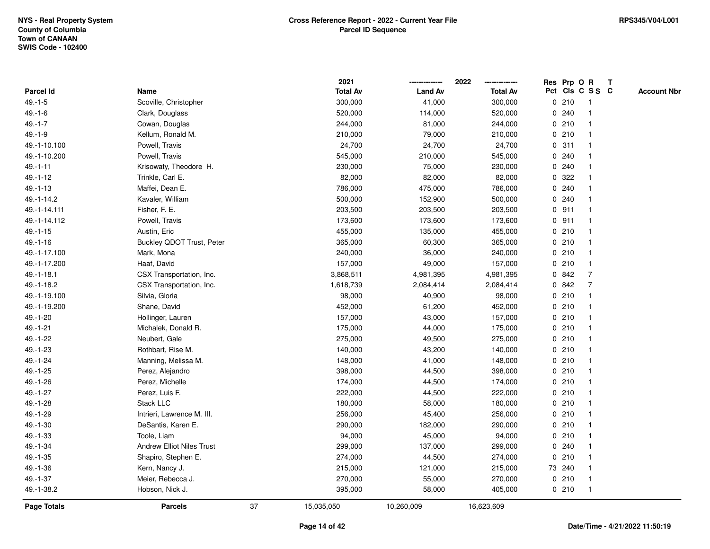|                    |                                  |    | 2021            |                | 2022            |   | Res Prp O R |                         | T |                    |
|--------------------|----------------------------------|----|-----------------|----------------|-----------------|---|-------------|-------------------------|---|--------------------|
| Parcel Id          | Name                             |    | <b>Total Av</b> | <b>Land Av</b> | <b>Total Av</b> |   |             | Pct Cls C S S C         |   | <b>Account Nbr</b> |
| $49. - 1 - 5$      | Scoville, Christopher            |    | 300,000         | 41,000         | 300,000         |   | 0210        | $\overline{\mathbf{1}}$ |   |                    |
| $49.-1-6$          | Clark, Douglass                  |    | 520,000         | 114,000        | 520,000         |   | 0.240       | $\overline{\mathbf{1}}$ |   |                    |
| $49. - 1 - 7$      | Cowan, Douglas                   |    | 244,000         | 81,000         | 244,000         |   | 0210        | 1                       |   |                    |
| $49. - 1 - 9$      | Kellum, Ronald M.                |    | 210,000         | 79,000         | 210,000         |   | 0210        |                         |   |                    |
| 49.-1-10.100       | Powell, Travis                   |    | 24,700          | 24,700         | 24,700          |   | 0.311       |                         |   |                    |
| 49.-1-10.200       | Powell, Travis                   |    | 545,000         | 210,000        | 545,000         |   | 0.240       |                         |   |                    |
| $49. - 1 - 11$     | Krisowaty, Theodore H.           |    | 230,000         | 75,000         | 230,000         |   | 0.240       |                         |   |                    |
| $49. - 1 - 12$     | Trinkle, Carl E.                 |    | 82,000          | 82,000         | 82,000          | 0 | 322         |                         |   |                    |
| $49. - 1 - 13$     | Maffei, Dean E.                  |    | 786,000         | 475,000        | 786,000         |   | 0.240       |                         |   |                    |
| 49.-1-14.2         | Kavaler, William                 |    | 500,000         | 152,900        | 500,000         |   | 0.240       |                         |   |                    |
| 49.-1-14.111       | Fisher, F. E.                    |    | 203,500         | 203,500        | 203,500         |   | $0$ 911     |                         |   |                    |
| 49.-1-14.112       | Powell, Travis                   |    | 173,600         | 173,600        | 173,600         |   | $0$ 911     |                         |   |                    |
| $49. - 1 - 15$     | Austin, Eric                     |    | 455,000         | 135,000        | 455,000         |   | 0210        |                         |   |                    |
| $49. - 1 - 16$     | <b>Buckley QDOT Trust, Peter</b> |    | 365,000         | 60,300         | 365,000         |   | 0210        | -1                      |   |                    |
| 49.-1-17.100       | Mark, Mona                       |    | 240,000         | 36,000         | 240,000         |   | 0210        | $\overline{1}$          |   |                    |
| 49.-1-17.200       | Haaf, David                      |    | 157,000         | 49,000         | 157,000         |   | 0210        | $\mathbf{1}$            |   |                    |
| 49.-1-18.1         | CSX Transportation, Inc.         |    | 3,868,511       | 4,981,395      | 4,981,395       |   | 0 842       | $\overline{7}$          |   |                    |
| 49.-1-18.2         | CSX Transportation, Inc.         |    | 1,618,739       | 2,084,414      | 2,084,414       |   | 0842        | 7                       |   |                    |
| 49.-1-19.100       | Silvia, Gloria                   |    | 98,000          | 40,900         | 98,000          |   | 0210        |                         |   |                    |
| 49.-1-19.200       | Shane, David                     |    | 452,000         | 61,200         | 452,000         |   | 0210        | -1                      |   |                    |
| 49.-1-20           | Hollinger, Lauren                |    | 157,000         | 43,000         | 157,000         |   | 0210        |                         |   |                    |
| $49.-1-21$         | Michalek, Donald R.              |    | 175,000         | 44,000         | 175,000         |   | 0210        | -1                      |   |                    |
| 49.-1-22           | Neubert, Gale                    |    | 275,000         | 49,500         | 275,000         |   | 0210        |                         |   |                    |
| 49.-1-23           | Rothbart, Rise M.                |    | 140,000         | 43,200         | 140,000         |   | 0210        |                         |   |                    |
| 49.-1-24           | Manning, Melissa M.              |    | 148,000         | 41,000         | 148,000         |   | 0210        |                         |   |                    |
| 49.-1-25           | Perez, Alejandro                 |    | 398,000         | 44,500         | 398,000         |   | 0210        |                         |   |                    |
| 49.-1-26           | Perez, Michelle                  |    | 174,000         | 44,500         | 174,000         |   | 0210        |                         |   |                    |
| 49.-1-27           | Perez, Luis F.                   |    | 222,000         | 44,500         | 222,000         |   | 0210        |                         |   |                    |
| 49.-1-28           | <b>Stack LLC</b>                 |    | 180,000         | 58,000         | 180,000         |   | 0210        | $\overline{1}$          |   |                    |
| 49.-1-29           | Intrieri, Lawrence M. III.       |    | 256,000         | 45,400         | 256,000         |   | 0210        | $\mathbf{1}$            |   |                    |
| 49.-1-30           | DeSantis, Karen E.               |    | 290,000         | 182,000        | 290,000         |   | 0210        |                         |   |                    |
| 49.-1-33           | Toole, Liam                      |    | 94,000          | 45,000         | 94,000          |   | 0210        |                         |   |                    |
| 49.-1-34           | <b>Andrew Elliot Niles Trust</b> |    | 299,000         | 137,000        | 299,000         |   | 0.240       |                         |   |                    |
| 49.-1-35           | Shapiro, Stephen E.              |    | 274,000         | 44,500         | 274,000         |   | 0210        | -1                      |   |                    |
| 49.-1-36           | Kern, Nancy J.                   |    | 215,000         | 121,000        | 215,000         |   | 73 240      |                         |   |                    |
| 49.-1-37           | Meier, Rebecca J.                |    | 270,000         | 55,000         | 270,000         |   | 0210        | $\overline{1}$          |   |                    |
| 49.-1-38.2         | Hobson, Nick J.                  |    | 395,000         | 58,000         | 405,000         |   | 0210        | $\overline{1}$          |   |                    |
| <b>Page Totals</b> | <b>Parcels</b>                   | 37 | 15,035,050      | 10,260,009     | 16,623,609      |   |             |                         |   |                    |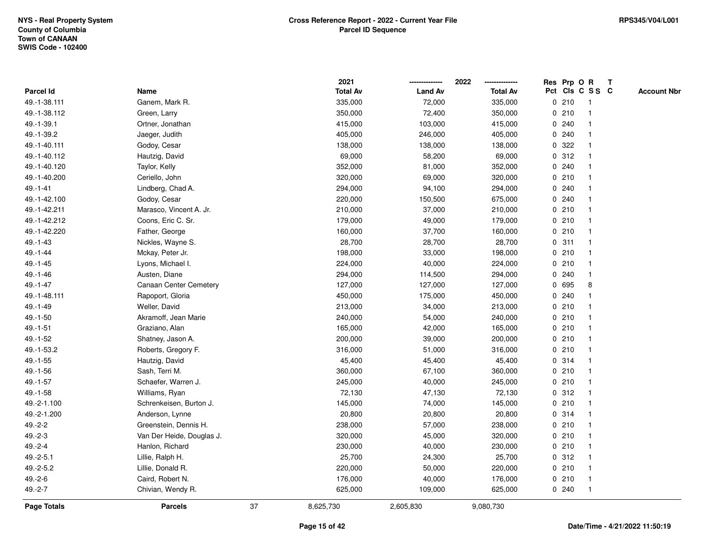|                |                           |    | 2021            |                | 2022            |             |       | Res Prp O R     | T |                    |
|----------------|---------------------------|----|-----------------|----------------|-----------------|-------------|-------|-----------------|---|--------------------|
| Parcel Id      | Name                      |    | <b>Total Av</b> | <b>Land Av</b> | <b>Total Av</b> |             |       | Pct Cls C S S C |   | <b>Account Nbr</b> |
| 49.-1-38.111   | Ganem, Mark R.            |    | 335,000         | 72,000         | 335,000         |             | 0210  | $\mathbf{1}$    |   |                    |
| 49.-1-38.112   | Green, Larry              |    | 350,000         | 72,400         | 350,000         | 0           | 210   | $\mathbf 1$     |   |                    |
| 49.-1-39.1     | Ortner, Jonathan          |    | 415,000         | 103,000        | 415,000         |             | 0.240 | $\mathbf{1}$    |   |                    |
| 49.-1-39.2     | Jaeger, Judith            |    | 405,000         | 246,000        | 405,000         |             | 0.240 |                 |   |                    |
| 49.-1-40.111   | Godoy, Cesar              |    | 138,000         | 138,000        | 138,000         |             | 0.322 |                 |   |                    |
| 49.-1-40.112   | Hautzig, David            |    | 69,000          | 58,200         | 69,000          |             | 0.312 |                 |   |                    |
| 49.-1-40.120   | Taylor, Kelly             |    | 352,000         | 81,000         | 352,000         |             | 0.240 |                 |   |                    |
| 49.-1-40.200   | Ceriello, John            |    | 320,000         | 69,000         | 320,000         | 0           | 210   | $\mathbf{1}$    |   |                    |
| $49. - 1 - 41$ | Lindberg, Chad A.         |    | 294,000         | 94,100         | 294,000         |             | 0.240 |                 |   |                    |
| 49.-1-42.100   | Godoy, Cesar              |    | 220,000         | 150,500        | 675,000         |             | 0.240 | $\mathbf 1$     |   |                    |
| 49.-1-42.211   | Marasco, Vincent A. Jr.   |    | 210,000         | 37,000         | 210,000         |             | 0210  |                 |   |                    |
| 49.-1-42.212   | Coons, Eric C. Sr.        |    | 179,000         | 49,000         | 179,000         |             | 0210  |                 |   |                    |
| 49.-1-42.220   | Father, George            |    | 160,000         | 37,700         | 160,000         |             | 0210  |                 |   |                    |
| $49. - 1 - 43$ | Nickles, Wayne S.         |    | 28,700          | 28,700         | 28,700          |             | 0.311 | $\mathbf 1$     |   |                    |
| 49.-1-44       | Mckay, Peter Jr.          |    | 198,000         | 33,000         | 198,000         | $\mathbf 0$ | 210   | $\mathbf{1}$    |   |                    |
| $49. - 1 - 45$ | Lyons, Michael I.         |    | 224,000         | 40,000         | 224,000         |             | 0210  | $\overline{1}$  |   |                    |
| 49.-1-46       | Austen, Diane             |    | 294,000         | 114,500        | 294,000         |             | 0.240 | $\mathbf{1}$    |   |                    |
| 49.-1-47       | Canaan Center Cemetery    |    | 127,000         | 127,000        | 127,000         |             | 0 695 | 8               |   |                    |
| 49.-1-48.111   | Rapoport, Gloria          |    | 450,000         | 175,000        | 450,000         |             | 0.240 |                 |   |                    |
| 49.-1-49       | Weller, David             |    | 213,000         | 34,000         | 213,000         |             | 0210  |                 |   |                    |
| $49.-1-50$     | Akramoff, Jean Marie      |    | 240,000         | 54,000         | 240,000         |             | 0210  |                 |   |                    |
| $49. - 1 - 51$ | Graziano, Alan            |    | 165,000         | 42,000         | 165,000         |             | 0210  |                 |   |                    |
| 49.-1-52       | Shatney, Jason A.         |    | 200,000         | 39,000         | 200,000         |             | 0210  | $\overline{1}$  |   |                    |
| 49.-1-53.2     | Roberts, Gregory F.       |    | 316,000         | 51,000         | 316,000         |             | 0210  | $\overline{1}$  |   |                    |
| $49.-1-55$     | Hautzig, David            |    | 45,400          | 45,400         | 45,400          |             | 0 314 | -1              |   |                    |
| 49.-1-56       | Sash, Terri M.            |    | 360,000         | 67,100         | 360,000         |             | 0210  |                 |   |                    |
| 49.-1-57       | Schaefer, Warren J.       |    | 245,000         | 40,000         | 245,000         |             | 0210  |                 |   |                    |
| 49.-1-58       | Williams, Ryan            |    | 72,130          | 47,130         | 72,130          |             | 0.312 |                 |   |                    |
| 49.-2-1.100    | Schrenkeisen, Burton J.   |    | 145,000         | 74,000         | 145,000         |             | 0210  |                 |   |                    |
| 49.-2-1.200    | Anderson, Lynne           |    | 20,800          | 20,800         | 20,800          |             | 0 314 | -1              |   |                    |
| $49.-2-2$      | Greenstein, Dennis H.     |    | 238,000         | 57,000         | 238,000         |             | 0210  | $\overline{1}$  |   |                    |
| $49.-2-3$      | Van Der Heide, Douglas J. |    | 320,000         | 45,000         | 320,000         |             | 0210  | -1              |   |                    |
| $49.-2-4$      | Hanlon, Richard           |    | 230,000         | 40,000         | 230,000         |             | 0210  |                 |   |                    |
| $49.-2-5.1$    | Lillie, Ralph H.          |    | 25,700          | 24,300         | 25,700          |             | 0.312 |                 |   |                    |
| 49.-2-5.2      | Lillie, Donald R.         |    | 220,000         | 50,000         | 220,000         |             | 0210  |                 |   |                    |
| $49.-2-6$      | Caird, Robert N.          |    | 176,000         | 40,000         | 176,000         |             | 0210  | -1              |   |                    |
| $49.-2-7$      | Chivian, Wendy R.         |    | 625,000         | 109,000        | 625,000         |             | 0.240 | $\overline{1}$  |   |                    |
| Page Totals    | <b>Parcels</b>            | 37 | 8,625,730       | 2,605,830      | 9,080,730       |             |       |                 |   |                    |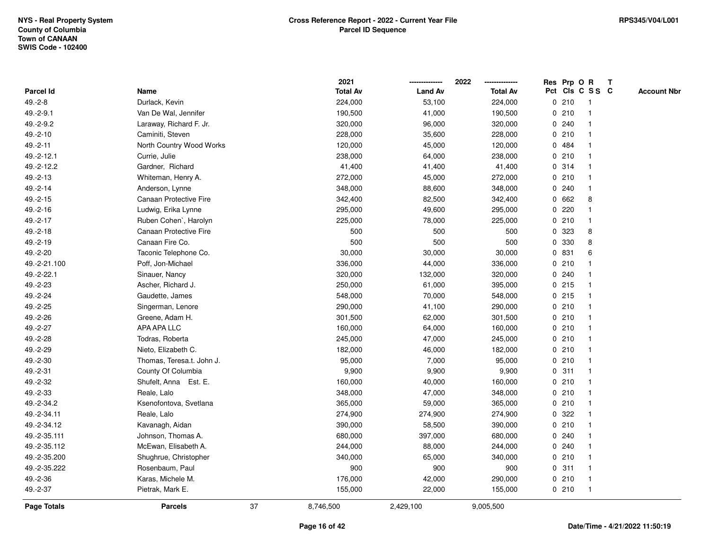|                  |                               |    | 2021            |                | 2022            |              |       | Res Prp O R     | Т |                    |
|------------------|-------------------------------|----|-----------------|----------------|-----------------|--------------|-------|-----------------|---|--------------------|
| <b>Parcel Id</b> | Name                          |    | <b>Total Av</b> | <b>Land Av</b> | <b>Total Av</b> |              |       | Pct Cls C S S C |   | <b>Account Nbr</b> |
| $49.-2-8$        | Durlack, Kevin                |    | 224,000         | 53,100         | 224,000         |              | 0210  | $\mathbf{1}$    |   |                    |
| 49.-2-9.1        | Van De Wal, Jennifer          |    | 190,500         | 41,000         | 190,500         | 0            | 210   | -1              |   |                    |
| 49.-2-9.2        | Laraway, Richard F. Jr.       |    | 320,000         | 96,000         | 320,000         |              | 0.240 | $\mathbf{1}$    |   |                    |
| 49.-2-10         | Caminiti, Steven              |    | 228,000         | 35,600         | 228,000         |              | 0210  | 1               |   |                    |
| 49.-2-11         | North Country Wood Works      |    | 120,000         | 45,000         | 120,000         |              | 0.484 |                 |   |                    |
| 49.-2-12.1       | Currie, Julie                 |    | 238,000         | 64,000         | 238,000         |              | 0210  |                 |   |                    |
| 49.-2-12.2       | Gardner, Richard              |    | 41,400          | 41,400         | 41,400          |              | 0.314 |                 |   |                    |
| $49.-2-13$       | Whiteman, Henry A.            |    | 272,000         | 45,000         | 272,000         | 0            | 210   | $\mathbf{1}$    |   |                    |
| 49.-2-14         | Anderson, Lynne               |    | 348,000         | 88,600         | 348,000         | 0            | 240   | $\mathbf{1}$    |   |                    |
| $49.-2-15$       | Canaan Protective Fire        |    | 342,400         | 82,500         | 342,400         |              | 0 662 | 8               |   |                    |
| 49.-2-16         | Ludwig, Erika Lynne           |    | 295,000         | 49,600         | 295,000         |              | 0.220 |                 |   |                    |
| 49.-2-17         | Ruben Cohen', Harolyn         |    | 225,000         | 78,000         | 225,000         |              | 0210  |                 |   |                    |
| 49.-2-18         | <b>Canaan Protective Fire</b> |    | 500             | 500            | 500             | $\mathbf{0}$ | 323   | 8               |   |                    |
| 49.-2-19         | Canaan Fire Co.               |    | 500             | 500            | 500             | 0            | 330   | 8               |   |                    |
| 49.-2-20         | Taconic Telephone Co.         |    | 30,000          | 30,000         | 30,000          | $\mathbf 0$  | 831   | 6               |   |                    |
| 49.-2-21.100     | Poff, Jon-Michael             |    | 336,000         | 44,000         | 336,000         | 0            | 210   |                 |   |                    |
| 49.-2-22.1       | Sinauer, Nancy                |    | 320,000         | 132,000        | 320,000         |              | 0.240 | $\mathbf 1$     |   |                    |
| 49.-2-23         | Ascher, Richard J.            |    | 250,000         | 61,000         | 395,000         |              | 0.215 |                 |   |                    |
| 49.-2-24         | Gaudette, James               |    | 548,000         | 70,000         | 548,000         |              | 0215  |                 |   |                    |
| 49.-2-25         | Singerman, Lenore             |    | 290,000         | 41,100         | 290,000         |              | 0210  |                 |   |                    |
| 49.-2-26         | Greene, Adam H.               |    | 301,500         | 62,000         | 301,500         |              | 0210  | $\mathbf{1}$    |   |                    |
| 49.-2-27         | APA APA LLC                   |    | 160,000         | 64,000         | 160,000         |              | 0210  | $\mathbf{1}$    |   |                    |
| 49.-2-28         | Todras, Roberta               |    | 245,000         | 47,000         | 245,000         |              | 0210  | $\mathbf{1}$    |   |                    |
| 49.-2-29         | Nieto, Elizabeth C.           |    | 182,000         | 46,000         | 182,000         |              | 0210  | $\mathbf{1}$    |   |                    |
| 49.-2-30         | Thomas, Teresa.t. John J.     |    | 95,000          | 7,000          | 95,000          |              | 0210  | 1               |   |                    |
| 49.-2-31         | County Of Columbia            |    | 9,900           | 9,900          | 9,900           |              | 0.311 |                 |   |                    |
| 49.-2-32         | Shufelt, Anna Est. E.         |    | 160,000         | 40,000         | 160,000         |              | 0210  |                 |   |                    |
| 49.-2-33         | Reale, Lalo                   |    | 348,000         | 47,000         | 348,000         |              | 0210  | $\mathbf 1$     |   |                    |
| 49.-2-34.2       | Ksenofontova, Svetlana        |    | 365,000         | 59,000         | 365,000         |              | 0210  | $\mathbf{1}$    |   |                    |
| 49.-2-34.11      | Reale, Lalo                   |    | 274,900         | 274,900        | 274,900         | $\mathbf 0$  | 322   | -1              |   |                    |
| 49.-2-34.12      | Kavanagh, Aidan               |    | 390,000         | 58,500         | 390,000         |              | 0210  | $\mathbf{1}$    |   |                    |
| 49.-2-35.111     | Johnson, Thomas A.            |    | 680,000         | 397,000        | 680,000         |              | 0.240 | -1              |   |                    |
| 49.-2-35.112     | McEwan, Elisabeth A.          |    | 244,000         | 88,000         | 244,000         |              | 0.240 |                 |   |                    |
| 49.-2-35.200     | Shughrue, Christopher         |    | 340,000         | 65,000         | 340,000         |              | 0210  |                 |   |                    |
| 49.-2-35.222     | Rosenbaum, Paul               |    | 900             | 900            | 900             |              | 0.311 | $\mathbf{1}$    |   |                    |
| 49.-2-36         | Karas, Michele M.             |    | 176,000         | 42,000         | 290,000         |              | 0210  | $\mathbf{1}$    |   |                    |
| 49.-2-37         | Pietrak, Mark E.              |    | 155,000         | 22,000         | 155,000         |              | 0210  | $\mathbf{1}$    |   |                    |
| Page Totals      | <b>Parcels</b>                | 37 | 8,746,500       | 2,429,100      | 9,005,500       |              |       |                 |   |                    |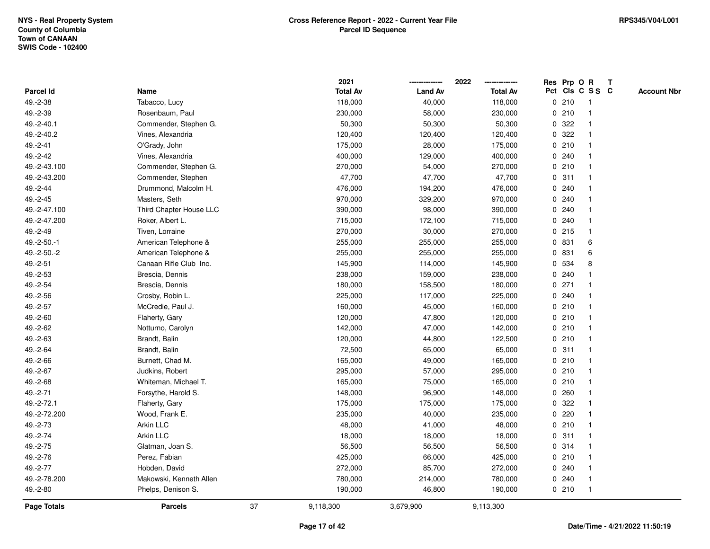|               |                         |    | 2021            |                | 2022            |             |         | Res Prp O R             | T |                    |
|---------------|-------------------------|----|-----------------|----------------|-----------------|-------------|---------|-------------------------|---|--------------------|
| Parcel Id     | Name                    |    | <b>Total Av</b> | <b>Land Av</b> | <b>Total Av</b> |             |         | Pct Cls C S S C         |   | <b>Account Nbr</b> |
| 49.-2-38      | Tabacco, Lucy           |    | 118,000         | 40,000         | 118,000         | 0           | 210     | $\mathbf{1}$            |   |                    |
| 49.-2-39      | Rosenbaum, Paul         |    | 230,000         | 58,000         | 230,000         | 0           | 210     | $\overline{\mathbf{1}}$ |   |                    |
| 49.-2-40.1    | Commender, Stephen G.   |    | 50,300          | 50,300         | 50,300          |             | 0.322   | -1                      |   |                    |
| 49.-2-40.2    | Vines, Alexandria       |    | 120,400         | 120,400        | 120,400         |             | 0 322   |                         |   |                    |
| 49.-2-41      | O'Grady, John           |    | 175,000         | 28,000         | 175,000         |             | 0210    |                         |   |                    |
| 49.-2-42      | Vines, Alexandria       |    | 400,000         | 129,000        | 400,000         |             | 0.240   |                         |   |                    |
| 49.-2-43.100  | Commender, Stephen G.   |    | 270,000         | 54,000         | 270,000         |             | 0210    |                         |   |                    |
| 49.-2-43.200  | Commender, Stephen      |    | 47,700          | 47,700         | 47,700          | 0           | 311     |                         |   |                    |
| 49.-2-44      | Drummond, Malcolm H.    |    | 476,000         | 194,200        | 476,000         | 0           | 240     |                         |   |                    |
| 49.-2-45      | Masters, Seth           |    | 970,000         | 329,200        | 970,000         |             | 0.240   | -1                      |   |                    |
| 49.-2-47.100  | Third Chapter House LLC |    | 390,000         | 98,000         | 390,000         |             | 0.240   |                         |   |                    |
| 49.-2-47.200  | Roker, Albert L.        |    | 715,000         | 172,100        | 715,000         |             | 0.240   |                         |   |                    |
| 49.-2-49      | Tiven, Lorraine         |    | 270,000         | 30,000         | 270,000         |             | $0$ 215 |                         |   |                    |
| $49.-2-50.-1$ | American Telephone &    |    | 255,000         | 255,000        | 255,000         |             | 0 831   | 6                       |   |                    |
| 49.-2-50.-2   | American Telephone &    |    | 255,000         | 255,000        | 255,000         | $\mathbf 0$ | 831     | 6                       |   |                    |
| 49.-2-51      | Canaan Rifle Club Inc.  |    | 145,900         | 114,000        | 145,900         | 0           | 534     | 8                       |   |                    |
| 49.-2-53      | Brescia, Dennis         |    | 238,000         | 159,000        | 238,000         |             | 0.240   |                         |   |                    |
| 49.-2-54      | Brescia, Dennis         |    | 180,000         | 158,500        | 180,000         |             | $0$ 271 |                         |   |                    |
| 49.-2-56      | Crosby, Robin L.        |    | 225,000         | 117,000        | 225,000         |             | 0.240   |                         |   |                    |
| 49.-2-57      | McCredie, Paul J.       |    | 160,000         | 45,000         | 160,000         |             | 0210    |                         |   |                    |
| 49.-2-60      | Flaherty, Gary          |    | 120,000         | 47,800         | 120,000         |             | 0210    |                         |   |                    |
| 49.-2-62      | Notturno, Carolyn       |    | 142,000         | 47,000         | 142,000         |             | 0210    |                         |   |                    |
| 49.-2-63      | Brandt, Balin           |    | 120,000         | 44,800         | 122,500         | 0           | 210     | $\mathbf{1}$            |   |                    |
| 49.-2-64      | Brandt, Balin           |    | 72,500          | 65,000         | 65,000          | $\mathbf 0$ | 311     | $\mathbf{1}$            |   |                    |
| 49.-2-66      | Burnett, Chad M.        |    | 165,000         | 49,000         | 165,000         |             | 0210    |                         |   |                    |
| 49.-2-67      | Judkins, Robert         |    | 295,000         | 57,000         | 295,000         |             | 0210    |                         |   |                    |
| 49.-2-68      | Whiteman, Michael T.    |    | 165,000         | 75,000         | 165,000         |             | 0210    |                         |   |                    |
| 49.-2-71      | Forsythe, Harold S.     |    | 148,000         | 96,900         | 148,000         | 0           | 260     |                         |   |                    |
| 49.-2-72.1    | Flaherty, Gary          |    | 175,000         | 175,000        | 175,000         | 0           | 322     |                         |   |                    |
| 49.-2-72.200  | Wood, Frank E.          |    | 235,000         | 40,000         | 235,000         | 0           | 220     |                         |   |                    |
| 49.-2-73      | Arkin LLC               |    | 48,000          | 41,000         | 48,000          | 0           | 210     | -1                      |   |                    |
| 49.-2-74      | Arkin LLC               |    | 18,000          | 18,000         | 18,000          |             | 0.311   | $\mathbf 1$             |   |                    |
| 49.-2-75      | Glatman, Joan S.        |    | 56,500          | 56,500         | 56,500          |             | 0.314   |                         |   |                    |
| 49.-2-76      | Perez, Fabian           |    | 425,000         | 66,000         | 425,000         |             | 0210    |                         |   |                    |
| 49.-2-77      | Hobden, David           |    | 272,000         | 85,700         | 272,000         |             | 0.240   |                         |   |                    |
| 49.-2-78.200  | Makowski, Kenneth Allen |    | 780,000         | 214,000        | 780,000         |             | 0.240   | -1                      |   |                    |
| 49.-2-80      | Phelps, Denison S.      |    | 190,000         | 46,800         | 190,000         |             | 0210    | $\mathbf{1}$            |   |                    |
| Page Totals   | <b>Parcels</b>          | 37 | 9,118,300       | 3,679,900      | 9,113,300       |             |         |                         |   |                    |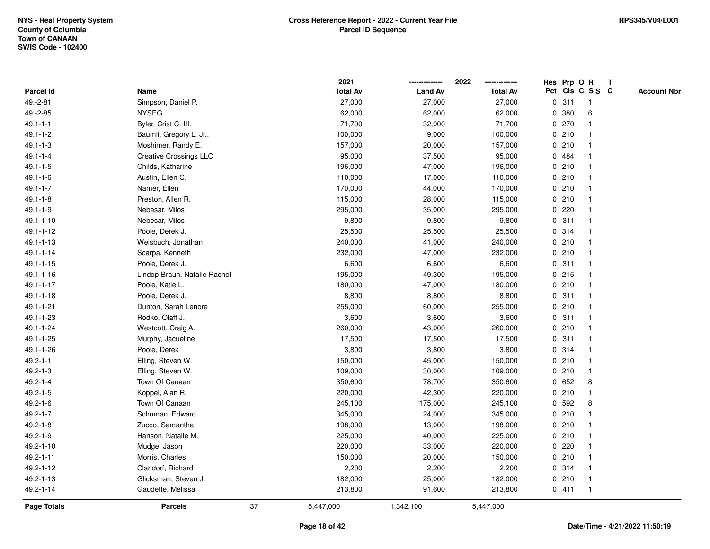|                    |                               |    | 2021            |                | 2022            |             |       | Res Prp O R     | $\mathbf{T}$ |                    |
|--------------------|-------------------------------|----|-----------------|----------------|-----------------|-------------|-------|-----------------|--------------|--------------------|
| Parcel Id          | Name                          |    | <b>Total Av</b> | <b>Land Av</b> | <b>Total Av</b> |             |       | Pct Cls C S S C |              | <b>Account Nbr</b> |
| 49.-2-81           | Simpson, Daniel P.            |    | 27,000          | 27,000         | 27,000          |             | 0.311 | $\mathbf{1}$    |              |                    |
| 49.-2-85           | <b>NYSEG</b>                  |    | 62,000          | 62,000         | 62,000          | $\mathbf 0$ | 380   | 6               |              |                    |
| $49.1 - 1 - 1$     | Byler, Crist C. III.          |    | 71,700          | 32,900         | 71,700          |             | 0 270 |                 |              |                    |
| $49.1 - 1 - 2$     | Baumli, Gregory L. Jr         |    | 100,000         | 9,000          | 100,000         | 0           | 210   | -1              |              |                    |
| $49.1 - 1 - 3$     | Moshimer, Randy E.            |    | 157,000         | 20,000         | 157,000         | $\mathbf 0$ | 210   | $\overline{1}$  |              |                    |
| $49.1 - 1 - 4$     | <b>Creative Crossings LLC</b> |    | 95,000          | 37,500         | 95,000          |             | 0 484 | -1              |              |                    |
| $49.1 - 1 - 5$     | Childs, Katharine             |    | 196,000         | 47,000         | 196,000         |             | 0210  |                 |              |                    |
| $49.1 - 1 - 6$     | Austin, Ellen C.              |    | 110,000         | 17,000         | 110,000         |             | 0210  |                 |              |                    |
| $49.1 - 1 - 7$     | Namer, Ellen                  |    | 170,000         | 44,000         | 170,000         |             | 0210  |                 |              |                    |
| $49.1 - 1 - 8$     | Preston, Allen R.             |    | 115,000         | 28,000         | 115,000         |             | 0210  |                 |              |                    |
| $49.1 - 1 - 9$     | Nebesar, Milos                |    | 295,000         | 35,000         | 295,000         | 0           | 220   | -1              |              |                    |
| 49.1-1-10          | Nebesar, Milos                |    | 9,800           | 9,800          | 9,800           | 0           | 311   | $\mathbf{1}$    |              |                    |
| 49.1-1-12          | Poole, Derek J.               |    | 25,500          | 25,500         | 25,500          |             | 0 314 |                 |              |                    |
| 49.1-1-13          | Weisbuch, Jonathan            |    | 240,000         | 41,000         | 240,000         |             | 0210  |                 |              |                    |
| $49.1 - 1 - 14$    | Scarpa, Kenneth               |    | 232,000         | 47,000         | 232,000         |             | 0210  |                 |              |                    |
| $49.1 - 1 - 15$    | Poole, Derek J.               |    | 6,600           | 6,600          | 6,600           |             | 0.311 | -1              |              |                    |
| $49.1 - 1 - 16$    | Lindop-Braun, Natalie Rachel  |    | 195,000         | 49,300         | 195,000         | 0           | 215   | $\overline{1}$  |              |                    |
| 49.1-1-17          | Poole, Katie L.               |    | 180,000         | 47,000         | 180,000         | 0           | 210   | $\overline{1}$  |              |                    |
| 49.1-1-18          | Poole, Derek J.               |    | 8,800           | 8,800          | 8,800           |             | 0.311 | $\mathbf{1}$    |              |                    |
| $49.1 - 1 - 21$    | Dunton, Sarah Lenore          |    | 255,000         | 60,000         | 255,000         |             | 0210  |                 |              |                    |
| 49.1-1-23          | Rodko, Olaff J.               |    | 3,600           | 3,600          | 3,600           |             | 0.311 |                 |              |                    |
| 49.1-1-24          | Westcott, Craig A.            |    | 260,000         | 43,000         | 260,000         |             | 0210  |                 |              |                    |
| 49.1-1-25          | Murphy, Jacueline             |    | 17,500          | 17,500         | 17,500          |             | 0.311 | -1              |              |                    |
| 49.1-1-26          | Poole, Derek                  |    | 3,800           | 3,800          | 3,800           |             | 0.314 | $\mathbf{1}$    |              |                    |
| $49.2 - 1 - 1$     | Elling, Steven W.             |    | 150,000         | 45,000         | 150,000         |             | 0210  | -1              |              |                    |
| $49.2 - 1 - 3$     | Elling, Steven W.             |    | 109,000         | 30,000         | 109,000         |             | 0210  | $\mathbf{1}$    |              |                    |
| $49.2 - 1 - 4$     | Town Of Canaan                |    | 350,600         | 78,700         | 350,600         |             | 0 652 | 8               |              |                    |
| $49.2 - 1 - 5$     | Koppel, Alan R.               |    | 220,000         | 42,300         | 220,000         |             | 0210  |                 |              |                    |
| $49.2 - 1 - 6$     | Town Of Canaan                |    | 245,100         | 175,000        | 245,100         |             | 0 592 | 8               |              |                    |
| $49.2 - 1 - 7$     | Schuman, Edward               |    | 345,000         | 24,000         | 345,000         | 0           | 210   |                 |              |                    |
| $49.2 - 1 - 8$     | Zucco, Samantha               |    | 198,000         | 13,000         | 198,000         | 0           | 210   | $\overline{1}$  |              |                    |
| $49.2 - 1 - 9$     | Hanson, Natalie M.            |    | 225,000         | 40,000         | 225,000         |             | 0210  | $\overline{1}$  |              |                    |
| 49.2-1-10          | Mudge, Jason                  |    | 220,000         | 33,000         | 220,000         |             | 0.220 |                 |              |                    |
| 49.2-1-11          | Morris, Charles               |    | 150,000         | 20,000         | 150,000         |             | 0210  |                 |              |                    |
| 49.2-1-12          | Clandorf, Richard             |    | 2,200           | 2,200          | 2,200           |             | 0.314 |                 |              |                    |
| 49.2-1-13          | Glicksman, Steven J.          |    | 182,000         | 25,000         | 182,000         |             | 0210  | $\overline{1}$  |              |                    |
| 49.2-1-14          | Gaudette, Melissa             |    | 213,800         | 91,600         | 213,800         |             | 0411  | $\overline{1}$  |              |                    |
| <b>Page Totals</b> | <b>Parcels</b>                | 37 | 5,447,000       | 1,342,100      | 5,447,000       |             |       |                 |              |                    |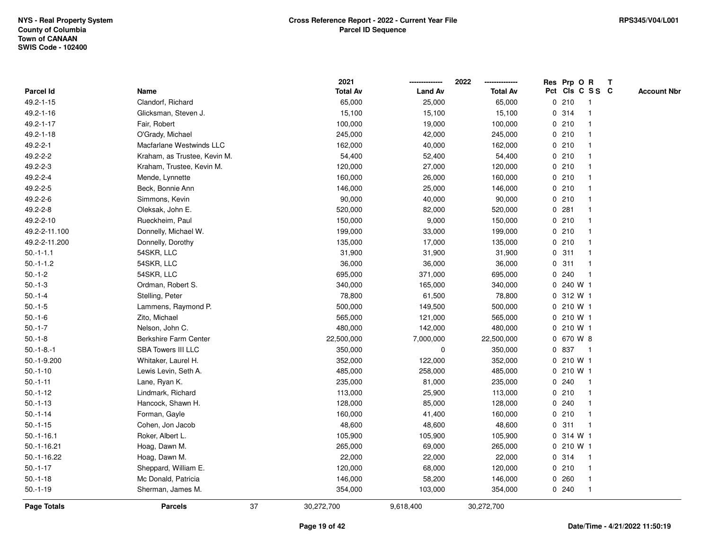|                    |                              |    | 2021            |                | 2022            |             | Res Prp O R  |                         | Т |                    |
|--------------------|------------------------------|----|-----------------|----------------|-----------------|-------------|--------------|-------------------------|---|--------------------|
| Parcel Id          | Name                         |    | <b>Total Av</b> | <b>Land Av</b> | <b>Total Av</b> |             |              | Pct Cls C S S C         |   | <b>Account Nbr</b> |
| 49.2-1-15          | Clandorf, Richard            |    | 65,000          | 25,000         | 65,000          |             | 0210         | $\mathbf{1}$            |   |                    |
| 49.2-1-16          | Glicksman, Steven J.         |    | 15,100          | 15,100         | 15,100          |             | 0.314        | $\mathbf 1$             |   |                    |
| 49.2-1-17          | Fair, Robert                 |    | 100,000         | 19,000         | 100,000         |             | 0210         | $\mathbf 1$             |   |                    |
| 49.2-1-18          | O'Grady, Michael             |    | 245,000         | 42,000         | 245,000         |             | 0210         |                         |   |                    |
| 49.2-2-1           | Macfarlane Westwinds LLC     |    | 162,000         | 40,000         | 162,000         |             | 0210         |                         |   |                    |
| 49.2-2-2           | Kraham, as Trustee, Kevin M. |    | 54,400          | 52,400         | 54,400          |             | 0210         |                         |   |                    |
| 49.2-2-3           | Kraham, Trustee, Kevin M.    |    | 120,000         | 27,000         | 120,000         |             | 0210         |                         |   |                    |
| 49.2-2-4           | Mende, Lynnette              |    | 160,000         | 26,000         | 160,000         |             | 0210         | $\overline{\mathbf{1}}$ |   |                    |
| 49.2-2-5           | Beck, Bonnie Ann             |    | 146,000         | 25,000         | 146,000         |             | 0210         | -1                      |   |                    |
| 49.2-2-6           | Simmons, Kevin               |    | 90,000          | 40,000         | 90,000          |             | 0210         | $\mathbf 1$             |   |                    |
| 49.2-2-8           | Oleksak, John E.             |    | 520,000         | 82,000         | 520,000         |             | 0.281        | -1                      |   |                    |
| 49.2-2-10          | Rueckheim, Paul              |    | 150,000         | 9,000          | 150,000         |             | 0210         |                         |   |                    |
| 49.2-2-11.100      | Donnelly, Michael W.         |    | 199,000         | 33,000         | 199,000         |             | 0210         |                         |   |                    |
| 49.2-2-11.200      | Donnelly, Dorothy            |    | 135,000         | 17,000         | 135,000         |             | 0210         |                         |   |                    |
| $50.-1-1.1$        | 54SKR, LLC                   |    | 31,900          | 31,900         | 31,900          | 0           | 311          |                         |   |                    |
| $50.-1-1.2$        | 54SKR, LLC                   |    | 36,000          | 36,000         | 36,000          | $\mathbf 0$ | 311          | -1                      |   |                    |
| $50.-1-2$          | 54SKR, LLC                   |    | 695,000         | 371,000        | 695,000         |             | 0.240        | $\mathbf{1}$            |   |                    |
| $50.-1-3$          | Ordman, Robert S.            |    | 340,000         | 165,000        | 340,000         |             | 0 240 W 1    |                         |   |                    |
| $50.-1-4$          | Stelling, Peter              |    | 78,800          | 61,500         | 78,800          |             | 0 312 W 1    |                         |   |                    |
| $50.-1-5$          | Lammens, Raymond P.          |    | 500,000         | 149,500        | 500,000         |             | 0 210 W 1    |                         |   |                    |
| $50.-1-6$          | Zito, Michael                |    | 565,000         | 121,000        | 565,000         |             | 0 210 W 1    |                         |   |                    |
| $50.-1-7$          | Nelson, John C.              |    | 480,000         | 142,000        | 480,000         |             | 0 210 W 1    |                         |   |                    |
| $50.-1-8$          | <b>Berkshire Farm Center</b> |    | 22,500,000      | 7,000,000      | 22,500,000      |             | 0 670 W 8    |                         |   |                    |
| $50.-1-8.-1$       | <b>SBA Towers III LLC</b>    |    | 350,000         | $\mathbf 0$    | 350,000         |             | 0 837        | $\mathbf{1}$            |   |                    |
| 50.-1-9.200        | Whitaker, Laurel H.          |    | 352,000         | 122,000        | 352,000         |             | 0 210 W 1    |                         |   |                    |
| $50.-1-10$         | Lewis Levin, Seth A.         |    | 485,000         | 258,000        | 485,000         |             | 0 210 W 1    |                         |   |                    |
| $50.-1-11$         | Lane, Ryan K.                |    | 235,000         | 81,000         | 235,000         |             | 0.240        |                         |   |                    |
| $50.-1-12$         | Lindmark, Richard            |    | 113,000         | 25,900         | 113,000         |             | 0210         | -1                      |   |                    |
| $50.-1-13$         | Hancock, Shawn H.            |    | 128,000         | 85,000         | 128,000         |             | 0.240        | -1                      |   |                    |
| $50.-1-14$         | Forman, Gayle                |    | 160,000         | 41,400         | 160,000         |             | 0210         | $\overline{1}$          |   |                    |
| $50.-1-15$         | Cohen, Jon Jacob             |    | 48,600          | 48,600         | 48,600          | 0           | 311          | -1                      |   |                    |
| $50.-1-16.1$       | Roker, Albert L.             |    | 105,900         | 105,900        | 105,900         |             | 0 314 W 1    |                         |   |                    |
| $50.-1-16.21$      | Hoag, Dawn M.                |    | 265,000         | 69,000         | 265,000         |             | $0, 210$ W 1 |                         |   |                    |
| 50.-1-16.22        | Hoag, Dawn M.                |    | 22,000          | 22,000         | 22,000          |             | 0.314        | -1                      |   |                    |
| $50.-1-17$         | Sheppard, William E.         |    | 120,000         | 68,000         | 120,000         |             | 0210         | $\mathbf 1$             |   |                    |
| $50.-1-18$         | Mc Donald, Patricia          |    | 146,000         | 58,200         | 146,000         |             | 0.260        | $\mathbf 1$             |   |                    |
| $50.-1-19$         | Sherman, James M.            |    | 354,000         | 103,000        | 354,000         |             | 0.240        | $\mathbf{1}$            |   |                    |
| <b>Page Totals</b> | <b>Parcels</b>               | 37 | 30,272,700      | 9,618,400      | 30,272,700      |             |              |                         |   |                    |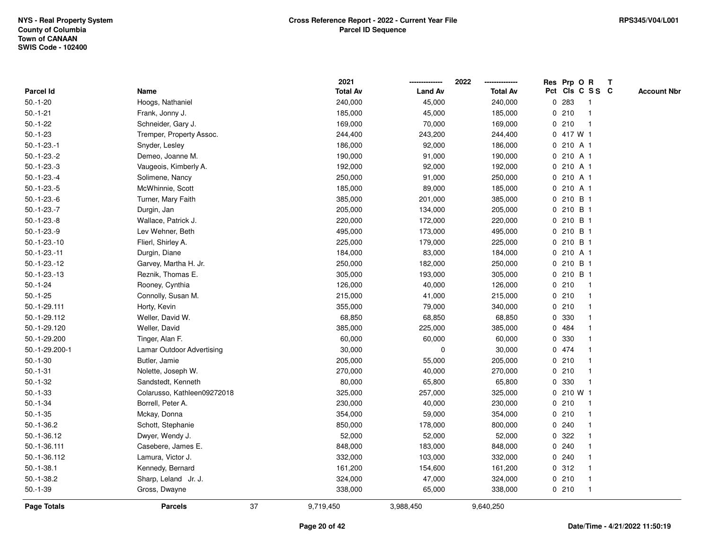|                  |                             |    | 2021            |                | 2022            | Res Prp O R |           |                 | $\mathbf{T}$ |                    |
|------------------|-----------------------------|----|-----------------|----------------|-----------------|-------------|-----------|-----------------|--------------|--------------------|
| <b>Parcel Id</b> | Name                        |    | <b>Total Av</b> | <b>Land Av</b> | <b>Total Av</b> |             |           | Pct Cls C S S C |              | <b>Account Nbr</b> |
| $50.-1-20$       | Hoogs, Nathaniel            |    | 240,000         | 45,000         | 240,000         | 0           | 283       |                 |              |                    |
| $50.-1-21$       | Frank, Jonny J.             |    | 185,000         | 45,000         | 185,000         |             | 0210      |                 |              |                    |
| $50.-1-22$       | Schneider, Gary J.          |    | 169,000         | 70,000         | 169,000         | 0           | 210       | -1              |              |                    |
| $50.-1-23$       | Tremper, Property Assoc.    |    | 244,400         | 243,200        | 244,400         |             | 0 417 W 1 |                 |              |                    |
| $50.-1-23.-1$    | Snyder, Lesley              |    | 186,000         | 92,000         | 186,000         |             | 0 210 A 1 |                 |              |                    |
| $50.-1-23.-2$    | Demeo, Joanne M.            |    | 190,000         | 91,000         | 190,000         |             | 0 210 A 1 |                 |              |                    |
| $50.-1-23.-3$    | Vaugeois, Kimberly A.       |    | 192,000         | 92,000         | 192,000         |             | 0 210 A 1 |                 |              |                    |
| $50.-1-23.-4$    | Solimene, Nancy             |    | 250,000         | 91,000         | 250,000         |             | 0 210 A 1 |                 |              |                    |
| $50.-1-23.-5$    | McWhinnie, Scott            |    | 185,000         | 89,000         | 185,000         |             | 0 210 A 1 |                 |              |                    |
| $50.-1-23.-6$    | Turner, Mary Faith          |    | 385,000         | 201,000        | 385,000         | 0           | 210 B 1   |                 |              |                    |
| $50.-1-23.-7$    | Durgin, Jan                 |    | 205,000         | 134,000        | 205,000         | 0           | 210 B 1   |                 |              |                    |
| $50.-1-23.-8$    | Wallace, Patrick J.         |    | 220,000         | 172,000        | 220,000         |             | 0 210 B 1 |                 |              |                    |
| $50.-1-23.-9$    | Lev Wehner, Beth            |    | 495,000         | 173,000        | 495,000         |             | 0 210 B 1 |                 |              |                    |
| $50.-1-23.-10$   | Flierl, Shirley A.          |    | 225,000         | 179,000        | 225,000         |             | 0 210 B 1 |                 |              |                    |
| $50.-1-23.-11$   | Durgin, Diane               |    | 184,000         | 83,000         | 184,000         |             | 0 210 A 1 |                 |              |                    |
| $50.-1-23.-12$   | Garvey, Martha H. Jr.       |    | 250,000         | 182,000        | 250,000         | 0           | 210 B 1   |                 |              |                    |
| $50.-1-23.-13$   | Reznik, Thomas E.           |    | 305,000         | 193,000        | 305,000         | 0           | 210 B 1   |                 |              |                    |
| $50.-1-24$       | Rooney, Cynthia             |    | 126,000         | 40,000         | 126,000         | 0           | 210       | $\mathbf 1$     |              |                    |
| $50.-1-25$       | Connolly, Susan M.          |    | 215,000         | 41,000         | 215,000         |             | 0210      | $\mathbf 1$     |              |                    |
| 50.-1-29.111     | Horty, Kevin                |    | 355,000         | 79,000         | 340,000         |             | 0210      |                 |              |                    |
| 50.-1-29.112     | Weller, David W.            |    | 68,850          | 68,850         | 68,850          |             | 0 330     |                 |              |                    |
| 50.-1-29.120     | Weller, David               |    | 385,000         | 225,000        | 385,000         | 0           | 484       |                 |              |                    |
| 50.-1-29.200     | Tinger, Alan F.             |    | 60,000          | 60,000         | 60,000          | 0           | 330       |                 |              |                    |
| 50.-1-29.200-1   | Lamar Outdoor Advertising   |    | 30,000          | 0              | 30,000          |             | 0 474     |                 |              |                    |
| $50.-1-30$       | Butler, Jamie               |    | 205,000         | 55,000         | 205,000         |             | 0210      |                 |              |                    |
| $50.-1-31$       | Nolette, Joseph W.          |    | 270,000         | 40,000         | 270,000         |             | 0210      |                 |              |                    |
| $50.-1-32$       | Sandstedt, Kenneth          |    | 80,000          | 65,800         | 65,800          |             | 0 330     |                 |              |                    |
| $50.-1-33$       | Colarusso, Kathleen09272018 |    | 325,000         | 257,000        | 325,000         |             | 0 210 W 1 |                 |              |                    |
| $50.-1-34$       | Borrell, Peter A.           |    | 230,000         | 40,000         | 230,000         |             | 0210      |                 |              |                    |
| $50.-1-35$       | Mckay, Donna                |    | 354,000         | 59,000         | 354,000         |             | 0210      |                 |              |                    |
| $50.-1-36.2$     | Schott, Stephanie           |    | 850,000         | 178,000        | 800,000         |             | 0.240     |                 |              |                    |
| 50.-1-36.12      | Dwyer, Wendy J.             |    | 52,000          | 52,000         | 52,000          |             | 0.322     |                 |              |                    |
| 50.-1-36.111     | Casebere, James E.          |    | 848,000         | 183,000        | 848,000         |             | 0.240     |                 |              |                    |
| 50.-1-36.112     | Lamura, Victor J.           |    | 332,000         | 103,000        | 332,000         |             | 0.240     |                 |              |                    |
| $50.-1-38.1$     | Kennedy, Bernard            |    | 161,200         | 154,600        | 161,200         |             | 0.312     |                 |              |                    |
| $50.-1-38.2$     | Sharp, Leland Jr. J.        |    | 324,000         | 47,000         | 324,000         |             | 0210      | -1              |              |                    |
| $50.-1-39$       | Gross, Dwayne               |    | 338,000         | 65,000         | 338,000         |             | 0210      | $\mathbf{1}$    |              |                    |
| Page Totals      | <b>Parcels</b>              | 37 | 9,719,450       | 3,988,450      | 9,640,250       |             |           |                 |              |                    |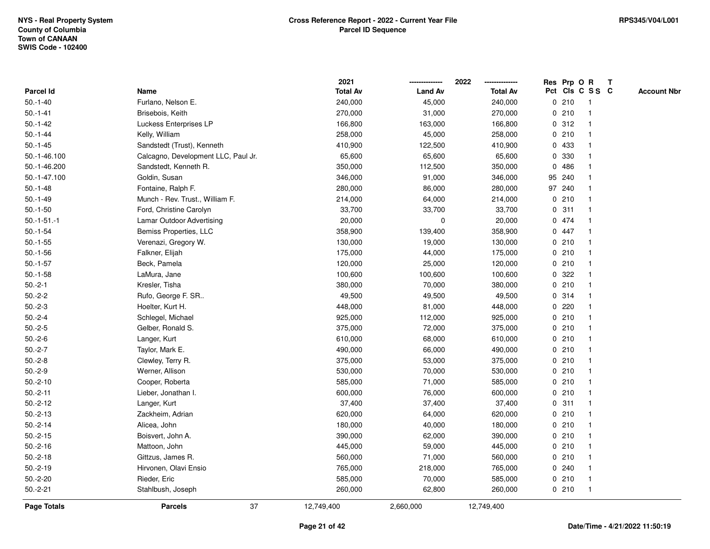|               |                                     | 2021            |                | 2022            |   |         | Res Prp O R     | $\mathbf{T}$ |                    |
|---------------|-------------------------------------|-----------------|----------------|-----------------|---|---------|-----------------|--------------|--------------------|
| Parcel Id     | Name                                | <b>Total Av</b> | <b>Land Av</b> | <b>Total Av</b> |   |         | Pct Cls C S S C |              | <b>Account Nbr</b> |
| $50.-1-40$    | Furlano, Nelson E.                  | 240,000         | 45,000         | 240,000         |   | 0210    |                 |              |                    |
| $50.-1-41$    | Brisebois, Keith                    | 270,000         | 31,000         | 270,000         |   | 0210    |                 |              |                    |
| $50.-1-42$    | Luckess Enterprises LP              | 166,800         | 163,000        | 166,800         |   | 0.312   | -1              |              |                    |
| $50.-1-44$    | Kelly, William                      | 258,000         | 45,000         | 258,000         | 0 | 210     | -1              |              |                    |
| $50.-1-45$    | Sandstedt (Trust), Kenneth          | 410,900         | 122,500        | 410,900         |   | 0 433   | -1              |              |                    |
| 50.-1-46.100  | Calcagno, Development LLC, Paul Jr. | 65,600          | 65,600         | 65,600          |   | 0 330   | -1              |              |                    |
| 50.-1-46.200  | Sandstedt, Kenneth R.               | 350,000         | 112,500        | 350,000         |   | 0486    |                 |              |                    |
| 50.-1-47.100  | Goldin, Susan                       | 346,000         | 91,000         | 346,000         |   | 95 240  |                 |              |                    |
| $50.-1-48$    | Fontaine, Ralph F.                  | 280,000         | 86,000         | 280,000         |   | 97 240  |                 |              |                    |
| $50.-1-49$    | Munch - Rev. Trust., William F.     | 214,000         | 64,000         | 214,000         |   | 0210    |                 |              |                    |
| $50.-1-50$    | Ford, Christine Carolyn             | 33,700          | 33,700         | 33,700          | 0 | 311     | -1              |              |                    |
| $50.-1-51.-1$ | Lamar Outdoor Advertising           | 20,000          | $\pmb{0}$      | 20,000          |   | 0 474   |                 |              |                    |
| $50.-1-54$    | Bemiss Properties, LLC              | 358,900         | 139,400        | 358,900         |   | 0 447   |                 |              |                    |
| $50.-1-55$    | Verenazi, Gregory W.                | 130,000         | 19,000         | 130,000         |   | 0210    |                 |              |                    |
| $50.-1-56$    | Falkner, Elijah                     | 175,000         | 44,000         | 175,000         |   | 0210    |                 |              |                    |
| $50.-1-57$    | Beck, Pamela                        | 120,000         | 25,000         | 120,000         |   | 0210    |                 |              |                    |
| $50.-1-58$    | LaMura, Jane                        | 100,600         | 100,600        | 100,600         | 0 | 322     |                 |              |                    |
| $50.-2-1$     | Kresler, Tisha                      | 380,000         | 70,000         | 380,000         |   | 0210    | -1              |              |                    |
| $50.-2-2$     | Rufo, George F. SR                  | 49,500          | 49,500         | 49,500          |   | 0.314   | -1              |              |                    |
| $50.-2-3$     | Hoelter, Kurt H.                    | 448,000         | 81,000         | 448,000         |   | $0$ 220 |                 |              |                    |
| $50.-2-4$     | Schlegel, Michael                   | 925,000         | 112,000        | 925,000         |   | 0210    |                 |              |                    |
| $50.-2-5$     | Gelber, Ronald S.                   | 375,000         | 72,000         | 375,000         |   | 0210    |                 |              |                    |
| $50.-2-6$     | Langer, Kurt                        | 610,000         | 68,000         | 610,000         |   | 0210    |                 |              |                    |
| $50.-2-7$     | Taylor, Mark E.                     | 490,000         | 66,000         | 490,000         | 0 | 210     | $\mathbf{1}$    |              |                    |
| $50.-2-8$     | Clewley, Terry R.                   | 375,000         | 53,000         | 375,000         |   | 0210    | -1              |              |                    |
| $50.-2-9$     | Werner, Allison                     | 530,000         | 70,000         | 530,000         |   | 0210    | $\mathbf 1$     |              |                    |
| $50.-2-10$    | Cooper, Roberta                     | 585,000         | 71,000         | 585,000         |   | 0210    |                 |              |                    |
| $50.-2-11$    | Lieber, Jonathan I.                 | 600,000         | 76,000         | 600,000         |   | 0210    |                 |              |                    |
| $50.-2-12$    | Langer, Kurt                        | 37,400          | 37,400         | 37,400          |   | 0.311   |                 |              |                    |
| $50.-2-13$    | Zackheim, Adrian                    | 620,000         | 64,000         | 620,000         |   | 0210    | -1              |              |                    |
| $50.-2-14$    | Alicea, John                        | 180,000         | 40,000         | 180,000         |   | 0210    | -1              |              |                    |
| $50.-2-15$    | Boisvert, John A.                   | 390,000         | 62,000         | 390,000         |   | 0210    | $\mathbf 1$     |              |                    |
| $50.-2-16$    | Mattoon, John                       | 445,000         | 59,000         | 445,000         |   | 0210    |                 |              |                    |
| $50.-2-18$    | Gittzus, James R.                   | 560,000         | 71,000         | 560,000         |   | 0210    |                 |              |                    |
| $50.-2-19$    | Hirvonen, Olavi Ensio               | 765,000         | 218,000        | 765,000         |   | 0.240   |                 |              |                    |
| $50.-2-20$    | Rieder, Eric                        | 585,000         | 70,000         | 585,000         |   | 0210    | -1              |              |                    |
| $50.-2-21$    | Stahlbush, Joseph                   | 260,000         | 62,800         | 260,000         |   | 0210    | -1              |              |                    |
| Page Totals   | 37<br><b>Parcels</b>                | 12,749,400      | 2,660,000      | 12,749,400      |   |         |                 |              |                    |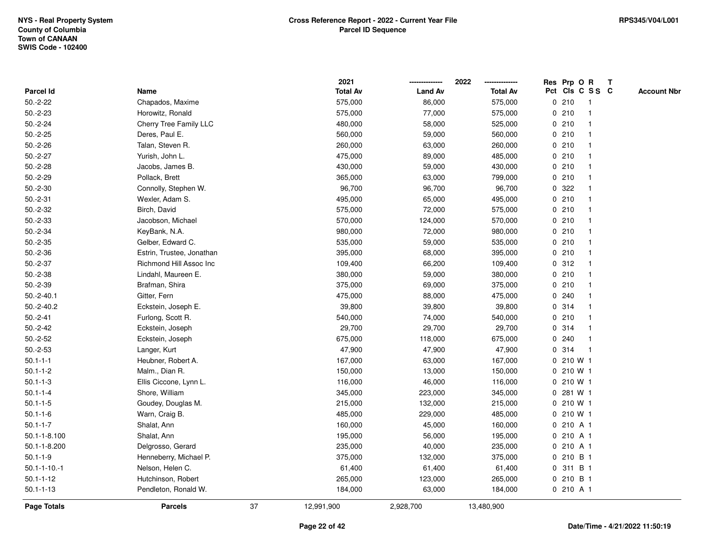|                     |                           |    | 2021            |                | 2022            |   | Res Prp O R     |                | T |                    |
|---------------------|---------------------------|----|-----------------|----------------|-----------------|---|-----------------|----------------|---|--------------------|
| Parcel Id           | Name                      |    | <b>Total Av</b> | <b>Land Av</b> | <b>Total Av</b> |   | Pct Cls C S S C |                |   | <b>Account Nbr</b> |
| $50.-2-22$          | Chapados, Maxime          |    | 575,000         | 86,000         | 575,000         |   | 0210            | $\overline{1}$ |   |                    |
| $50.-2-23$          | Horowitz, Ronald          |    | 575,000         | 77,000         | 575,000         |   | 0210            | -1             |   |                    |
| $50.-2-24$          | Cherry Tree Family LLC    |    | 480,000         | 58,000         | 525,000         |   | 0210            | 1              |   |                    |
| $50.-2-25$          | Deres, Paul E.            |    | 560,000         | 59,000         | 560,000         |   | 0210            |                |   |                    |
| $50.-2-26$          | Talan, Steven R.          |    | 260,000         | 63,000         | 260,000         |   | 0210            |                |   |                    |
| $50.-2-27$          | Yurish, John L.           |    | 475,000         | 89,000         | 485,000         |   | 0210            | -1             |   |                    |
| $50.-2-28$          | Jacobs, James B.          |    | 430,000         | 59,000         | 430,000         |   | 0210            |                |   |                    |
| $50.-2-29$          | Pollack, Brett            |    | 365,000         | 63,000         | 799,000         |   | 0210            | $\overline{1}$ |   |                    |
| $50.-2-30$          | Connolly, Stephen W.      |    | 96,700          | 96,700         | 96,700          |   | 0.322           |                |   |                    |
| $50.-2-31$          | Wexler, Adam S.           |    | 495,000         | 65,000         | 495,000         |   | 0210            |                |   |                    |
| $50.-2-32$          | Birch, David              |    | 575,000         | 72,000         | 575,000         |   | 0210            |                |   |                    |
| $50.-2-33$          | Jacobson, Michael         |    | 570,000         | 124,000        | 570,000         |   | 0210            |                |   |                    |
| $50.-2-34$          | KeyBank, N.A.             |    | 980,000         | 72,000         | 980,000         |   | 0210            | -1             |   |                    |
| $50.-2-35$          | Gelber, Edward C.         |    | 535,000         | 59,000         | 535,000         | 0 | 210             | -1             |   |                    |
| $50.-2-36$          | Estrin, Trustee, Jonathan |    | 395,000         | 68,000         | 395,000         |   | 0210            | $\overline{1}$ |   |                    |
| $50.-2-37$          | Richmond Hill Assoc Inc   |    | 109,400         | 66,200         | 109,400         |   | 0.312           | 1              |   |                    |
| $50.-2-38$          | Lindahl, Maureen E.       |    | 380,000         | 59,000         | 380,000         |   | 0210            |                |   |                    |
| $50.-2-39$          | Brafman, Shira            |    | 375,000         | 69,000         | 375,000         |   | 0210            |                |   |                    |
| $50.-2-40.1$        | Gitter, Fern              |    | 475,000         | 88,000         | 475,000         |   | 0.240           |                |   |                    |
| $50.-2-40.2$        | Eckstein, Joseph E.       |    | 39,800          | 39,800         | 39,800          |   | 0.314           |                |   |                    |
| $50.-2-41$          | Furlong, Scott R.         |    | 540,000         | 74,000         | 540,000         |   | 0210            | $\mathbf{1}$   |   |                    |
| $50.-2-42$          | Eckstein, Joseph          |    | 29,700          | 29,700         | 29,700          |   | 0.314           | $\mathbf 1$    |   |                    |
| $50.-2-52$          | Eckstein, Joseph          |    | 675,000         | 118,000        | 675,000         |   | 0.240           | -1             |   |                    |
| $50.-2-53$          | Langer, Kurt              |    | 47,900          | 47,900         | 47,900          |   | 0.314           | -1             |   |                    |
| $50.1 - 1 - 1$      | Heubner, Robert A.        |    | 167,000         | 63,000         | 167,000         |   | $0, 210$ W 1    |                |   |                    |
| $50.1 - 1 - 2$      | Malm., Dian R.            |    | 150,000         | 13,000         | 150,000         |   | 0 210 W 1       |                |   |                    |
| $50.1 - 1 - 3$      | Ellis Ciccone, Lynn L.    |    | 116,000         | 46,000         | 116,000         |   | 0 210 W 1       |                |   |                    |
| $50.1 - 1 - 4$      | Shore, William            |    | 345,000         | 223,000        | 345,000         | 0 | 281 W 1         |                |   |                    |
| $50.1 - 1 - 5$      | Goudey, Douglas M.        |    | 215,000         | 132,000        | 215,000         |   | 0 210 W 1       |                |   |                    |
| $50.1 - 1 - 6$      | Warn, Craig B.            |    | 485,000         | 229,000        | 485,000         |   | 0 210 W 1       |                |   |                    |
| $50.1 - 1 - 7$      | Shalat, Ann               |    | 160,000         | 45,000         | 160,000         |   | 0 210 A 1       |                |   |                    |
| $50.1 - 1 - 8.100$  | Shalat, Ann               |    | 195,000         | 56,000         | 195,000         |   | 0210A1          |                |   |                    |
| 50.1-1-8.200        | Delgrosso, Gerard         |    | 235,000         | 40,000         | 235,000         |   | 0 210 A 1       |                |   |                    |
| $50.1 - 1 - 9$      | Henneberry, Michael P.    |    | 375,000         | 132,000        | 375,000         | 0 | 210 B 1         |                |   |                    |
| $50.1 - 1 - 10 - 1$ | Nelson, Helen C.          |    | 61,400          | 61,400         | 61,400          | 0 | 311 B 1         |                |   |                    |
| $50.1 - 1 - 12$     | Hutchinson, Robert        |    | 265,000         | 123,000        | 265,000         |   | 0 210 B 1       |                |   |                    |
| $50.1 - 1 - 13$     | Pendleton, Ronald W.      |    | 184,000         | 63,000         | 184,000         |   | 0 210 A 1       |                |   |                    |
| <b>Page Totals</b>  | <b>Parcels</b>            | 37 | 12,991,900      | 2,928,700      | 13,480,900      |   |                 |                |   |                    |
|                     |                           |    |                 |                |                 |   |                 |                |   |                    |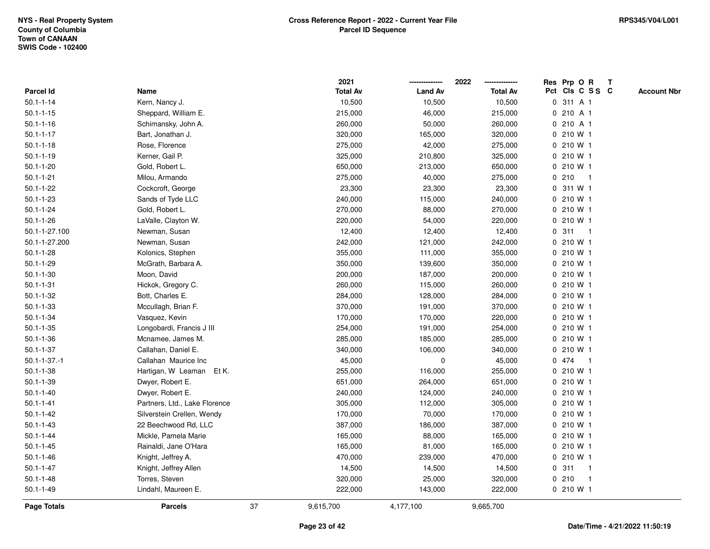|                     |                               |    | 2021            |                | 2022            | Res Prp O R     |                | $\mathbf{T}$ |                    |
|---------------------|-------------------------------|----|-----------------|----------------|-----------------|-----------------|----------------|--------------|--------------------|
| Parcel Id           | Name                          |    | <b>Total Av</b> | <b>Land Av</b> | <b>Total Av</b> | Pct Cls C S S C |                |              | <b>Account Nbr</b> |
| $50.1 - 1 - 14$     | Kern, Nancy J.                |    | 10,500          | 10,500         | 10,500          | 0 311 A 1       |                |              |                    |
| $50.1 - 1 - 15$     | Sheppard, William E.          |    | 215,000         | 46,000         | 215,000         | 0 210 A 1       |                |              |                    |
| $50.1 - 1 - 16$     | Schimansky, John A.           |    | 260,000         | 50,000         | 260,000         | 0 210 A 1       |                |              |                    |
| $50.1 - 1 - 17$     | Bart, Jonathan J.             |    | 320,000         | 165,000        | 320,000         | 0 210 W 1       |                |              |                    |
| $50.1 - 1 - 18$     | Rose, Florence                |    | 275,000         | 42,000         | 275,000         | 0 210 W 1       |                |              |                    |
| $50.1 - 1 - 19$     | Kerner, Gail P.               |    | 325,000         | 210,800        | 325,000         | 0 210 W 1       |                |              |                    |
| $50.1 - 1 - 20$     | Gold, Robert L.               |    | 650,000         | 213,000        | 650,000         | $0, 210$ W 1    |                |              |                    |
| $50.1 - 1 - 21$     | Milou, Armando                |    | 275,000         | 40,000         | 275,000         | 0210            | -1             |              |                    |
| $50.1 - 1 - 22$     | Cockcroft, George             |    | 23,300          | 23,300         | 23,300          | 0 311 W 1       |                |              |                    |
| $50.1 - 1 - 23$     | Sands of Tyde LLC             |    | 240,000         | 115,000        | 240,000         | 0 210 W 1       |                |              |                    |
| $50.1 - 1 - 24$     | Gold, Robert L.               |    | 270,000         | 88,000         | 270,000         | 0 210 W 1       |                |              |                    |
| $50.1 - 1 - 26$     | LaValle, Clayton W.           |    | 220,000         | 54,000         | 220,000         | 0 210 W 1       |                |              |                    |
| 50.1-1-27.100       | Newman, Susan                 |    | 12,400          | 12,400         | 12,400          | 0.311           | $\overline{1}$ |              |                    |
| 50.1-1-27.200       | Newman, Susan                 |    | 242,000         | 121,000        | 242,000         | 0 210 W 1       |                |              |                    |
| $50.1 - 1 - 28$     | Kolonics, Stephen             |    | 355,000         | 111,000        | 355,000         | 0 210 W 1       |                |              |                    |
| $50.1 - 1 - 29$     | McGrath, Barbara A.           |    | 350,000         | 139,600        | 350,000         | 0 210 W 1       |                |              |                    |
| $50.1 - 1 - 30$     | Moon, David                   |    | 200,000         | 187,000        | 200,000         | 0 210 W 1       |                |              |                    |
| $50.1 - 1 - 31$     | Hickok, Gregory C.            |    | 260,000         | 115,000        | 260,000         | 0 210 W 1       |                |              |                    |
| $50.1 - 1 - 32$     | Bott, Charles E.              |    | 284,000         | 128,000        | 284,000         | 0 210 W 1       |                |              |                    |
| $50.1 - 1 - 33$     | Mccullagh, Brian F.           |    | 370,000         | 191,000        | 370,000         | 0 210 W 1       |                |              |                    |
| $50.1 - 1 - 34$     | Vasquez, Kevin                |    | 170,000         | 170,000        | 220,000         | 0 210 W 1       |                |              |                    |
| $50.1 - 1 - 35$     | Longobardi, Francis J III     |    | 254,000         | 191,000        | 254,000         | 0 210 W 1       |                |              |                    |
| $50.1 - 1 - 36$     | Mcnamee, James M.             |    | 285,000         | 185,000        | 285,000         | 0 210 W 1       |                |              |                    |
| $50.1 - 1 - 37$     | Callahan, Daniel E.           |    | 340,000         | 106,000        | 340,000         | 0 210 W 1       |                |              |                    |
| $50.1 - 1 - 37 - 1$ | Callahan Maurice Inc          |    | 45,000          | 0              | 45,000          | 0 474           | $\overline{1}$ |              |                    |
| $50.1 - 1 - 38$     | Hartigan, W Leaman<br>Et K.   |    | 255,000         | 116,000        | 255,000         | 0 210 W 1       |                |              |                    |
| $50.1 - 1 - 39$     | Dwyer, Robert E.              |    | 651,000         | 264,000        | 651,000         | 0 210 W 1       |                |              |                    |
| $50.1 - 1 - 40$     | Dwyer, Robert E.              |    | 240,000         | 124,000        | 240,000         | 0 210 W 1       |                |              |                    |
| $50.1 - 1 - 41$     | Partners, Ltd., Lake Florence |    | 305,000         | 112,000        | 305,000         | 0 210 W 1       |                |              |                    |
| $50.1 - 1 - 42$     | Silverstein Crellen, Wendy    |    | 170,000         | 70,000         | 170,000         | 0 210 W 1       |                |              |                    |
| $50.1 - 1 - 43$     | 22 Beechwood Rd, LLC          |    | 387,000         | 186,000        | 387,000         | 0 210 W 1       |                |              |                    |
| $50.1 - 1 - 44$     | Mickle, Pamela Marie          |    | 165,000         | 88,000         | 165,000         | 0 210 W 1       |                |              |                    |
| $50.1 - 1 - 45$     | Rainaldi, Jane O'Hara         |    | 165,000         | 81,000         | 165,000         | 0 210 W 1       |                |              |                    |
| $50.1 - 1 - 46$     | Knight, Jeffrey A.            |    | 470,000         | 239,000        | 470,000         | 0 210 W 1       |                |              |                    |
| $50.1 - 1 - 47$     | Knight, Jeffrey Allen         |    | 14,500          | 14,500         | 14,500          | 0.311           | -1             |              |                    |
| $50.1 - 1 - 48$     | Torres, Steven                |    | 320,000         | 25,000         | 320,000         | 0210            | $\mathbf{1}$   |              |                    |
| $50.1 - 1 - 49$     | Lindahl, Maureen E.           |    | 222,000         | 143,000        | 222,000         | 0 210 W 1       |                |              |                    |
| Page Totals         | <b>Parcels</b>                | 37 | 9,615,700       | 4,177,100      | 9,665,700       |                 |                |              |                    |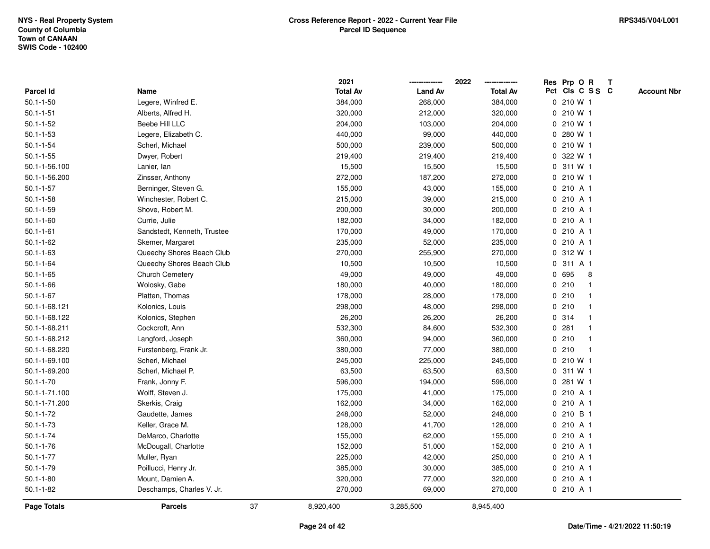|                 |                             |    | 2021            |                | 2022            |              | Res Prp O R     |              | $\mathbf{T}$ |                    |
|-----------------|-----------------------------|----|-----------------|----------------|-----------------|--------------|-----------------|--------------|--------------|--------------------|
| Parcel Id       | Name                        |    | <b>Total Av</b> | <b>Land Av</b> | <b>Total Av</b> |              | Pct Cls C S S C |              |              | <b>Account Nbr</b> |
| $50.1 - 1 - 50$ | Legere, Winfred E.          |    | 384,000         | 268,000        | 384,000         |              | 0 210 W 1       |              |              |                    |
| $50.1 - 1 - 51$ | Alberts, Alfred H.          |    | 320,000         | 212,000        | 320,000         |              | 0 210 W 1       |              |              |                    |
| $50.1 - 1 - 52$ | Beebe Hill LLC              |    | 204,000         | 103,000        | 204,000         |              | 0 210 W 1       |              |              |                    |
| $50.1 - 1 - 53$ | Legere, Elizabeth C.        |    | 440,000         | 99,000         | 440,000         | $\mathbf{0}$ | 280 W 1         |              |              |                    |
| $50.1 - 1 - 54$ | Scherl, Michael             |    | 500,000         | 239,000        | 500,000         |              | 0 210 W 1       |              |              |                    |
| $50.1 - 1 - 55$ | Dwyer, Robert               |    | 219,400         | 219,400        | 219,400         |              | 0 322 W 1       |              |              |                    |
| 50.1-1-56.100   | Lanier, lan                 |    | 15,500          | 15,500         | 15,500          |              | 0.311 W1        |              |              |                    |
| 50.1-1-56.200   | Zinsser, Anthony            |    | 272,000         | 187,200        | 272,000         |              | 0 210 W 1       |              |              |                    |
| $50.1 - 1 - 57$ | Berninger, Steven G.        |    | 155,000         | 43,000         | 155,000         |              | 0 210 A 1       |              |              |                    |
| $50.1 - 1 - 58$ | Winchester, Robert C.       |    | 215,000         | 39,000         | 215,000         |              | 0 210 A 1       |              |              |                    |
| $50.1 - 1 - 59$ | Shove, Robert M.            |    | 200,000         | 30,000         | 200,000         |              | 0 210 A 1       |              |              |                    |
| $50.1 - 1 - 60$ | Currie, Julie               |    | 182,000         | 34,000         | 182,000         |              | 0 210 A 1       |              |              |                    |
| $50.1 - 1 - 61$ | Sandstedt, Kenneth, Trustee |    | 170,000         | 49,000         | 170,000         |              | 0 210 A 1       |              |              |                    |
| $50.1 - 1 - 62$ | Skemer, Margaret            |    | 235,000         | 52,000         | 235,000         |              | 0210A1          |              |              |                    |
| $50.1 - 1 - 63$ | Queechy Shores Beach Club   |    | 270,000         | 255,900        | 270,000         |              | 0 312 W 1       |              |              |                    |
| $50.1 - 1 - 64$ | Queechy Shores Beach Club   |    | 10,500          | 10,500         | 10,500          |              | 0 311 A 1       |              |              |                    |
| $50.1 - 1 - 65$ | Church Cemetery             |    | 49,000          | 49,000         | 49,000          | $\mathbf 0$  | 695             | 8            |              |                    |
| $50.1 - 1 - 66$ | Wolosky, Gabe               |    | 180,000         | 40,000         | 180,000         |              | 0210            | -1           |              |                    |
| $50.1 - 1 - 67$ | Platten, Thomas             |    | 178,000         | 28,000         | 178,000         |              | 0210            |              |              |                    |
| 50.1-1-68.121   | Kolonics, Louis             |    | 298,000         | 48,000         | 298,000         |              | 0210            |              |              |                    |
| 50.1-1-68.122   | Kolonics, Stephen           |    | 26,200          | 26,200         | 26,200          |              | 0 314           |              |              |                    |
| 50.1-1-68.211   | Cockcroft, Ann              |    | 532,300         | 84,600         | 532,300         |              | 0.281           |              |              |                    |
| 50.1-1-68.212   | Langford, Joseph            |    | 360,000         | 94,000         | 360,000         |              | 0210            |              |              |                    |
| 50.1-1-68.220   | Furstenberg, Frank Jr.      |    | 380,000         | 77,000         | 380,000         | $\mathbf 0$  | 210             | $\mathbf{1}$ |              |                    |
| 50.1-1-69.100   | Scherl, Michael             |    | 245,000         | 225,000        | 245,000         |              | 0 210 W 1       |              |              |                    |
| 50.1-1-69.200   | Scherl, Michael P.          |    | 63,500          | 63,500         | 63,500          |              | 0 311 W 1       |              |              |                    |
| $50.1 - 1 - 70$ | Frank, Jonny F.             |    | 596,000         | 194,000        | 596,000         |              | 0 281 W 1       |              |              |                    |
| 50.1-1-71.100   | Wolff, Steven J.            |    | 175,000         | 41,000         | 175,000         |              | 0 210 A 1       |              |              |                    |
| 50.1-1-71.200   | Skerkis, Craig              |    | 162,000         | 34,000         | 162,000         |              | 0 210 A 1       |              |              |                    |
| $50.1 - 1 - 72$ | Gaudette, James             |    | 248,000         | 52,000         | 248,000         | 0            | 210 B 1         |              |              |                    |
| $50.1 - 1 - 73$ | Keller, Grace M.            |    | 128,000         | 41,700         | 128,000         | $\mathbf{0}$ | 210 A 1         |              |              |                    |
| $50.1 - 1 - 74$ | DeMarco, Charlotte          |    | 155,000         | 62,000         | 155,000         |              | 0 210 A 1       |              |              |                    |
| $50.1 - 1 - 76$ | McDougall, Charlotte        |    | 152,000         | 51,000         | 152,000         |              | 0210A1          |              |              |                    |
| $50.1 - 1 - 77$ | Muller, Ryan                |    | 225,000         | 42,000         | 250,000         |              | 0 210 A 1       |              |              |                    |
| $50.1 - 1 - 79$ | Poillucci, Henry Jr.        |    | 385,000         | 30,000         | 385,000         |              | 0 210 A 1       |              |              |                    |
| $50.1 - 1 - 80$ | Mount, Damien A.            |    | 320,000         | 77,000         | 320,000         |              | 0 210 A 1       |              |              |                    |
| $50.1 - 1 - 82$ | Deschamps, Charles V. Jr.   |    | 270,000         | 69,000         | 270,000         |              | 0 210 A 1       |              |              |                    |
| Page Totals     | <b>Parcels</b>              | 37 | 8,920,400       | 3,285,500      | 8,945,400       |              |                 |              |              |                    |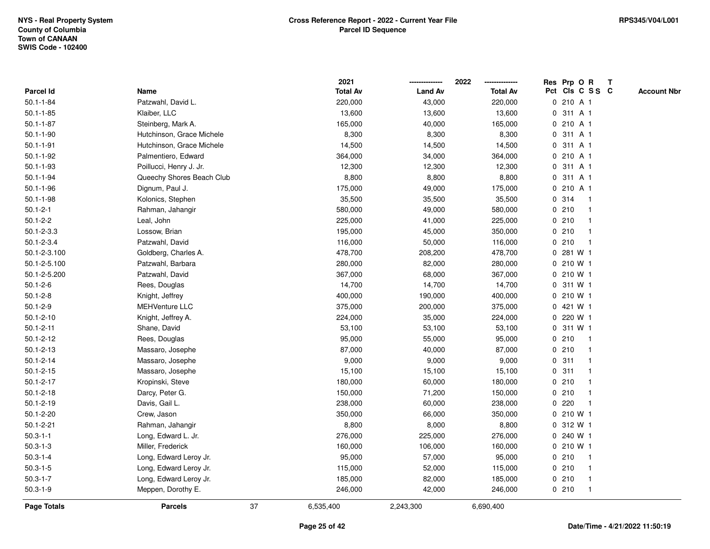|                  |                           |    | 2021            |                | 2022            | Res Prp O R                                   | $\mathbf{T}$       |
|------------------|---------------------------|----|-----------------|----------------|-----------------|-----------------------------------------------|--------------------|
| <b>Parcel Id</b> | Name                      |    | <b>Total Av</b> | <b>Land Av</b> | <b>Total Av</b> | Pct Cls C S S C                               | <b>Account Nbr</b> |
| $50.1 - 1 - 84$  | Patzwahl, David L.        |    | 220,000         | 43,000         | 220,000         | 0 210 A 1                                     |                    |
| $50.1 - 1 - 85$  | Klaiber, LLC              |    | 13,600          | 13,600         | 13,600          | 0 311 A 1                                     |                    |
| $50.1 - 1 - 87$  | Steinberg, Mark A.        |    | 165,000         | 40,000         | 165,000         | 0 210 A 1                                     |                    |
| $50.1 - 1 - 90$  | Hutchinson, Grace Michele |    | 8,300           | 8,300          | 8,300           | 311 A 1<br>0                                  |                    |
| $50.1 - 1 - 91$  | Hutchinson, Grace Michele |    | 14,500          | 14,500         | 14,500          | 311 A 1<br>0                                  |                    |
| $50.1 - 1 - 92$  | Palmentiero, Edward       |    | 364,000         | 34,000         | 364,000         | 0 210 A 1                                     |                    |
| $50.1 - 1 - 93$  | Poillucci, Henry J. Jr.   |    | 12,300          | 12,300         | 12,300          | 0 311 A 1                                     |                    |
| $50.1 - 1 - 94$  | Queechy Shores Beach Club |    | 8,800           | 8,800          | 8,800           | 0 311 A 1                                     |                    |
| $50.1 - 1 - 96$  | Dignum, Paul J.           |    | 175,000         | 49,000         | 175,000         | 0 210 A 1                                     |                    |
| $50.1 - 1 - 98$  | Kolonics, Stephen         |    | 35,500          | 35,500         | 35,500          | 314<br>$\mathbf 0$<br>$\mathbf{1}$            |                    |
| $50.1 - 2 - 1$   | Rahman, Jahangir          |    | 580,000         | 49,000         | 580,000         | 0210<br>$\mathbf{1}$                          |                    |
| $50.1 - 2 - 2$   | Leal, John                |    | 225,000         | 41,000         | 225,000         | 0210<br>$\mathbf 1$                           |                    |
| $50.1 - 2 - 3.3$ | Lossow, Brian             |    | 195,000         | 45,000         | 350,000         | 0210<br>$\mathbf 1$                           |                    |
| $50.1 - 2 - 3.4$ | Patzwahl, David           |    | 116,000         | 50,000         | 116,000         | 0210<br>-1                                    |                    |
| 50.1-2-3.100     | Goldberg, Charles A.      |    | 478,700         | 208,200        | 478,700         | 0 281 W 1                                     |                    |
| 50.1-2-5.100     | Patzwahl, Barbara         |    | 280,000         | 82,000         | 280,000         | 0 210 W 1                                     |                    |
| 50.1-2-5.200     | Patzwahl, David           |    | 367,000         | 68,000         | 367,000         | 0 210 W 1                                     |                    |
| $50.1 - 2 - 6$   | Rees, Douglas             |    | 14,700          | 14,700         | 14,700          | 311 W 1<br>0                                  |                    |
| $50.1 - 2 - 8$   | Knight, Jeffrey           |    | 400,000         | 190,000        | 400,000         | 0 210 W 1                                     |                    |
| $50.1 - 2 - 9$   | <b>MEHVenture LLC</b>     |    | 375,000         | 200,000        | 375,000         | 0 421 W 1                                     |                    |
| $50.1 - 2 - 10$  | Knight, Jeffrey A.        |    | 224,000         | 35,000         | 224,000         | 0 220 W 1                                     |                    |
| $50.1 - 2 - 11$  | Shane, David              |    | 53,100          | 53,100         | 53,100          | 0 311 W 1                                     |                    |
| $50.1 - 2 - 12$  | Rees, Douglas             |    | 95,000          | 55,000         | 95,000          | 0210<br>$\mathbf{1}$                          |                    |
| $50.1 - 2 - 13$  | Massaro, Josephe          |    | 87,000          | 40,000         | 87,000          | 0210<br>$\mathbf{1}$                          |                    |
| $50.1 - 2 - 14$  | Massaro, Josephe          |    | 9,000           | 9,000          | 9,000           | 0.311<br>-1                                   |                    |
| $50.1 - 2 - 15$  | Massaro, Josephe          |    | 15,100          | 15,100         | 15,100          | 0.311<br>-1                                   |                    |
| $50.1 - 2 - 17$  | Kropinski, Steve          |    | 180,000         | 60,000         | 180,000         | 0210                                          |                    |
| $50.1 - 2 - 18$  | Darcy, Peter G.           |    | 150,000         | 71,200         | 150,000         | 0210                                          |                    |
| $50.1 - 2 - 19$  | Davis, Gail L.            |    | 238,000         | 60,000         | 238,000         | 220<br>$\mathbf 0$<br>$\overline{\mathbf{1}}$ |                    |
| $50.1 - 2 - 20$  | Crew, Jason               |    | 350,000         | 66,000         | 350,000         | 0 210 W 1                                     |                    |
| $50.1 - 2 - 21$  | Rahman, Jahangir          |    | 8,800           | 8,000          | 8,800           | 312 W 1<br>$\mathbf{0}$                       |                    |
| $50.3 - 1 - 1$   | Long, Edward L. Jr.       |    | 276,000         | 225,000        | 276,000         | 0 240 W 1                                     |                    |
| $50.3 - 1 - 3$   | Miller, Frederick         |    | 160,000         | 106,000        | 160,000         | 0 210 W 1                                     |                    |
| $50.3 - 1 - 4$   | Long, Edward Leroy Jr.    |    | 95,000          | 57,000         | 95,000          | 0210<br>-1                                    |                    |
| $50.3 - 1 - 5$   | Long, Edward Leroy Jr.    |    | 115,000         | 52,000         | 115,000         | 0210<br>-1                                    |                    |
| $50.3 - 1 - 7$   | Long, Edward Leroy Jr.    |    | 185,000         | 82,000         | 185,000         | 0210<br>$\mathbf{1}$                          |                    |
| $50.3 - 1 - 9$   | Meppen, Dorothy E.        |    | 246,000         | 42,000         | 246,000         | 0210<br>$\mathbf{1}$                          |                    |
| Page Totals      | <b>Parcels</b>            | 37 | 6,535,400       | 2,243,300      | 6,690,400       |                                               |                    |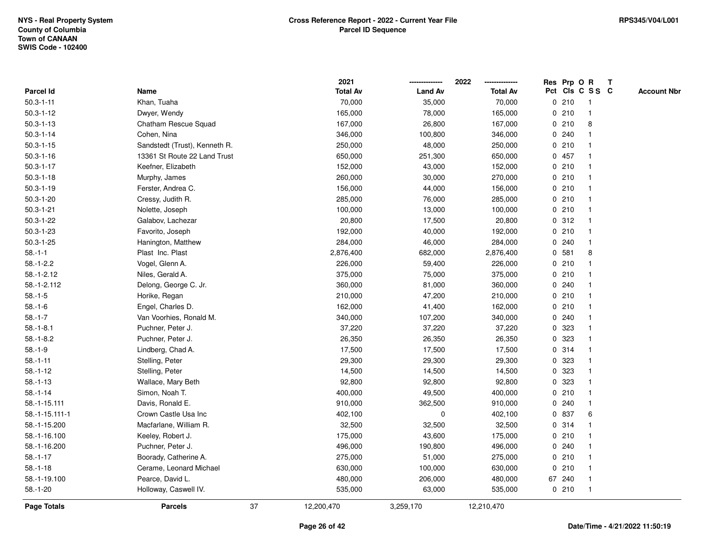|                  |                               |    | 2021            |                | 2022            |   | Res Prp O R |                 | Т |                    |
|------------------|-------------------------------|----|-----------------|----------------|-----------------|---|-------------|-----------------|---|--------------------|
| <b>Parcel Id</b> | Name                          |    | <b>Total Av</b> | <b>Land Av</b> | <b>Total Av</b> |   |             | Pct Cls C S S C |   | <b>Account Nbr</b> |
| $50.3 - 1 - 11$  | Khan, Tuaha                   |    | 70,000          | 35,000         | 70,000          |   | 0210        | $\mathbf{1}$    |   |                    |
| $50.3 - 1 - 12$  | Dwyer, Wendy                  |    | 165,000         | 78,000         | 165,000         |   | 0210        | $\mathbf{1}$    |   |                    |
| $50.3 - 1 - 13$  | Chatham Rescue Squad          |    | 167,000         | 26,800         | 167,000         |   | 0210        | 8               |   |                    |
| $50.3 - 1 - 14$  | Cohen, Nina                   |    | 346,000         | 100,800        | 346,000         |   | 0.240       | -1              |   |                    |
| $50.3 - 1 - 15$  | Sandstedt (Trust), Kenneth R. |    | 250,000         | 48,000         | 250,000         |   | 0210        |                 |   |                    |
| $50.3 - 1 - 16$  | 13361 St Route 22 Land Trust  |    | 650,000         | 251,300        | 650,000         |   | 0 457       |                 |   |                    |
| $50.3 - 1 - 17$  | Keefner, Elizabeth            |    | 152,000         | 43,000         | 152,000         |   | 0210        | $\mathbf 1$     |   |                    |
| $50.3 - 1 - 18$  | Murphy, James                 |    | 260,000         | 30,000         | 270,000         |   | 0210        | $\mathbf{1}$    |   |                    |
| $50.3 - 1 - 19$  | Ferster, Andrea C.            |    | 156,000         | 44,000         | 156,000         |   | 0210        | $\mathbf{1}$    |   |                    |
| $50.3 - 1 - 20$  | Cressy, Judith R.             |    | 285,000         | 76,000         | 285,000         |   | 0210        | $\mathbf 1$     |   |                    |
| $50.3 - 1 - 21$  | Nolette, Joseph               |    | 100,000         | 13,000         | 100,000         |   | 0210        |                 |   |                    |
| $50.3 - 1 - 22$  | Galabov, Lachezar             |    | 20,800          | 17,500         | 20,800          |   | 0.312       |                 |   |                    |
| $50.3 - 1 - 23$  | Favorito, Joseph              |    | 192,000         | 40,000         | 192,000         |   | 0210        |                 |   |                    |
| $50.3 - 1 - 25$  | Hanington, Matthew            |    | 284,000         | 46,000         | 284,000         |   | 0.240       | $\mathbf{1}$    |   |                    |
| $58 - 1 - 1$     | Plast Inc. Plast              |    | 2,876,400       | 682,000        | 2,876,400       | 0 | 581         | 8               |   |                    |
| $58.-1-2.2$      | Vogel, Glenn A.               |    | 226,000         | 59,400         | 226,000         |   | 0210        | $\mathbf{1}$    |   |                    |
| $58.-1-2.12$     | Niles, Gerald A.              |    | 375,000         | 75,000         | 375,000         |   | 0210        | $\mathbf 1$     |   |                    |
| 58.-1-2.112      | Delong, George C. Jr.         |    | 360,000         | 81,000         | 360,000         |   | 0.240       |                 |   |                    |
| $58.-1-5$        | Horike, Regan                 |    | 210,000         | 47,200         | 210,000         |   | 0210        |                 |   |                    |
| $58.-1-6$        | Engel, Charles D.             |    | 162,000         | 41,400         | 162,000         |   | 0210        |                 |   |                    |
| $58.-1-7$        | Van Voorhies, Ronald M.       |    | 340,000         | 107,200        | 340,000         |   | 0.240       | $\mathbf{1}$    |   |                    |
| $58.-1-8.1$      | Puchner, Peter J.             |    | 37,220          | 37,220         | 37,220          | 0 | 323         | $\mathbf{1}$    |   |                    |
| $58.-1-8.2$      | Puchner, Peter J.             |    | 26,350          | 26,350         | 26,350          | 0 | 323         | $\mathbf{1}$    |   |                    |
| $58.-1-9$        | Lindberg, Chad A.             |    | 17,500          | 17,500         | 17,500          |   | 0.314       | $\mathbf{1}$    |   |                    |
| $58.-1-11$       | Stelling, Peter               |    | 29,300          | 29,300         | 29,300          |   | 0 323       |                 |   |                    |
| $58.-1-12$       | Stelling, Peter               |    | 14,500          | 14,500         | 14,500          |   | 0 323       |                 |   |                    |
| $58.-1-13$       | Wallace, Mary Beth            |    | 92,800          | 92,800         | 92,800          |   | 0 323       |                 |   |                    |
| $58.-1-14$       | Simon, Noah T.                |    | 400,000         | 49,500         | 400,000         |   | 0210        | $\mathbf{1}$    |   |                    |
| 58.-1-15.111     | Davis, Ronald E.              |    | 910,000         | 362,500        | 910,000         | 0 | 240         | $\mathbf{1}$    |   |                    |
| 58.-1-15.111-1   | Crown Castle Usa Inc          |    | 402,100         | 0              | 402,100         | 0 | 837         | 6               |   |                    |
| 58.-1-15.200     | Macfarlane, William R.        |    | 32,500          | 32,500         | 32,500          |   | 0.314       | $\mathbf{1}$    |   |                    |
| 58.-1-16.100     | Keeley, Robert J.             |    | 175,000         | 43,600         | 175,000         |   | 0210        |                 |   |                    |
| 58.-1-16.200     | Puchner, Peter J.             |    | 496,000         | 190,800        | 496,000         |   | 0.240       |                 |   |                    |
| $58.-1-17$       | Boorady, Catherine A.         |    | 275,000         | 51,000         | 275,000         |   | 0210        |                 |   |                    |
| $58.-1-18$       | Cerame, Leonard Michael       |    | 630,000         | 100,000        | 630,000         |   | 0210        | $\mathbf{1}$    |   |                    |
| 58.-1-19.100     | Pearce, David L.              |    | 480,000         | 206,000        | 480,000         |   | 67 240      | $\mathbf{1}$    |   |                    |
| $58.-1-20$       | Holloway, Caswell IV.         |    | 535,000         | 63,000         | 535,000         |   | 0210        | $\mathbf{1}$    |   |                    |
| Page Totals      | <b>Parcels</b>                | 37 | 12,200,470      | 3,259,170      | 12,210,470      |   |             |                 |   |                    |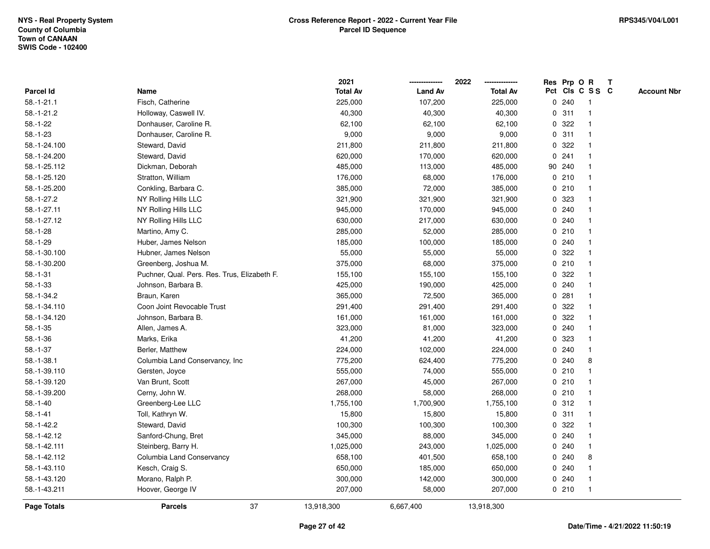|                    |                                              | 2021            |                | 2022            |             |        | Res Prp O R     | $\mathbf{T}$ |                    |
|--------------------|----------------------------------------------|-----------------|----------------|-----------------|-------------|--------|-----------------|--------------|--------------------|
| Parcel Id          | Name                                         | <b>Total Av</b> | <b>Land Av</b> | <b>Total Av</b> |             |        | Pct Cls C S S C |              | <b>Account Nbr</b> |
| $58. - 1 - 21.1$   | Fisch, Catherine                             | 225,000         | 107,200        | 225,000         |             | 0.240  |                 |              |                    |
| $58.-1-21.2$       | Holloway, Caswell IV.                        | 40,300          | 40,300         | 40,300          |             | 0.311  |                 |              |                    |
| $58.-1-22$         | Donhauser, Caroline R.                       | 62,100          | 62,100         | 62,100          | $\mathbf 0$ | 322    |                 |              |                    |
| $58.-1-23$         | Donhauser, Caroline R.                       | 9,000           | 9,000          | 9,000           | $\mathbf 0$ | 311    | $\mathbf{1}$    |              |                    |
| 58.-1-24.100       | Steward, David                               | 211,800         | 211,800        | 211,800         | 0           | 322    |                 |              |                    |
| 58.-1-24.200       | Steward, David                               | 620,000         | 170,000        | 620,000         |             | 0.241  | -1              |              |                    |
| 58.-1-25.112       | Dickman, Deborah                             | 485,000         | 113,000        | 485,000         |             | 90 240 |                 |              |                    |
| 58.-1-25.120       | Stratton, William                            | 176,000         | 68,000         | 176,000         |             | 0210   |                 |              |                    |
| 58.-1-25.200       | Conkling, Barbara C.                         | 385,000         | 72,000         | 385,000         |             | 0210   |                 |              |                    |
| 58.-1-27.2         | NY Rolling Hills LLC                         | 321,900         | 321,900        | 321,900         | $\mathbf 0$ | 323    |                 |              |                    |
| 58.-1-27.11        | NY Rolling Hills LLC                         | 945,000         | 170,000        | 945,000         |             | 0.240  | -1              |              |                    |
| 58.-1-27.12        | NY Rolling Hills LLC                         | 630,000         | 217,000        | 630,000         |             | 0.240  |                 |              |                    |
| $58.-1-28$         | Martino, Amy C.                              | 285,000         | 52,000         | 285,000         |             | 0210   |                 |              |                    |
| $58.-1-29$         | Huber, James Nelson                          | 185,000         | 100,000        | 185,000         |             | 0.240  |                 |              |                    |
| 58.-1-30.100       | Hubner, James Nelson                         | 55,000          | 55,000         | 55,000          | 0           | 322    |                 |              |                    |
| 58.-1-30.200       | Greenberg, Joshua M.                         | 375,000         | 68,000         | 375,000         |             | 0210   |                 |              |                    |
| $58.-1-31$         | Puchner, Qual. Pers. Res. Trus, Elizabeth F. | 155,100         | 155,100        | 155,100         | 0           | 322    |                 |              |                    |
| $58.-1-33$         | Johnson, Barbara B.                          | 425,000         | 190,000        | 425,000         | 0           | 240    | -1              |              |                    |
| $58.-1-34.2$       | Braun, Karen                                 | 365,000         | 72,500         | 365,000         |             | 0.281  | $\mathbf 1$     |              |                    |
| 58.-1-34.110       | Coon Joint Revocable Trust                   | 291,400         | 291,400        | 291,400         |             | 0 322  |                 |              |                    |
| 58.-1-34.120       | Johnson, Barbara B.                          | 161,000         | 161,000        | 161,000         |             | 0.322  |                 |              |                    |
| $58.-1-35$         | Allen, James A.                              | 323,000         | 81,000         | 323,000         |             | 0.240  |                 |              |                    |
| $58.-1-36$         | Marks, Erika                                 | 41,200          | 41,200         | 41,200          |             | 0 323  |                 |              |                    |
| $58.-1-37$         | Berler, Matthew                              | 224,000         | 102,000        | 224,000         |             | 0.240  | $\mathbf{1}$    |              |                    |
| $58.-1-38.1$       | Columbia Land Conservancy, Inc.              | 775,200         | 624,400        | 775,200         | 0           | 240    | 8               |              |                    |
| 58.-1-39.110       | Gersten, Joyce                               | 555,000         | 74,000         | 555,000         |             | 0210   |                 |              |                    |
| 58.-1-39.120       | Van Brunt, Scott                             | 267,000         | 45,000         | 267,000         |             | 0210   |                 |              |                    |
| 58.-1-39.200       | Cerny, John W.                               | 268,000         | 58,000         | 268,000         |             | 0210   |                 |              |                    |
| $58.-1-40$         | Greenberg-Lee LLC                            | 1,755,100       | 1,700,900      | 1,755,100       |             | 0.312  |                 |              |                    |
| $58.-1-41$         | Toll, Kathryn W.                             | 15,800          | 15,800         | 15,800          |             | 0.311  |                 |              |                    |
| $58.-1-42.2$       | Steward, David                               | 100,300         | 100,300        | 100,300         | 0           | 322    |                 |              |                    |
| 58.-1-42.12        | Sanford-Chung, Bret                          | 345,000         | 88,000         | 345,000         |             | 0.240  | $\mathbf 1$     |              |                    |
| 58.-1-42.111       | Steinberg, Barry H.                          | 1,025,000       | 243,000        | 1,025,000       |             | 0.240  |                 |              |                    |
| 58.-1-42.112       | Columbia Land Conservancy                    | 658,100         | 401,500        | 658,100         |             | 0.240  | 8               |              |                    |
| 58.-1-43.110       | Kesch, Craig S.                              | 650,000         | 185,000        | 650,000         |             | 0.240  |                 |              |                    |
| 58.-1-43.120       | Morano, Ralph P.                             | 300,000         | 142,000        | 300,000         |             | 0.240  | -1              |              |                    |
| 58.-1-43.211       | Hoover, George IV                            | 207,000         | 58,000         | 207,000         |             | 0210   | $\mathbf 1$     |              |                    |
| <b>Page Totals</b> | 37<br><b>Parcels</b>                         | 13,918,300      | 6,667,400      | 13,918,300      |             |        |                 |              |                    |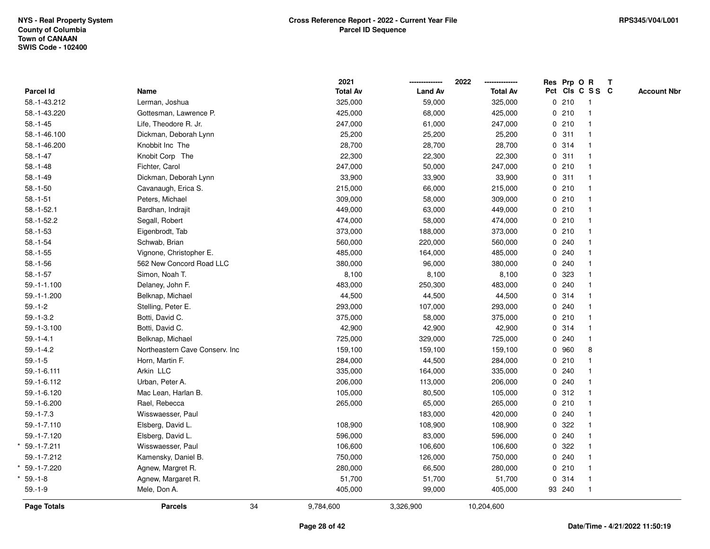|                  |                                |    | 2021            |                | 2022<br>-------------- |   |        | Res Prp O R     | $\mathbf{T}$ |                    |
|------------------|--------------------------------|----|-----------------|----------------|------------------------|---|--------|-----------------|--------------|--------------------|
| <b>Parcel Id</b> | Name                           |    | <b>Total Av</b> | <b>Land Av</b> | <b>Total Av</b>        |   |        | Pct Cls C S S C |              | <b>Account Nbr</b> |
| 58.-1-43.212     | Lerman, Joshua                 |    | 325,000         | 59,000         | 325,000                |   | 0210   |                 |              |                    |
| 58.-1-43.220     | Gottesman, Lawrence P.         |    | 425,000         | 68,000         | 425,000                |   | 0210   |                 |              |                    |
| $58.-1-45$       | Life, Theodore R. Jr.          |    | 247,000         | 61,000         | 247,000                |   | 0210   |                 |              |                    |
| 58.-1-46.100     | Dickman, Deborah Lynn          |    | 25,200          | 25,200         | 25,200                 |   | 0.311  | $\mathbf 1$     |              |                    |
| 58.-1-46.200     | Knobbit Inc The                |    | 28,700          | 28,700         | 28,700                 |   | 0.314  |                 |              |                    |
| $58.-1-47$       | Knobit Corp The                |    | 22,300          | 22,300         | 22,300                 |   | 0.311  |                 |              |                    |
| $58.-1-48$       | Fichter, Carol                 |    | 247,000         | 50,000         | 247,000                |   | 0210   |                 |              |                    |
| $58.-1-49$       | Dickman, Deborah Lynn          |    | 33,900          | 33,900         | 33,900                 |   | 0.311  |                 |              |                    |
| $58.-1-50$       | Cavanaugh, Erica S.            |    | 215,000         | 66,000         | 215,000                |   | 0210   |                 |              |                    |
| $58.-1-51$       | Peters, Michael                |    | 309,000         | 58,000         | 309,000                |   | 0210   |                 |              |                    |
| $58.-1-52.1$     | Bardhan, Indrajit              |    | 449,000         | 63,000         | 449,000                |   | 0210   | $\mathbf{1}$    |              |                    |
| 58.-1-52.2       | Segall, Robert                 |    | 474,000         | 58,000         | 474,000                |   | 0210   |                 |              |                    |
| $58.-1-53$       | Eigenbrodt, Tab                |    | 373,000         | 188,000        | 373,000                |   | 0210   |                 |              |                    |
| $58.-1-54$       | Schwab, Brian                  |    | 560,000         | 220,000        | 560,000                |   | 0.240  |                 |              |                    |
| $58.-1-55$       | Vignone, Christopher E.        |    | 485,000         | 164,000        | 485,000                |   | 0.240  |                 |              |                    |
| $58.-1-56$       | 562 New Concord Road LLC       |    | 380,000         | 96,000         | 380,000                |   | 0.240  |                 |              |                    |
| $58.-1-57$       | Simon, Noah T.                 |    | 8,100           | 8,100          | 8,100                  | 0 | 323    |                 |              |                    |
| $59.-1-1.100$    | Delaney, John F.               |    | 483,000         | 250,300        | 483,000                |   | 0.240  |                 |              |                    |
| 59.-1-1.200      | Belknap, Michael               |    | 44,500          | 44,500         | 44,500                 |   | 0.314  |                 |              |                    |
| $59.-1-2$        | Stelling, Peter E.             |    | 293,000         | 107,000        | 293,000                |   | 0.240  |                 |              |                    |
| $59.-1-3.2$      | Botti, David C.                |    | 375,000         | 58,000         | 375,000                |   | 0210   |                 |              |                    |
| 59.-1-3.100      | Botti, David C.                |    | 42,900          | 42,900         | 42,900                 |   | 0.314  |                 |              |                    |
| $59. - 1 - 4.1$  | Belknap, Michael               |    | 725,000         | 329,000        | 725,000                |   | 0.240  |                 |              |                    |
| $59.-1-4.2$      | Northeastern Cave Conserv. Inc |    | 159,100         | 159,100        | 159,100                |   | 0 960  | 8               |              |                    |
| $59. - 1 - 5$    | Horn, Martin F.                |    | 284,000         | 44,500         | 284,000                |   | 0210   |                 |              |                    |
| 59.-1-6.111      | Arkin LLC                      |    | 335,000         | 164,000        | 335,000                |   | 0.240  |                 |              |                    |
| 59.-1-6.112      | Urban, Peter A.                |    | 206,000         | 113,000        | 206,000                |   | 0.240  |                 |              |                    |
| 59.-1-6.120      | Mac Lean, Harlan B.            |    | 105,000         | 80,500         | 105,000                |   | 0.312  |                 |              |                    |
| 59.-1-6.200      | Rael, Rebecca                  |    | 265,000         | 65,000         | 265,000                |   | 0210   |                 |              |                    |
| $59.-1-7.3$      | Wisswaesser, Paul              |    |                 | 183,000        | 420,000                |   | 0.240  |                 |              |                    |
| 59.-1-7.110      | Elsberg, David L.              |    | 108,900         | 108,900        | 108,900                |   | 0.322  |                 |              |                    |
| 59.-1-7.120      | Elsberg, David L.              |    | 596,000         | 83,000         | 596,000                |   | 0.240  |                 |              |                    |
| 59.-1-7.211      | Wisswaesser, Paul              |    | 106,600         | 106,600        | 106,600                |   | 0.322  |                 |              |                    |
| 59.-1-7.212      | Kamensky, Daniel B.            |    | 750,000         | 126,000        | 750,000                |   | 0.240  |                 |              |                    |
| 59.-1-7.220      | Agnew, Margret R.              |    | 280,000         | 66,500         | 280,000                |   | 0210   |                 |              |                    |
| $59.-1-8$        | Agnew, Margaret R.             |    | 51,700          | 51,700         | 51,700                 |   | 0.314  | $\overline{1}$  |              |                    |
| $59. - 1 - 9$    | Mele, Don A.                   |    | 405,000         | 99,000         | 405,000                |   | 93 240 | $\overline{1}$  |              |                    |
| Page Totals      | <b>Parcels</b>                 | 34 | 9,784,600       | 3,326,900      | 10,204,600             |   |        |                 |              |                    |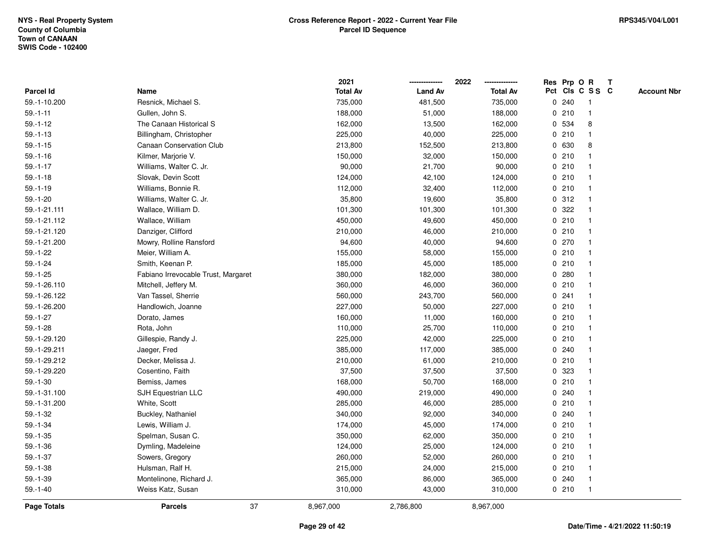|                    |                                     | 2021            |                | 2022            |              |         | Res Prp O R     | T |                    |
|--------------------|-------------------------------------|-----------------|----------------|-----------------|--------------|---------|-----------------|---|--------------------|
| Parcel Id          | Name                                | <b>Total Av</b> | <b>Land Av</b> | <b>Total Av</b> |              |         | Pct Cls C S S C |   | <b>Account Nbr</b> |
| 59.-1-10.200       | Resnick, Michael S.                 | 735,000         | 481,500        | 735,000         | $\mathbf 0$  | 240     | -1              |   |                    |
| $59. - 1 - 11$     | Gullen, John S.                     | 188,000         | 51,000         | 188,000         | 0            | 210     | $\mathbf{1}$    |   |                    |
| $59. - 1 - 12$     | The Canaan Historical S             | 162,000         | 13,500         | 162,000         |              | 0 534   | 8               |   |                    |
| $59. - 1 - 13$     | Billingham, Christopher             | 225,000         | 40,000         | 225,000         |              | 0210    | 1               |   |                    |
| $59. - 1 - 15$     | <b>Canaan Conservation Club</b>     | 213,800         | 152,500        | 213,800         |              | 0 630   | 8               |   |                    |
| $59.-1-16$         | Kilmer, Marjorie V.                 | 150,000         | 32,000         | 150,000         |              | 0210    |                 |   |                    |
| $59.-1-17$         | Williams, Walter C. Jr.             | 90,000          | 21,700         | 90,000          |              | 0210    |                 |   |                    |
| $59.-1-18$         | Slovak, Devin Scott                 | 124,000         | 42,100         | 124,000         | 0            | 210     | 1               |   |                    |
| $59.-1-19$         | Williams, Bonnie R.                 | 112,000         | 32,400         | 112,000         | $\mathbf{0}$ | 210     | $\overline{1}$  |   |                    |
| $59.-1-20$         | Williams, Walter C. Jr.             | 35,800          | 19,600         | 35,800          |              | 0.312   | -1              |   |                    |
| 59.-1-21.111       | Wallace, William D.                 | 101,300         | 101,300        | 101,300         |              | 0.322   |                 |   |                    |
| 59.-1-21.112       | Wallace, William                    | 450,000         | 49,600         | 450,000         |              | 0210    |                 |   |                    |
| 59.-1-21.120       | Danziger, Clifford                  | 210,000         | 46,000         | 210,000         |              | 0210    |                 |   |                    |
| 59.-1-21.200       | Mowry, Rolline Ransford             | 94,600          | 40,000         | 94,600          |              | 0270    |                 |   |                    |
| $59. - 1 - 22$     | Meier, William A.                   | 155,000         | 58,000         | 155,000         | $\mathbf 0$  | 210     | 1               |   |                    |
| $59.-1-24$         | Smith, Keenan P.                    | 185,000         | 45,000         | 185,000         | 0            | 210     | $\mathbf{1}$    |   |                    |
| $59. - 1 - 25$     | Fabiano Irrevocable Trust, Margaret | 380,000         | 182,000        | 380,000         |              | 0.280   | $\mathbf 1$     |   |                    |
| 59.-1-26.110       | Mitchell, Jeffery M.                | 360,000         | 46,000         | 360,000         |              | 0210    |                 |   |                    |
| 59.-1-26.122       | Van Tassel, Sherrie                 | 560,000         | 243,700        | 560,000         |              | 0.241   |                 |   |                    |
| 59.-1-26.200       | Handlowich, Joanne                  | 227,000         | 50,000         | 227,000         |              | 0210    |                 |   |                    |
| $59. - 1 - 27$     | Dorato, James                       | 160,000         | 11,000         | 160,000         |              | 0210    |                 |   |                    |
| $59. - 1 - 28$     | Rota, John                          | 110,000         | 25,700         | 110,000         | $\mathbf 0$  | 210     |                 |   |                    |
| 59.-1-29.120       | Gillespie, Randy J.                 | 225,000         | 42,000         | 225,000         |              | 0210    | -1              |   |                    |
| 59.-1-29.211       | Jaeger, Fred                        | 385,000         | 117,000        | 385,000         |              | $0$ 240 | 1               |   |                    |
| 59.-1-29.212       | Decker, Melissa J.                  | 210,000         | 61,000         | 210,000         |              | 0210    |                 |   |                    |
| 59.-1-29.220       | Cosentino, Faith                    | 37,500          | 37,500         | 37,500          |              | 0 323   |                 |   |                    |
| $59.-1-30$         | Bemiss, James                       | 168,000         | 50,700         | 168,000         |              | 0210    |                 |   |                    |
| 59.-1-31.100       | SJH Equestrian LLC                  | 490,000         | 219,000        | 490,000         | 0            | 240     |                 |   |                    |
| 59.-1-31.200       | White, Scott                        | 285,000         | 46,000         | 285,000         | 0            | 210     |                 |   |                    |
| $59.-1-32$         | Buckley, Nathaniel                  | 340,000         | 92,000         | 340,000         | 0            | 240     | $\mathbf 1$     |   |                    |
| $59. - 1 - 34$     | Lewis, William J.                   | 174,000         | 45,000         | 174,000         |              | 0210    | $\mathbf 1$     |   |                    |
| $59. - 1 - 35$     | Spelman, Susan C.                   | 350,000         | 62,000         | 350,000         |              | 0210    |                 |   |                    |
| $59.-1-36$         | Dymling, Madeleine                  | 124,000         | 25,000         | 124,000         |              | 0210    |                 |   |                    |
| $59.-1-37$         | Sowers, Gregory                     | 260,000         | 52,000         | 260,000         |              | 0210    |                 |   |                    |
| $59. - 1 - 38$     | Hulsman, Ralf H.                    | 215,000         | 24,000         | 215,000         |              | 0210    |                 |   |                    |
| $59.-1-39$         | Montelinone, Richard J.             | 365,000         | 86,000         | 365,000         | $\mathbf 0$  | 240     | $\overline{1}$  |   |                    |
| $59.-1-40$         | Weiss Katz, Susan                   | 310,000         | 43,000         | 310,000         |              | 0210    | $\mathbf{1}$    |   |                    |
| <b>Page Totals</b> | 37<br><b>Parcels</b>                | 8,967,000       | 2,786,800      | 8,967,000       |              |         |                 |   |                    |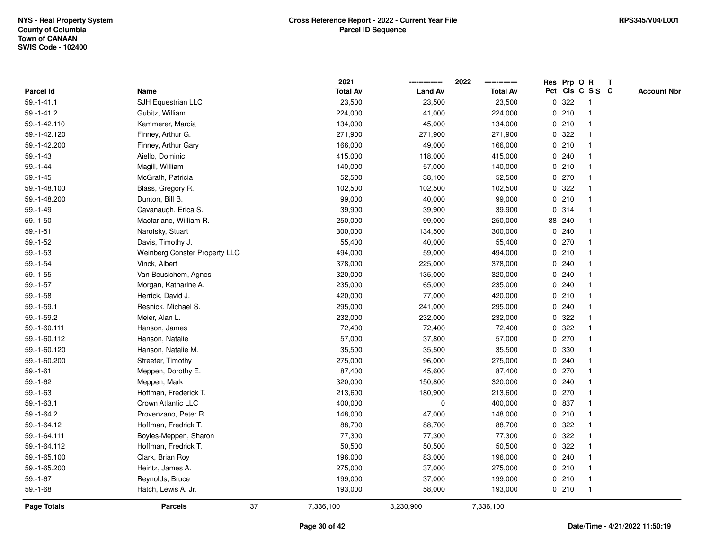|                  |                                      |    | 2021            |                | 2022            |             |        | Res Prp O R     | $\mathbf{T}$ |                    |
|------------------|--------------------------------------|----|-----------------|----------------|-----------------|-------------|--------|-----------------|--------------|--------------------|
| Parcel Id        | Name                                 |    | <b>Total Av</b> | <b>Land Av</b> | <b>Total Av</b> |             |        | Pct Cls C S S C |              | <b>Account Nbr</b> |
| $59. - 1 - 41.1$ | SJH Equestrian LLC                   |    | 23,500          | 23,500         | 23,500          | 0           | 322    |                 |              |                    |
| $59.-1-41.2$     | Gubitz, William                      |    | 224,000         | 41,000         | 224,000         |             | 0210   |                 |              |                    |
| 59.-1-42.110     | Kammerer, Marcia                     |    | 134,000         | 45,000         | 134,000         |             | 0210   | -1              |              |                    |
| 59.-1-42.120     | Finney, Arthur G.                    |    | 271,900         | 271,900        | 271,900         | $\mathbf 0$ | 322    |                 |              |                    |
| 59.-1-42.200     | Finney, Arthur Gary                  |    | 166,000         | 49,000         | 166,000         |             | 0210   | -1              |              |                    |
| $59. - 1 - 43$   | Aiello, Dominic                      |    | 415,000         | 118,000        | 415,000         |             | 0.240  | -1              |              |                    |
| $59. - 1 - 44$   | Magill, William                      |    | 140,000         | 57,000         | 140,000         |             | 0210   |                 |              |                    |
| $59. - 1 - 45$   | McGrath, Patricia                    |    | 52,500          | 38,100         | 52,500          |             | 0270   |                 |              |                    |
| 59.-1-48.100     | Blass, Gregory R.                    |    | 102,500         | 102,500        | 102,500         |             | 0.322  |                 |              |                    |
| 59.-1-48.200     | Dunton, Bill B.                      |    | 99,000          | 40,000         | 99,000          |             | 0210   |                 |              |                    |
| $59. - 1 - 49$   | Cavanaugh, Erica S.                  |    | 39,900          | 39,900         | 39,900          |             | 0.314  | -1              |              |                    |
| $59.-1-50$       | Macfarlane, William R.               |    | 250,000         | 99,000         | 250,000         |             | 88 240 | -1              |              |                    |
| $59.-1-51$       | Narofsky, Stuart                     |    | 300,000         | 134,500        | 300,000         |             | 0.240  |                 |              |                    |
| $59. - 1 - 52$   | Davis, Timothy J.                    |    | 55,400          | 40,000         | 55,400          |             | 0270   |                 |              |                    |
| $59.-1-53$       | <b>Weinberg Conster Property LLC</b> |    | 494,000         | 59,000         | 494,000         |             | 0210   |                 |              |                    |
| $59.-1-54$       | Vinck, Albert                        |    | 378,000         | 225,000        | 378,000         |             | 0.240  |                 |              |                    |
| $59.-1-55$       | Van Beusichem, Agnes                 |    | 320,000         | 135,000        | 320,000         | 0           | 240    |                 |              |                    |
| $59.-1-57$       | Morgan, Katharine A.                 |    | 235,000         | 65,000         | 235,000         | 0           | 240    | -1              |              |                    |
| $59.-1-58$       | Herrick, David J.                    |    | 420,000         | 77,000         | 420,000         |             | 0210   | -1              |              |                    |
| $59.-1-59.1$     | Resnick, Michael S.                  |    | 295,000         | 241,000        | 295,000         |             | 0.240  |                 |              |                    |
| 59.-1-59.2       | Meier, Alan L.                       |    | 232,000         | 232,000        | 232,000         |             | 0.322  |                 |              |                    |
| 59.-1-60.111     | Hanson, James                        |    | 72,400          | 72,400         | 72,400          |             | 0.322  |                 |              |                    |
| 59.-1-60.112     | Hanson, Natalie                      |    | 57,000          | 37,800         | 57,000          |             | 0270   |                 |              |                    |
| 59.-1-60.120     | Hanson, Natalie M.                   |    | 35,500          | 35,500         | 35,500          | 0           | 330    | $\mathbf{1}$    |              |                    |
| 59.-1-60.200     | Streeter, Timothy                    |    | 275,000         | 96,000         | 275,000         | 0           | 240    |                 |              |                    |
| $59. - 1 - 61$   | Meppen, Dorothy E.                   |    | 87,400          | 45,600         | 87,400          |             | 0270   | -1              |              |                    |
| $59.-1-62$       | Meppen, Mark                         |    | 320,000         | 150,800        | 320,000         |             | 0.240  |                 |              |                    |
| $59. - 1 - 63$   | Hoffman, Frederick T.                |    | 213,600         | 180,900        | 213,600         |             | 0270   |                 |              |                    |
| $59.-1-63.1$     | Crown Atlantic LLC                   |    | 400,000         | $\pmb{0}$      | 400,000         |             | 0 837  |                 |              |                    |
| 59.-1-64.2       | Provenzano, Peter R.                 |    | 148,000         | 47,000         | 148,000         |             | 0210   |                 |              |                    |
| 59.-1-64.12      | Hoffman, Fredrick T.                 |    | 88,700          | 88,700         | 88,700          | 0           | 322    |                 |              |                    |
| 59.-1-64.111     | Boyles-Meppen, Sharon                |    | 77,300          | 77,300         | 77,300          | 0           | 322    | -1              |              |                    |
| 59.-1-64.112     | Hoffman, Fredrick T.                 |    | 50,500          | 50,500         | 50,500          |             | 0.322  |                 |              |                    |
| 59.-1-65.100     | Clark, Brian Roy                     |    | 196,000         | 83,000         | 196,000         |             | 0.240  |                 |              |                    |
| 59.-1-65.200     | Heintz, James A.                     |    | 275,000         | 37,000         | 275,000         |             | 0210   |                 |              |                    |
| $59.-1-67$       | Reynolds, Bruce                      |    | 199,000         | 37,000         | 199,000         |             | 0210   | -1              |              |                    |
| $59.-1-68$       | Hatch, Lewis A. Jr.                  |    | 193,000         | 58,000         | 193,000         |             | 0210   | -1              |              |                    |
| Page Totals      | <b>Parcels</b>                       | 37 | 7,336,100       | 3,230,900      | 7,336,100       |             |        |                 |              |                    |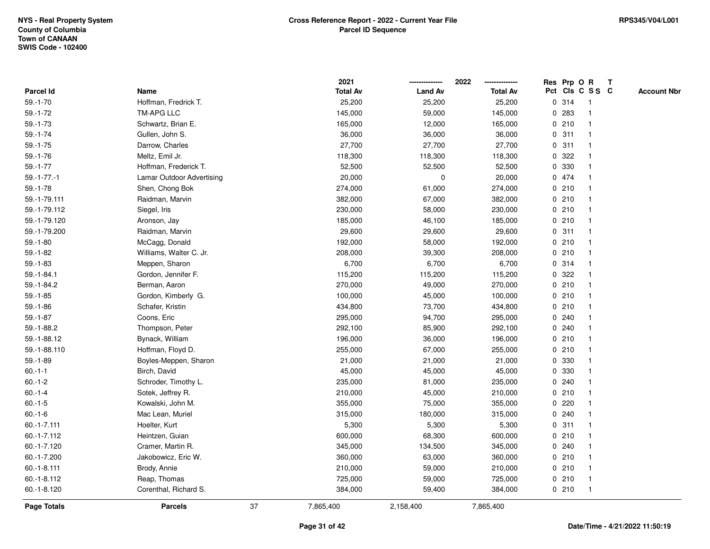|                    |                           |    | 2021            |                | 2022            |              |       | Res Prp O R     | T |                    |
|--------------------|---------------------------|----|-----------------|----------------|-----------------|--------------|-------|-----------------|---|--------------------|
| Parcel Id          | Name                      |    | <b>Total Av</b> | <b>Land Av</b> | <b>Total Av</b> |              |       | Pct Cls C S S C |   | <b>Account Nbr</b> |
| $59.-1-70$         | Hoffman, Fredrick T.      |    | 25,200          | 25,200         | 25,200          |              | 0.314 | -1              |   |                    |
| $59. - 1 - 72$     | <b>TM-APG LLC</b>         |    | 145,000         | 59,000         | 145,000         | 0            | 283   | $\mathbf 1$     |   |                    |
| $59. - 1 - 73$     | Schwartz, Brian E.        |    | 165,000         | 12,000         | 165,000         |              | 0210  | $\mathbf 1$     |   |                    |
| $59.-1-74$         | Gullen, John S.           |    | 36,000          | 36,000         | 36,000          |              | 0.311 |                 |   |                    |
| $59.-1-75$         | Darrow, Charles           |    | 27,700          | 27,700         | 27,700          |              | 0.311 |                 |   |                    |
| $59.-1-76$         | Meltz, Emil Jr.           |    | 118,300         | 118,300        | 118,300         |              | 0.322 |                 |   |                    |
| $59.-1-77$         | Hoffman, Frederick T.     |    | 52,500          | 52,500         | 52,500          |              | 0 330 |                 |   |                    |
| $59.-1-77.-1$      | Lamar Outdoor Advertising |    | 20,000          | $\mathbf 0$    | 20,000          |              | 0 474 | $\mathbf{1}$    |   |                    |
| $59.-1-78$         | Shen, Chong Bok           |    | 274,000         | 61,000         | 274,000         |              | 0210  | -1              |   |                    |
| 59.-1-79.111       | Raidman, Marvin           |    | 382,000         | 67,000         | 382,000         |              | 0210  | $\mathbf 1$     |   |                    |
| 59.-1-79.112       | Siegel, Iris              |    | 230,000         | 58,000         | 230,000         |              | 0210  |                 |   |                    |
| 59.-1-79.120       | Aronson, Jay              |    | 185,000         | 46,100         | 185,000         |              | 0210  |                 |   |                    |
| 59.-1-79.200       | Raidman, Marvin           |    | 29,600          | 29,600         | 29,600          |              | 0.311 |                 |   |                    |
| $59.-1-80$         | McCagg, Donald            |    | 192,000         | 58,000         | 192,000         |              | 0210  | $\mathbf 1$     |   |                    |
| $59.-1-82$         | Williams, Walter C. Jr.   |    | 208,000         | 39,300         | 208,000         | $\mathbf 0$  | 210   |                 |   |                    |
| $59. - 1 - 83$     | Meppen, Sharon            |    | 6,700           | 6,700          | 6,700           |              | 0.314 | $\overline{1}$  |   |                    |
| $59.-1-84.1$       | Gordon, Jennifer F.       |    | 115,200         | 115,200        | 115,200         |              | 0.322 |                 |   |                    |
| 59.-1-84.2         | Berman, Aaron             |    | 270,000         | 49,000         | 270,000         |              | 0210  |                 |   |                    |
| $59.-1-85$         | Gordon, Kimberly G.       |    | 100,000         | 45,000         | 100,000         |              | 0210  |                 |   |                    |
| $59. - 1 - 86$     | Schafer, Kristin          |    | 434,800         | 73,700         | 434,800         |              | 0210  |                 |   |                    |
| $59.-1-87$         | Coons, Eric               |    | 295,000         | 94,700         | 295,000         |              | 0.240 |                 |   |                    |
| 59.-1-88.2         | Thompson, Peter           |    | 292,100         | 85,900         | 292,100         | 0            | 240   |                 |   |                    |
| 59.-1-88.12        | Bynack, William           |    | 196,000         | 36,000         | 196,000         |              | 0210  | -1              |   |                    |
| 59.-1-88.110       | Hoffman, Floyd D.         |    | 255,000         | 67,000         | 255,000         | $\mathbf{0}$ | 210   | 1               |   |                    |
| $59.-1-89$         | Boyles-Meppen, Sharon     |    | 21,000          | 21,000         | 21,000          |              | 0 330 |                 |   |                    |
| $60.-1-1$          | Birch, David              |    | 45,000          | 45,000         | 45,000          |              | 0 330 |                 |   |                    |
| $60.-1-2$          | Schroder, Timothy L.      |    | 235,000         | 81,000         | 235,000         |              | 0.240 |                 |   |                    |
| $60.-1-4$          | Sotek, Jeffrey R.         |    | 210,000         | 45,000         | 210,000         |              | 0210  |                 |   |                    |
| $60.-1-5$          | Kowalski, John M.         |    | 355,000         | 75,000         | 355,000         | 0            | 220   |                 |   |                    |
| $60.-1-6$          | Mac Lean, Muriel          |    | 315,000         | 180,000        | 315,000         | $\mathbf 0$  | 240   |                 |   |                    |
| $60.-1-7.111$      | Hoelter, Kurt             |    | 5,300           | 5,300          | 5,300           | 0            | 311   | -1              |   |                    |
| 60.-1-7.112        | Heintzen, Guian           |    | 600,000         | 68,300         | 600,000         |              | 0210  | $\mathbf 1$     |   |                    |
| 60.-1-7.120        | Cramer, Martin R.         |    | 345,000         | 134,500        | 345,000         |              | 0.240 |                 |   |                    |
| 60.-1-7.200        | Jakobowicz, Eric W.       |    | 360,000         | 63,000         | 360,000         |              | 0210  |                 |   |                    |
| $60.-1-8.111$      | Brody, Annie              |    | 210,000         | 59,000         | 210,000         |              | 0210  |                 |   |                    |
| 60.-1-8.112        | Reap, Thomas              |    | 725,000         | 59,000         | 725,000         |              | 0210  | -1              |   |                    |
| 60.-1-8.120        | Corenthal, Richard S.     |    | 384,000         | 59,400         | 384,000         |              | 0210  | $\overline{1}$  |   |                    |
| <b>Page Totals</b> | <b>Parcels</b>            | 37 | 7,865,400       | 2,158,400      | 7,865,400       |              |       |                 |   |                    |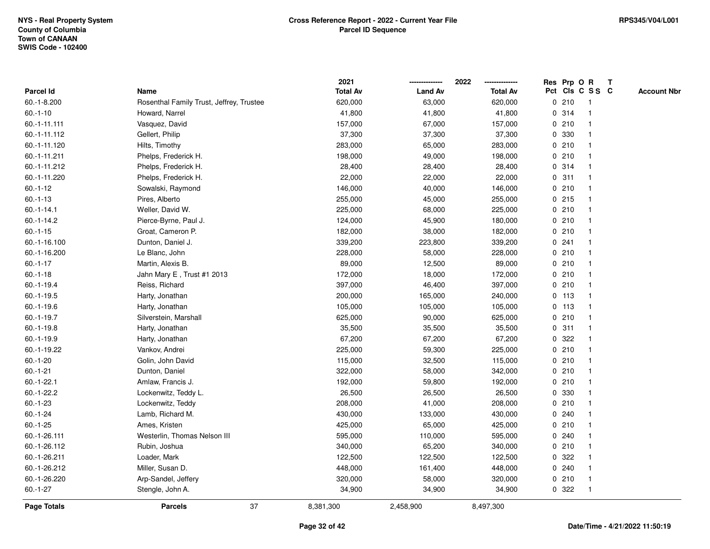|                 |                                          | 2021            |                | 2022            |   |         | Res Prp O R     | Т |                    |
|-----------------|------------------------------------------|-----------------|----------------|-----------------|---|---------|-----------------|---|--------------------|
| Parcel Id       | Name                                     | <b>Total Av</b> | <b>Land Av</b> | <b>Total Av</b> |   |         | Pct Cls C S S C |   | <b>Account Nbr</b> |
| $60.-1-8.200$   | Rosenthal Family Trust, Jeffrey, Trustee | 620,000         | 63,000         | 620,000         | 0 | 210     | $\mathbf{1}$    |   |                    |
| $60.-1-10$      | Howard, Narrel                           | 41,800          | 41,800         | 41,800          | 0 | 314     | $\mathbf{1}$    |   |                    |
| 60.-1-11.111    | Vasquez, David                           | 157,000         | 67,000         | 157,000         |   | 0210    | $\mathbf{1}$    |   |                    |
| 60.-1-11.112    | Gellert, Philip                          | 37,300          | 37,300         | 37,300          |   | 0 330   | -1              |   |                    |
| 60.-1-11.120    | Hilts, Timothy                           | 283,000         | 65,000         | 283,000         |   | 0210    |                 |   |                    |
| 60.-1-11.211    | Phelps, Frederick H.                     | 198,000         | 49,000         | 198,000         |   | 0210    |                 |   |                    |
| 60.-1-11.212    | Phelps, Frederick H.                     | 28,400          | 28,400         | 28,400          |   | 0.314   | $\mathbf{1}$    |   |                    |
| 60.-1-11.220    | Phelps, Frederick H.                     | 22,000          | 22,000         | 22,000          | 0 | 311     | $\mathbf{1}$    |   |                    |
| $60.-1-12$      | Sowalski, Raymond                        | 146,000         | 40,000         | 146,000         | 0 | 210     | $\mathbf{1}$    |   |                    |
| $60.-1-13$      | Pires, Alberto                           | 255,000         | 45,000         | 255,000         |   | $0$ 215 | $\mathbf{1}$    |   |                    |
| $60.-1-14.1$    | Weller, David W.                         | 225,000         | 68,000         | 225,000         |   | 0210    | $\mathbf{1}$    |   |                    |
| $60.-1-14.2$    | Pierce-Byrne, Paul J.                    | 124,000         | 45,900         | 180,000         |   | 0210    |                 |   |                    |
| $60.-1-15$      | Groat, Cameron P.                        | 182,000         | 38,000         | 182,000         |   | 0210    |                 |   |                    |
| 60.-1-16.100    | Dunton, Daniel J.                        | 339,200         | 223,800        | 339,200         |   | 0.241   | 1               |   |                    |
| 60.-1-16.200    | Le Blanc, John                           | 228,000         | 58,000         | 228,000         |   | 0210    | $\mathbf{1}$    |   |                    |
| $60.-1-17$      | Martin, Alexis B.                        | 89,000          | 12,500         | 89,000          | 0 | 210     | $\overline{1}$  |   |                    |
| $60.-1-18$      | Jahn Mary E, Trust #1 2013               | 172,000         | 18,000         | 172,000         |   | 0210    | $\mathbf{1}$    |   |                    |
| $60 - 1 - 19.4$ | Reiss, Richard                           | 397,000         | 46,400         | 397,000         |   | 0210    | $\mathbf{1}$    |   |                    |
| $60.-1-19.5$    | Harty, Jonathan                          | 200,000         | 165,000        | 240,000         |   | $0$ 113 | $\mathbf 1$     |   |                    |
| $60.-1-19.6$    | Harty, Jonathan                          | 105,000         | 105,000        | 105,000         |   | $0$ 113 |                 |   |                    |
| $60.-1-19.7$    | Silverstein, Marshall                    | 625,000         | 90,000         | 625,000         |   | 0210    | $\mathbf{1}$    |   |                    |
| $60.-1-19.8$    | Harty, Jonathan                          | 35,500          | 35,500         | 35,500          | 0 | 311     | $\mathbf 1$     |   |                    |
| 60.-1-19.9      | Harty, Jonathan                          | 67,200          | 67,200         | 67,200          | 0 | 322     | -1              |   |                    |
| 60.-1-19.22     | Vankov, Andrei                           | 225,000         | 59,300         | 225,000         |   | 0210    | $\mathbf{1}$    |   |                    |
| $60.-1-20$      | Golin, John David                        | 115,000         | 32,500         | 115,000         |   | 0210    | $\mathbf{1}$    |   |                    |
| $60.-1-21$      | Dunton, Daniel                           | 322,000         | 58,000         | 342,000         |   | 0210    | 1               |   |                    |
| $60.-1-22.1$    | Amlaw, Francis J.                        | 192,000         | 59,800         | 192,000         |   | 0210    |                 |   |                    |
| $60.-1-22.2$    | Lockenwitz, Teddy L.                     | 26,500          | 26,500         | 26,500          |   | 0 330   |                 |   |                    |
| $60.-1-23$      | Lockenwitz, Teddy                        | 208,000         | 41,000         | 208,000         |   | 0210    | $\mathbf{1}$    |   |                    |
| $60.-1-24$      | Lamb, Richard M.                         | 430,000         | 133,000        | 430,000         | 0 | 240     | $\mathbf 1$     |   |                    |
| $60.-1-25$      | Ames, Kristen                            | 425,000         | 65,000         | 425,000         | 0 | 210     | $\mathbf{1}$    |   |                    |
| 60.-1-26.111    | Westerlin, Thomas Nelson III             | 595,000         | 110,000        | 595,000         |   | 0.240   | $\mathbf{1}$    |   |                    |
| 60.-1-26.112    | Rubin, Joshua                            | 340,000         | 65,200         | 340,000         |   | 0210    | $\mathbf{1}$    |   |                    |
| 60.-1-26.211    | Loader, Mark                             | 122,500         | 122,500        | 122,500         |   | 0.322   |                 |   |                    |
| 60.-1-26.212    | Miller, Susan D.                         | 448,000         | 161,400        | 448,000         |   | 0.240   | 1               |   |                    |
| 60.-1-26.220    | Arp-Sandel, Jeffery                      | 320,000         | 58,000         | 320,000         |   | 0210    | $\mathbf{1}$    |   |                    |
| $60.-1-27$      | Stengle, John A.                         | 34,900          | 34,900         | 34,900          |   | 0.322   | $\mathbf{1}$    |   |                    |
| Page Totals     | 37<br><b>Parcels</b>                     | 8,381,300       | 2,458,900      | 8,497,300       |   |         |                 |   |                    |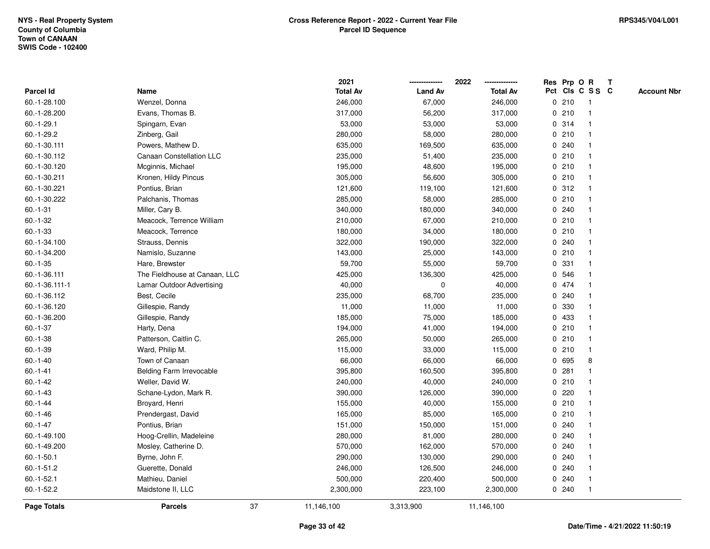|                    |                               |    | 2021            |                | 2022            |              |       | Res Prp O R     | T |                    |
|--------------------|-------------------------------|----|-----------------|----------------|-----------------|--------------|-------|-----------------|---|--------------------|
| <b>Parcel Id</b>   | Name                          |    | <b>Total Av</b> | <b>Land Av</b> | <b>Total Av</b> |              |       | Pct Cls C S S C |   | <b>Account Nbr</b> |
| 60.-1-28.100       | Wenzel, Donna                 |    | 246,000         | 67,000         | 246,000         |              | 0210  | -1              |   |                    |
| 60.-1-28.200       | Evans, Thomas B.              |    | 317,000         | 56,200         | 317,000         | 0            | 210   | -1              |   |                    |
| $60.-1-29.1$       | Spingarn, Evan                |    | 53,000          | 53,000         | 53,000          |              | 0.314 | $\mathbf{1}$    |   |                    |
| $60.-1-29.2$       | Zinberg, Gail                 |    | 280,000         | 58,000         | 280,000         |              | 0210  |                 |   |                    |
| 60.-1-30.111       | Powers, Mathew D.             |    | 635,000         | 169,500        | 635,000         |              | 0.240 |                 |   |                    |
| 60.-1-30.112       | Canaan Constellation LLC      |    | 235,000         | 51,400         | 235,000         |              | 0210  |                 |   |                    |
| 60.-1-30.120       | Mcginnis, Michael             |    | 195,000         | 48,600         | 195,000         |              | 0210  |                 |   |                    |
| 60.-1-30.211       | Kronen, Hildy Pincus          |    | 305,000         | 56,600         | 305,000         |              | 0210  | $\mathbf{1}$    |   |                    |
| 60.-1-30.221       | Pontius, Brian                |    | 121,600         | 119,100        | 121,600         |              | 0.312 |                 |   |                    |
| 60.-1-30.222       | Palchanis, Thomas             |    | 285,000         | 58,000         | 285,000         |              | 0210  | 1               |   |                    |
| $60.-1-31$         | Miller, Cary B.               |    | 340,000         | 180,000        | 340,000         |              | 0.240 |                 |   |                    |
| $60.-1-32$         | Meacock, Terrence William     |    | 210,000         | 67,000         | 210,000         |              | 0210  |                 |   |                    |
| $60.-1-33$         | Meacock, Terrence             |    | 180,000         | 34,000         | 180,000         |              | 0210  |                 |   |                    |
| 60.-1-34.100       | Strauss, Dennis               |    | 322,000         | 190,000        | 322,000         |              | 0.240 |                 |   |                    |
| 60.-1-34.200       | Namislo, Suzanne              |    | 143,000         | 25,000         | 143,000         | $\mathbf 0$  | 210   |                 |   |                    |
| $60.-1-35$         | Hare, Brewster                |    | 59,700          | 55,000         | 59,700          | 0            | 331   | 1               |   |                    |
| 60.-1-36.111       | The Fieldhouse at Canaan, LLC |    | 425,000         | 136,300        | 425,000         |              | 0 546 | $\mathbf{1}$    |   |                    |
| 60.-1-36.111-1     | Lamar Outdoor Advertising     |    | 40,000          | 0              | 40,000          |              | 0 474 |                 |   |                    |
| 60.-1-36.112       | Best, Cecile                  |    | 235,000         | 68,700         | 235,000         |              | 0.240 |                 |   |                    |
| 60.-1-36.120       | Gillespie, Randy              |    | 11,000          | 11,000         | 11,000          | 0            | 330   |                 |   |                    |
| 60.-1-36.200       | Gillespie, Randy              |    | 185,000         | 75,000         | 185,000         |              | 0 433 |                 |   |                    |
| $60.-1-37$         | Harty, Dena                   |    | 194,000         | 41,000         | 194,000         |              | 0210  |                 |   |                    |
| $60.-1-38$         | Patterson, Caitlin C.         |    | 265,000         | 50,000         | 265,000         |              | 0210  | -1              |   |                    |
| $60.-1-39$         | Ward, Philip M.               |    | 115,000         | 33,000         | 115,000         | $\mathbf{0}$ | 210   | $\mathbf{1}$    |   |                    |
| $60.-1-40$         | Town of Canaan                |    | 66,000          | 66,000         | 66,000          |              | 0 695 | 8               |   |                    |
| $60.-1-41$         | Belding Farm Irrevocable      |    | 395,800         | 160,500        | 395,800         |              | 0.281 |                 |   |                    |
| $60.-1-42$         | Weller, David W.              |    | 240,000         | 40,000         | 240,000         |              | 0210  |                 |   |                    |
| $60.-1-43$         | Schane-Lydon, Mark R.         |    | 390,000         | 126,000        | 390,000         | 0            | 220   |                 |   |                    |
| $60 - 1 - 44$      | Broyard, Henri                |    | 155,000         | 40,000         | 155,000         |              | 0210  |                 |   |                    |
| $60.-1-46$         | Prendergast, David            |    | 165,000         | 85,000         | 165,000         | $\mathbf 0$  | 210   |                 |   |                    |
| $60.-1-47$         | Pontius, Brian                |    | 151,000         | 150,000        | 151,000         | 0            | 240   | 1               |   |                    |
| 60.-1-49.100       | Hoog-Crellin, Madeleine       |    | 280,000         | 81,000         | 280,000         |              | 0.240 |                 |   |                    |
| 60.-1-49.200       | Mosley, Catherine D.          |    | 570,000         | 162,000        | 570,000         |              | 0.240 |                 |   |                    |
| $60.-1-50.1$       | Byrne, John F.                |    | 290,000         | 130,000        | 290,000         |              | 0.240 |                 |   |                    |
| $60.-1-51.2$       | Guerette, Donald              |    | 246,000         | 126,500        | 246,000         |              | 0.240 |                 |   |                    |
| $60.-1-52.1$       | Mathieu, Daniel               |    | 500,000         | 220,400        | 500,000         | $\mathbf{0}$ | 240   |                 |   |                    |
| $60 - 1 - 52.2$    | Maidstone II, LLC             |    | 2,300,000       | 223,100        | 2,300,000       |              | 0.240 | $\mathbf{1}$    |   |                    |
| <b>Page Totals</b> | <b>Parcels</b>                | 37 | 11,146,100      | 3,313,900      | 11,146,100      |              |       |                 |   |                    |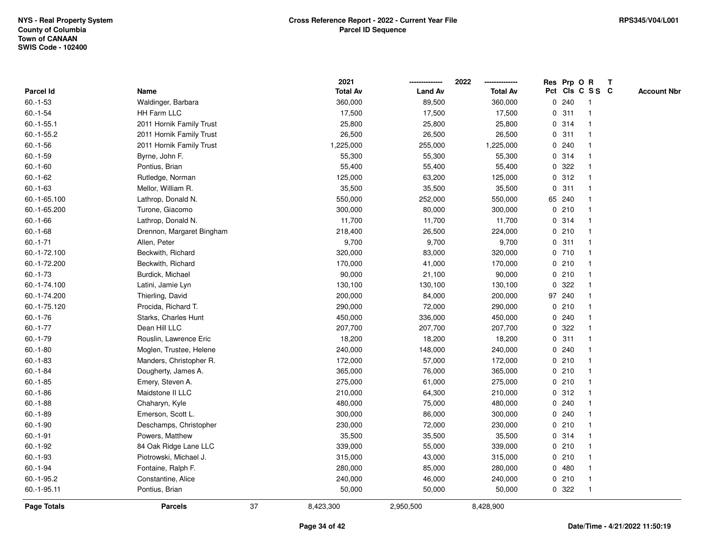|                    |                           |    | 2021            |                | 2022            |             |        | Res Prp O R             | $\mathbf{T}$ |                    |
|--------------------|---------------------------|----|-----------------|----------------|-----------------|-------------|--------|-------------------------|--------------|--------------------|
| Parcel Id          | Name                      |    | <b>Total Av</b> | <b>Land Av</b> | <b>Total Av</b> |             |        | Pct Cls C S S C         |              | <b>Account Nbr</b> |
| $60.-1-53$         | Waldinger, Barbara        |    | 360,000         | 89,500         | 360,000         |             | 0.240  |                         |              |                    |
| $60.-1-54$         | <b>HH Farm LLC</b>        |    | 17,500          | 17,500         | 17,500          | 0           | 311    |                         |              |                    |
| $60.-1-55.1$       | 2011 Hornik Family Trust  |    | 25,800          | 25,800         | 25,800          |             | 0.314  | -1                      |              |                    |
| $60.-1-55.2$       | 2011 Hornik Family Trust  |    | 26,500          | 26,500         | 26,500          | 0           | 311    | -1                      |              |                    |
| $60.-1-56$         | 2011 Hornik Family Trust  |    | 1,225,000       | 255,000        | 1,225,000       | 0           | 240    | -1                      |              |                    |
| $60.-1-59$         | Byrne, John F.            |    | 55,300          | 55,300         | 55,300          |             | 0.314  | -1                      |              |                    |
| $60.-1-60$         | Pontius, Brian            |    | 55,400          | 55,400         | 55,400          |             | 0.322  |                         |              |                    |
| $60.-1-62$         | Rutledge, Norman          |    | 125,000         | 63,200         | 125,000         |             | 0.312  |                         |              |                    |
| $60.-1-63$         | Mellor, William R.        |    | 35,500          | 35,500         | 35,500          |             | 0.311  | -1                      |              |                    |
| 60.-1-65.100       | Lathrop, Donald N.        |    | 550,000         | 252,000        | 550,000         |             | 65 240 |                         |              |                    |
| 60.-1-65.200       | Turone, Giacomo           |    | 300,000         | 80,000         | 300,000         |             | 0210   | -1                      |              |                    |
| $60.-1-66$         | Lathrop, Donald N.        |    | 11,700          | 11,700         | 11,700          |             | 0.314  | -1                      |              |                    |
| $60.-1-68$         | Drennon, Margaret Bingham |    | 218,400         | 26,500         | 224,000         |             | 0210   |                         |              |                    |
| $60. -1 - 71$      | Allen, Peter              |    | 9,700           | 9,700          | 9,700           |             | 0.311  |                         |              |                    |
| 60.-1-72.100       | Beckwith, Richard         |    | 320,000         | 83,000         | 320,000         |             | 0710   |                         |              |                    |
| 60.-1-72.200       | Beckwith, Richard         |    | 170,000         | 41,000         | 170,000         |             | 0210   | -1                      |              |                    |
| $60.-1-73$         | Burdick, Michael          |    | 90,000          | 21,100         | 90,000          |             | 0210   | $\overline{\mathbf{1}}$ |              |                    |
| 60.-1-74.100       | Latini, Jamie Lyn         |    | 130,100         | 130,100        | 130,100         | 0           | 322    | -1                      |              |                    |
| 60.-1-74.200       | Thierling, David          |    | 200,000         | 84,000         | 200,000         |             | 97 240 | $\mathbf{1}$            |              |                    |
| 60.-1-75.120       | Procida, Richard T.       |    | 290,000         | 72,000         | 290,000         |             | 0210   |                         |              |                    |
| $60.-1-76$         | Starks, Charles Hunt      |    | 450,000         | 336,000        | 450,000         |             | 0.240  |                         |              |                    |
| $60.-1-77$         | Dean Hill LLC             |    | 207,700         | 207,700        | 207,700         | 0           | 322    |                         |              |                    |
| $60.-1-79$         | Rouslin, Lawrence Eric    |    | 18,200          | 18,200         | 18,200          |             | 0.311  |                         |              |                    |
| $60.-1-80$         | Moglen, Trustee, Helene   |    | 240,000         | 148,000        | 240,000         | $\mathbf 0$ | 240    | $\mathbf{1}$            |              |                    |
| $60.-1-83$         | Manders, Christopher R.   |    | 172,000         | 57,000         | 172,000         | 0           | 210    | -1                      |              |                    |
| $60.-1-84$         | Dougherty, James A.       |    | 365,000         | 76,000         | 365,000         |             | 0210   | $\mathbf 1$             |              |                    |
| $60.-1-85$         | Emery, Steven A.          |    | 275,000         | 61,000         | 275,000         |             | 0210   |                         |              |                    |
| $60.-1-86$         | Maidstone II LLC          |    | 210,000         | 64,300         | 210,000         |             | 0.312  |                         |              |                    |
| $60.-1-88$         | Chaharyn, Kyle            |    | 480,000         | 75,000         | 480,000         |             | 0.240  |                         |              |                    |
| $60.-1-89$         | Emerson, Scott L.         |    | 300,000         | 86,000         | 300,000         | 0           | 240    |                         |              |                    |
| $60.-1-90$         | Deschamps, Christopher    |    | 230,000         | 72,000         | 230,000         | 0           | 210    | -1                      |              |                    |
| $60.-1-91$         | Powers, Matthew           |    | 35,500          | 35,500         | 35,500          |             | 0.314  | $\mathbf 1$             |              |                    |
| $60.-1-92$         | 84 Oak Ridge Lane LLC     |    | 339,000         | 55,000         | 339,000         |             | 0210   |                         |              |                    |
| $60.-1-93$         | Piotrowski, Michael J.    |    | 315,000         | 43,000         | 315,000         |             | 0210   |                         |              |                    |
| $60.-1-94$         | Fontaine, Ralph F.        |    | 280,000         | 85,000         | 280,000         |             | 0480   |                         |              |                    |
| 60.-1-95.2         | Constantine, Alice        |    | 240,000         | 46,000         | 240,000         |             | 0210   | -1                      |              |                    |
| 60.-1-95.11        | Pontius, Brian            |    | 50,000          | 50,000         | 50,000          |             | 0 322  | -1                      |              |                    |
| <b>Page Totals</b> | <b>Parcels</b>            | 37 | 8,423,300       | 2,950,500      | 8,428,900       |             |        |                         |              |                    |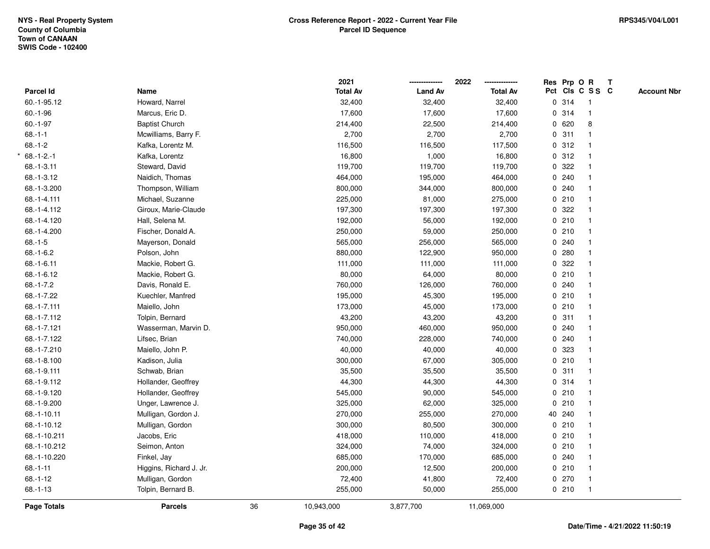|                |                         |    | 2021            |                | 2022            | Res Prp O R |                 | $\mathbf{T}$ |                    |
|----------------|-------------------------|----|-----------------|----------------|-----------------|-------------|-----------------|--------------|--------------------|
| Parcel Id      | Name                    |    | <b>Total Av</b> | <b>Land Av</b> | <b>Total Av</b> |             | Pct Cls C S S C |              | <b>Account Nbr</b> |
| 60.-1-95.12    | Howard, Narrel          |    | 32,400          | 32,400         | 32,400          | 0 314       | $\overline{1}$  |              |                    |
| $60.-1-96$     | Marcus, Eric D.         |    | 17,600          | 17,600         | 17,600          | 0 314       | $\mathbf{1}$    |              |                    |
| $60.-1-97$     | <b>Baptist Church</b>   |    | 214,400         | 22,500         | 214,400         | 0620        | 8               |              |                    |
| $68.-1-1$      | Mcwilliams, Barry F.    |    | 2,700           | 2,700          | 2,700           | 0.311       | $\mathbf{1}$    |              |                    |
| $68.-1-2$      | Kafka, Lorentz M.       |    | 116,500         | 116,500        | 117,500         | 0.312       | $\mathbf{1}$    |              |                    |
| $68.-1-2.-1$   | Kafka, Lorentz          |    | 16,800          | 1,000          | 16,800          | 0.312       | $\mathbf{1}$    |              |                    |
| $68.-1-3.11$   | Steward, David          |    | 119,700         | 119,700        | 119,700         | 0.322       | $\mathbf{1}$    |              |                    |
| 68.-1-3.12     | Naidich, Thomas         |    | 464,000         | 195,000        | 464,000         | 0.240       | $\mathbf{1}$    |              |                    |
| 68.-1-3.200    | Thompson, William       |    | 800,000         | 344,000        | 800,000         | 0.240       | $\mathbf{1}$    |              |                    |
| 68.-1-4.111    | Michael, Suzanne        |    | 225,000         | 81,000         | 275,000         | 0210        | $\mathbf{1}$    |              |                    |
| 68.-1-4.112    | Giroux, Marie-Claude    |    | 197,300         | 197,300        | 197,300         | 0.322       | $\mathbf{1}$    |              |                    |
| 68.-1-4.120    | Hall, Selena M.         |    | 192,000         | 56,000         | 192,000         | 0210        |                 |              |                    |
| 68.-1-4.200    | Fischer, Donald A.      |    | 250,000         | 59,000         | 250,000         | 0210        |                 |              |                    |
| $68.-1-5$      | Mayerson, Donald        |    | 565,000         | 256,000        | 565,000         | 0.240       | $\mathbf{1}$    |              |                    |
| $68.-1-6.2$    | Polson, John            |    | 880,000         | 122,900        | 950,000         | 0.280       | $\mathbf{1}$    |              |                    |
| $68.-1-6.11$   | Mackie, Robert G.       |    | 111,000         | 111,000        | 111,000         | 0.322       | $\mathbf{1}$    |              |                    |
| 68.-1-6.12     | Mackie, Robert G.       |    | 80,000          | 64,000         | 80,000          | 0210        | $\mathbf{1}$    |              |                    |
| $68.-1-7.2$    | Davis, Ronald E.        |    | 760,000         | 126,000        | 760,000         | 0.240       | $\mathbf{1}$    |              |                    |
| 68.-1-7.22     | Kuechler, Manfred       |    | 195,000         | 45,300         | 195,000         | 0210        | $\mathbf{1}$    |              |                    |
| 68.-1-7.111    | Maiello, John           |    | 173,000         | 45,000         | 173,000         | 0210        |                 |              |                    |
| 68.-1-7.112    | Tolpin, Bernard         |    | 43,200          | 43,200         | 43,200          | 0.311       | $\mathbf{1}$    |              |                    |
| 68.-1-7.121    | Wasserman, Marvin D.    |    | 950,000         | 460,000        | 950,000         | 0.240       | $\mathbf{1}$    |              |                    |
| 68.-1-7.122    | Lifsec, Brian           |    | 740,000         | 228,000        | 740,000         | 0.240       | $\mathbf{1}$    |              |                    |
| 68.-1-7.210    | Maiello, John P.        |    | 40,000          | 40,000         | 40,000          | 0 323       | $\mathbf{1}$    |              |                    |
| 68.-1-8.100    | Kadison, Julia          |    | 300,000         | 67,000         | 305,000         | 0210        | $\mathbf{1}$    |              |                    |
| 68.-1-9.111    | Schwab, Brian           |    | 35,500          | 35,500         | 35,500          | 0.311       |                 |              |                    |
| 68.-1-9.112    | Hollander, Geoffrey     |    | 44,300          | 44,300         | 44,300          | 0.314       |                 |              |                    |
| 68.-1-9.120    | Hollander, Geoffrey     |    | 545,000         | 90,000         | 545,000         | 0210        | $\mathbf{1}$    |              |                    |
| 68.-1-9.200    | Unger, Lawrence J.      |    | 325,000         | 62,000         | 325,000         | 0210        | $\overline{1}$  |              |                    |
| 68.-1-10.11    | Mulligan, Gordon J.     |    | 270,000         | 255,000        | 270,000         | 40 240      | $\mathbf{1}$    |              |                    |
| 68.-1-10.12    | Mulligan, Gordon        |    | 300,000         | 80,500         | 300,000         | 0210        | $\mathbf{1}$    |              |                    |
| 68.-1-10.211   | Jacobs, Eric            |    | 418,000         | 110,000        | 418,000         | 0210        | $\mathbf{1}$    |              |                    |
| 68.-1-10.212   | Seimon, Anton           |    | 324,000         | 74,000         | 324,000         | 0210        | $\mathbf{1}$    |              |                    |
| 68.-1-10.220   | Finkel, Jay             |    | 685,000         | 170,000        | 685,000         | 0.240       | $\mathbf{1}$    |              |                    |
| $68.-1-11$     | Higgins, Richard J. Jr. |    | 200,000         | 12,500         | 200,000         | 0210        | $\mathbf{1}$    |              |                    |
| $68.-1-12$     | Mulligan, Gordon        |    | 72,400          | 41,800         | 72,400          | 0270        | $\mathbf{1}$    |              |                    |
| $68. - 1 - 13$ | Tolpin, Bernard B.      |    | 255,000         | 50,000         | 255,000         | 0210        | $\overline{1}$  |              |                    |
| Page Totals    | <b>Parcels</b>          | 36 | 10,943,000      | 3,877,700      | 11,069,000      |             |                 |              |                    |
|                |                         |    |                 |                |                 |             |                 |              |                    |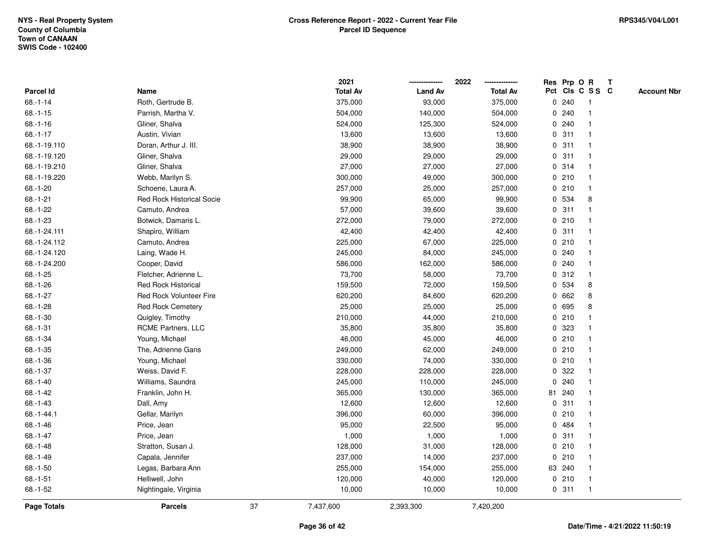|               |                                |    | 2021            |                | 2022            |   | Res Prp O R |                 | Т |                    |
|---------------|--------------------------------|----|-----------------|----------------|-----------------|---|-------------|-----------------|---|--------------------|
| Parcel Id     | Name                           |    | <b>Total Av</b> | <b>Land Av</b> | <b>Total Av</b> |   |             | Pct Cls C S S C |   | <b>Account Nbr</b> |
| $68.-1-14$    | Roth, Gertrude B.              |    | 375,000         | 93,000         | 375,000         | 0 | 240         | $\mathbf{1}$    |   |                    |
| $68 - 1 - 15$ | Parrish, Martha V.             |    | 504,000         | 140,000        | 504,000         | 0 | 240         | 1               |   |                    |
| $68.-1-16$    | Gliner, Shalva                 |    | 524,000         | 125,300        | 524,000         |   | 0.240       | $\mathbf 1$     |   |                    |
| $68.-1-17$    | Austin, Vivian                 |    | 13,600          | 13,600         | 13,600          |   | 0.311       |                 |   |                    |
| 68.-1-19.110  | Doran, Arthur J. III.          |    | 38,900          | 38,900         | 38,900          |   | 0.311       |                 |   |                    |
| 68.-1-19.120  | Gliner, Shalva                 |    | 29,000          | 29,000         | 29,000          |   | 0.311       |                 |   |                    |
| 68.-1-19.210  | Gliner, Shalva                 |    | 27,000          | 27,000         | 27,000          |   | 0.314       | $\mathbf 1$     |   |                    |
| 68.-1-19.220  | Webb, Marilyn S.               |    | 300,000         | 49,000         | 300,000         |   | 0210        | $\mathbf{1}$    |   |                    |
| $68.-1-20$    | Schoene, Laura A.              |    | 257,000         | 25,000         | 257,000         |   | 0210        | 1               |   |                    |
| $68.-1-21$    | Red Rock Historical Socie      |    | 99,900          | 65,000         | 99,900          |   | 0 534       | 8               |   |                    |
| $68.-1-22$    | Camuto, Andrea                 |    | 57,000          | 39,600         | 39,600          |   | 0.311       | -1              |   |                    |
| 68.-1-23      | Botwick, Damaris L.            |    | 272,000         | 79,000         | 272,000         |   | 0210        |                 |   |                    |
| 68.-1-24.111  | Shapiro, William               |    | 42,400          | 42,400         | 42,400          |   | 0.311       |                 |   |                    |
| 68.-1-24.112  | Camuto, Andrea                 |    | 225,000         | 67,000         | 225,000         |   | 0210        | 1               |   |                    |
| 68.-1-24.120  | Laing, Wade H.                 |    | 245,000         | 84,000         | 245,000         |   | 0.240       | $\mathbf 1$     |   |                    |
| 68.-1-24.200  | Cooper, David                  |    | 586,000         | 162,000        | 586,000         |   | 0.240       | $\mathbf{1}$    |   |                    |
| $68.-1-25$    | Fletcher, Adrienne L.          |    | 73,700          | 58,000         | 73,700          |   | 0.312       | $\mathbf{1}$    |   |                    |
| 68.-1-26      | <b>Red Rock Historical</b>     |    | 159,500         | 72,000         | 159,500         |   | 0 534       | 8               |   |                    |
| $68.-1-27$    | <b>Red Rock Volunteer Fire</b> |    | 620,200         | 84,600         | 620,200         |   | 0 662       | 8               |   |                    |
| 68.-1-28      | <b>Red Rock Cemetery</b>       |    | 25,000          | 25,000         | 25,000          |   | 0 695       | 8               |   |                    |
| $68.-1-30$    | Quigley, Timothy               |    | 210,000         | 44,000         | 210,000         |   | 0210        |                 |   |                    |
| $68.-1-31$    | RCME Partners, LLC             |    | 35,800          | 35,800         | 35,800          |   | 0 323       |                 |   |                    |
| 68.-1-34      | Young, Michael                 |    | 46,000          | 45,000         | 46,000          |   | 0210        | $\mathbf{1}$    |   |                    |
| $68.-1-35$    | The, Adrienne Gans             |    | 249,000         | 62,000         | 249,000         |   | 0210        | $\mathbf 1$     |   |                    |
| 68.-1-36      | Young, Michael                 |    | 330,000         | 74,000         | 330,000         |   | 0210        | $\mathbf 1$     |   |                    |
| $68.-1-37$    | Weiss, David F.                |    | 228,000         | 228,000        | 228,000         |   | 0.322       |                 |   |                    |
| $68.-1-40$    | Williams, Saundra              |    | 245,000         | 110,000        | 245,000         |   | 0.240       |                 |   |                    |
| 68.-1-42      | Franklin, John H.              |    | 365,000         | 130,000        | 365,000         |   | 81 240      | $\mathbf 1$     |   |                    |
| 68.-1-43      | Dall, Amy                      |    | 12,600          | 12,600         | 12,600          | 0 | 311         | 1               |   |                    |
| 68.-1-44.1    | Gellar, Marilyn                |    | 396,000         | 60,000         | 396,000         | 0 | 210         | 1               |   |                    |
| 68.-1-46      | Price, Jean                    |    | 95,000          | 22,500         | 95,000          | 0 | 484         | $\mathbf 1$     |   |                    |
| $68.-1-47$    | Price, Jean                    |    | 1,000           | 1,000          | 1,000           |   | 0.311       | 1               |   |                    |
| $68.-1-48$    | Stratton, Susan J.             |    | 128,000         | 31,000         | 128,000         |   | 0210        | 1               |   |                    |
| $68.-1-49$    | Capala, Jennifer               |    | 237,000         | 14,000         | 237,000         |   | 0210        |                 |   |                    |
| $68.-1-50$    | Legas, Barbara Ann             |    | 255,000         | 154,000        | 255,000         |   | 63 240      | $\mathbf 1$     |   |                    |
| $68.-1-51$    | Helliwell, John                |    | 120,000         | 40,000         | 120,000         |   | 0210        | $\mathbf{1}$    |   |                    |
| 68.-1-52      | Nightingale, Virginia          |    | 10,000          | 10,000         | 10,000          |   | 0.311       | $\mathbf{1}$    |   |                    |
| Page Totals   | <b>Parcels</b>                 | 37 | 7,437,600       | 2,393,300      | 7,420,200       |   |             |                 |   |                    |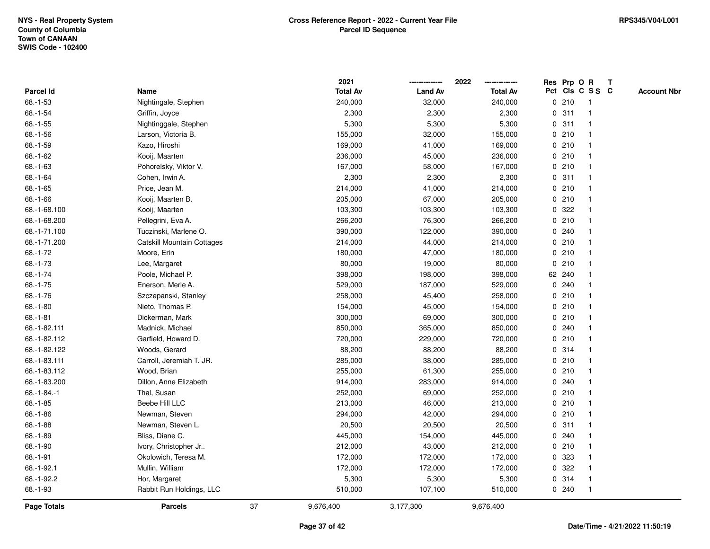|               |                            |    | 2021            |                | 2022            |             |        | Res Prp O R             | T |                    |
|---------------|----------------------------|----|-----------------|----------------|-----------------|-------------|--------|-------------------------|---|--------------------|
| Parcel Id     | Name                       |    | <b>Total Av</b> | <b>Land Av</b> | <b>Total Av</b> |             |        | Pct Cls C S S C         |   | <b>Account Nbr</b> |
| 68.-1-53      | Nightingale, Stephen       |    | 240,000         | 32,000         | 240,000         | 0           | 210    | $\mathbf{1}$            |   |                    |
| $68.-1-54$    | Griffin, Joyce             |    | 2,300           | 2,300          | 2,300           | 0           | 311    | -1                      |   |                    |
| $68.-1-55$    | Nightinggale, Stephen      |    | 5,300           | 5,300          | 5,300           |             | 0.311  | -1                      |   |                    |
| $68.-1-56$    | Larson, Victoria B.        |    | 155,000         | 32,000         | 155,000         |             | 0210   |                         |   |                    |
| 68.-1-59      | Kazo, Hiroshi              |    | 169,000         | 41,000         | 169,000         |             | 0210   |                         |   |                    |
| 68.-1-62      | Kooij, Maarten             |    | 236,000         | 45,000         | 236,000         |             | 0210   |                         |   |                    |
| 68.-1-63      | Pohorelsky, Viktor V.      |    | 167,000         | 58,000         | 167,000         |             | 0210   |                         |   |                    |
| $68.-1-64$    | Cohen, Irwin A.            |    | 2,300           | 2,300          | 2,300           | 0           | 311    | -1                      |   |                    |
| 68.-1-65      | Price, Jean M.             |    | 214,000         | 41,000         | 214,000         | 0           | 210    | -1                      |   |                    |
| $68.-1-66$    | Kooij, Maarten B.          |    | 205,000         | 67,000         | 205,000         |             | 0210   | -1                      |   |                    |
| 68.-1-68.100  | Kooij, Maarten             |    | 103,300         | 103,300        | 103,300         |             | 0.322  |                         |   |                    |
| 68.-1-68.200  | Pellegrini, Eva A.         |    | 266,200         | 76,300         | 266,200         |             | 0210   |                         |   |                    |
| 68.-1-71.100  | Tuczinski, Marlene O.      |    | 390,000         | 122,000        | 390,000         |             | 0.240  |                         |   |                    |
| 68.-1-71.200  | Catskill Mountain Cottages |    | 214,000         | 44,000         | 214,000         |             | 0210   |                         |   |                    |
| $68.-1-72$    | Moore, Erin                |    | 180,000         | 47,000         | 180,000         | $\mathbf 0$ | 210    |                         |   |                    |
| 68.-1-73      | Lee, Margaret              |    | 80,000          | 19,000         | 80,000          | $\mathbf 0$ | 210    | -1                      |   |                    |
| $68.-1-74$    | Poole, Michael P.          |    | 398,000         | 198,000        | 398,000         |             | 62 240 | $\mathbf{1}$            |   |                    |
| 68.-1-75      | Enerson, Merle A.          |    | 529,000         | 187,000        | 529,000         |             | 0.240  |                         |   |                    |
| $68.-1-76$    | Szczepanski, Stanley       |    | 258,000         | 45,400         | 258,000         |             | 0210   |                         |   |                    |
| $68.-1-80$    | Nieto, Thomas P.           |    | 154,000         | 45,000         | 154,000         |             | 0210   |                         |   |                    |
| $68.-1-81$    | Dickerman, Mark            |    | 300,000         | 69,000         | 300,000         |             | 0210   |                         |   |                    |
| 68.-1-82.111  | Madnick, Michael           |    | 850,000         | 365,000        | 850,000         |             | 0.240  |                         |   |                    |
| 68.-1-82.112  | Garfield, Howard D.        |    | 720,000         | 229,000        | 720,000         | 0           | 210    | -1                      |   |                    |
| 68.-1-82.122  | Woods, Gerard              |    | 88,200          | 88,200         | 88,200          |             | 0.314  | $\overline{\mathbf{1}}$ |   |                    |
| 68.-1-83.111  | Carroll, Jeremiah T. JR.   |    | 285,000         | 38,000         | 285,000         |             | 0210   |                         |   |                    |
| 68.-1-83.112  | Wood, Brian                |    | 255,000         | 61,300         | 255,000         |             | 0210   |                         |   |                    |
| 68.-1-83.200  | Dillon, Anne Elizabeth     |    | 914,000         | 283,000        | 914,000         |             | 0.240  |                         |   |                    |
| $68.-1-84.-1$ | Thal, Susan                |    | 252,000         | 69,000         | 252,000         |             | 0210   |                         |   |                    |
| $68.-1-85$    | Beebe Hill LLC             |    | 213,000         | 46,000         | 213,000         |             | 0210   |                         |   |                    |
| $68.-1-86$    | Newman, Steven             |    | 294,000         | 42,000         | 294,000         | 0           | 210    | -1                      |   |                    |
| 68.-1-88      | Newman, Steven L.          |    | 20,500          | 20,500         | 20,500          | 0           | 311    | -1                      |   |                    |
| 68.-1-89      | Bliss, Diane C.            |    | 445,000         | 154,000        | 445,000         |             | 0.240  | -1                      |   |                    |
| 68.-1-90      | Ivory, Christopher Jr      |    | 212,000         | 43,000         | 212,000         |             | 0210   |                         |   |                    |
| $68.-1-91$    | Okolowich, Teresa M.       |    | 172,000         | 172,000        | 172,000         |             | 0 323  |                         |   |                    |
| 68.-1-92.1    | Mullin, William            |    | 172,000         | 172,000        | 172,000         | 0           | 322    |                         |   |                    |
| 68.-1-92.2    | Hor, Margaret              |    | 5,300           | 5,300          | 5,300           |             | 0.314  | -1                      |   |                    |
| 68.-1-93      | Rabbit Run Holdings, LLC   |    | 510,000         | 107,100        | 510,000         |             | 0.240  | $\mathbf{1}$            |   |                    |
| Page Totals   | <b>Parcels</b>             | 37 | 9,676,400       | 3,177,300      | 9,676,400       |             |        |                         |   |                    |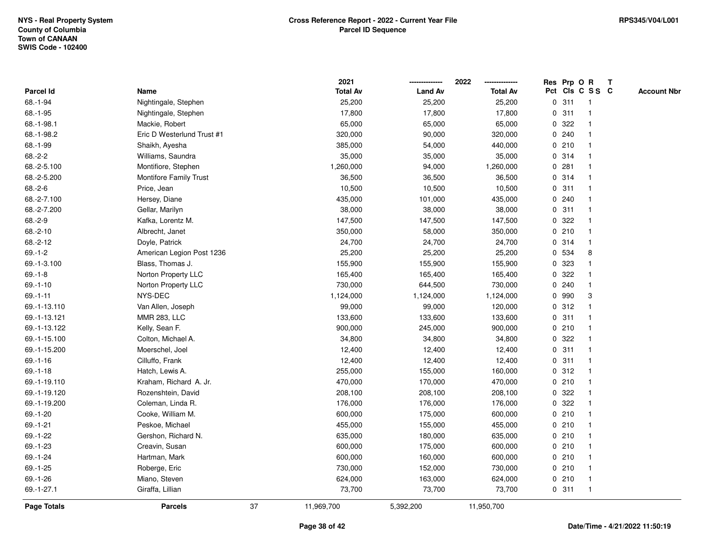|                    |                               |    | 2021            |                | 2022            |              |       | Res Prp O R     | T |                    |
|--------------------|-------------------------------|----|-----------------|----------------|-----------------|--------------|-------|-----------------|---|--------------------|
| Parcel Id          | Name                          |    | <b>Total Av</b> | <b>Land Av</b> | <b>Total Av</b> |              |       | Pct Cls C S S C |   | <b>Account Nbr</b> |
| 68.-1-94           | Nightingale, Stephen          |    | 25,200          | 25,200         | 25,200          | $\mathbf 0$  | 311   | $\mathbf{1}$    |   |                    |
| 68.-1-95           | Nightingale, Stephen          |    | 17,800          | 17,800         | 17,800          | 0            | 311   | $\mathbf{1}$    |   |                    |
| 68.-1-98.1         | Mackie, Robert                |    | 65,000          | 65,000         | 65,000          |              | 0.322 | $\mathbf 1$     |   |                    |
| 68.-1-98.2         | Eric D Westerlund Trust #1    |    | 320,000         | 90,000         | 320,000         |              | 0.240 |                 |   |                    |
| 68.-1-99           | Shaikh, Ayesha                |    | 385,000         | 54,000         | 440,000         |              | 0210  |                 |   |                    |
| $68.-2-2$          | Williams, Saundra             |    | 35,000          | 35,000         | 35,000          |              | 0.314 |                 |   |                    |
| 68.-2-5.100        | Montifiore, Stephen           |    | 1,260,000       | 94,000         | 1,260,000       |              | 0.281 |                 |   |                    |
| 68.-2-5.200        | <b>Montifore Family Trust</b> |    | 36,500          | 36,500         | 36,500          |              | 0.314 | $\mathbf{1}$    |   |                    |
| $68.-2-6$          | Price, Jean                   |    | 10,500          | 10,500         | 10,500          | $\mathbf 0$  | 311   | $\mathbf 1$     |   |                    |
| 68.-2-7.100        | Hersey, Diane                 |    | 435,000         | 101,000        | 435,000         |              | 0.240 | -1              |   |                    |
| 68.-2-7.200        | Gellar, Marilyn               |    | 38,000          | 38,000         | 38,000          |              | 0.311 |                 |   |                    |
| $68.-2-9$          | Kafka, Lorentz M.             |    | 147,500         | 147,500        | 147,500         |              | 0.322 |                 |   |                    |
| $68.-2-10$         | Albrecht, Janet               |    | 350,000         | 58,000         | 350,000         |              | 0210  |                 |   |                    |
| $68.-2-12$         | Doyle, Patrick                |    | 24,700          | 24,700         | 24,700          | 0            | 314   | $\mathbf{1}$    |   |                    |
| $69.-1-2$          | American Legion Post 1236     |    | 25,200          | 25,200         | 25,200          |              | 0 534 | 8               |   |                    |
| 69.-1-3.100        | Blass, Thomas J.              |    | 155,900         | 155,900        | 155,900         | 0            | 323   |                 |   |                    |
| $69.-1-8$          | Norton Property LLC           |    | 165,400         | 165,400        | 165,400         |              | 0.322 | 1               |   |                    |
| $69.-1-10$         | Norton Property LLC           |    | 730,000         | 644,500        | 730,000         |              | 0.240 |                 |   |                    |
| $69. - 1 - 11$     | NYS-DEC                       |    | 1,124,000       | 1,124,000      | 1,124,000       |              | 0 990 | 3               |   |                    |
| 69.-1-13.110       | Van Allen, Joseph             |    | 99,000          | 99,000         | 120,000         |              | 0.312 |                 |   |                    |
| 69.-1-13.121       | <b>MMR 283, LLC</b>           |    | 133,600         | 133,600        | 133,600         | 0            | 311   |                 |   |                    |
| 69.-1-13.122       | Kelly, Sean F.                |    | 900,000         | 245,000        | 900,000         |              | 0210  | -1              |   |                    |
| 69.-1-15.100       | Colton, Michael A.            |    | 34,800          | 34,800         | 34,800          | $\mathbf{0}$ | 322   | -1              |   |                    |
| 69.-1-15.200       | Moerschel, Joel               |    | 12,400          | 12,400         | 12,400          |              | 0.311 |                 |   |                    |
| $69. - 1 - 16$     | Cilluffo, Frank               |    | 12,400          | 12,400         | 12,400          |              | 0.311 |                 |   |                    |
| $69 - 1 - 18$      | Hatch, Lewis A.               |    | 255,000         | 155,000        | 160,000         |              | 0.312 |                 |   |                    |
| 69.-1-19.110       | Kraham, Richard A. Jr.        |    | 470,000         | 170,000        | 470,000         |              | 0210  |                 |   |                    |
| 69.-1-19.120       | Rozenshtein, David            |    | 208,100         | 208,100        | 208,100         | 0            | 322   |                 |   |                    |
| 69.-1-19.200       | Coleman, Linda R.             |    | 176,000         | 176,000        | 176,000         | 0            | 322   |                 |   |                    |
| 69.-1-20           | Cooke, William M.             |    | 600,000         | 175,000        | 600,000         |              | 0210  | $\overline{1}$  |   |                    |
| $69.-1-21$         | Peskoe, Michael               |    | 455,000         | 155,000        | 455,000         |              | 0210  |                 |   |                    |
| 69.-1-22           | Gershon, Richard N.           |    | 635,000         | 180,000        | 635,000         |              | 0210  |                 |   |                    |
| 69.-1-23           | Creavin, Susan                |    | 600,000         | 175,000        | 600,000         |              | 0210  |                 |   |                    |
| 69.-1-24           | Hartman, Mark                 |    | 600,000         | 160,000        | 600,000         |              | 0210  | -1              |   |                    |
| $69.-1-25$         | Roberge, Eric                 |    | 730,000         | 152,000        | 730,000         |              | 0210  | $\mathbf{1}$    |   |                    |
| $69.-1-26$         | Miano, Steven                 |    | 624,000         | 163,000        | 624,000         |              | 0210  | $\mathbf{1}$    |   |                    |
| 69.-1-27.1         | Giraffa, Lillian              |    | 73,700          | 73,700         | 73,700          |              | 0.311 | $\mathbf{1}$    |   |                    |
| <b>Page Totals</b> | <b>Parcels</b>                | 37 | 11,969,700      | 5,392,200      | 11,950,700      |              |       |                 |   |                    |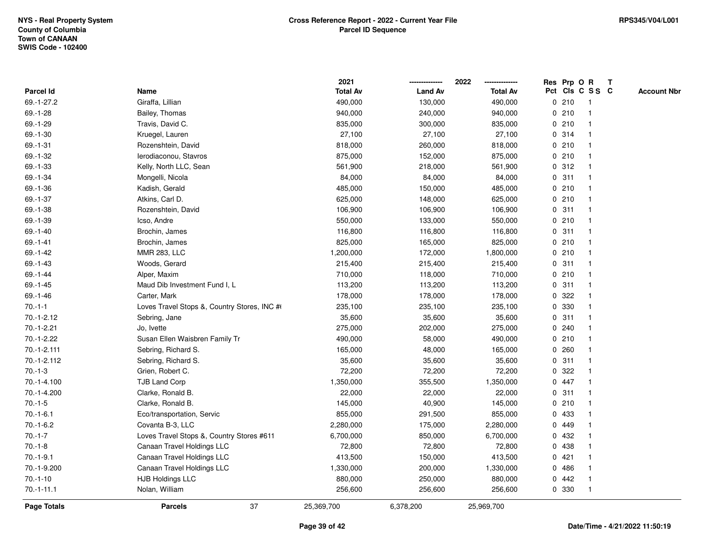|                    |                                             | 2021            |                | 2022            |   |       | Res Prp O R     | Т |                    |
|--------------------|---------------------------------------------|-----------------|----------------|-----------------|---|-------|-----------------|---|--------------------|
| Parcel Id          | Name                                        | <b>Total Av</b> | <b>Land Av</b> | <b>Total Av</b> |   |       | Pct Cls C S S C |   | <b>Account Nbr</b> |
| 69.-1-27.2         | Giraffa, Lillian                            | 490,000         | 130,000        | 490,000         |   | 0210  | $\mathbf{1}$    |   |                    |
| $69. - 1 - 28$     | Bailey, Thomas                              | 940,000         | 240,000        | 940,000         |   | 0210  | $\mathbf{1}$    |   |                    |
| $69.-1-29$         | Travis, David C.                            | 835,000         | 300,000        | 835,000         |   | 0210  | $\mathbf{1}$    |   |                    |
| $69.-1-30$         | Kruegel, Lauren                             | 27,100          | 27,100         | 27,100          |   | 0.314 | -1              |   |                    |
| 69.-1-31           | Rozenshtein, David                          | 818,000         | 260,000        | 818,000         |   | 0210  |                 |   |                    |
| 69.-1-32           | lerodiaconou, Stavros                       | 875,000         | 152,000        | 875,000         |   | 0210  | $\mathbf 1$     |   |                    |
| 69.-1-33           | Kelly, North LLC, Sean                      | 561,900         | 218,000        | 561,900         |   | 0.312 | $\mathbf{1}$    |   |                    |
| 69.-1-34           | Mongelli, Nicola                            | 84,000          | 84,000         | 84,000          | 0 | 311   | $\mathbf{1}$    |   |                    |
| 69.-1-36           | Kadish, Gerald                              | 485,000         | 150,000        | 485,000         |   | 0210  | $\mathbf{1}$    |   |                    |
| 69.-1-37           | Atkins, Carl D.                             | 625,000         | 148,000        | 625,000         |   | 0210  | $\mathbf{1}$    |   |                    |
| 69.-1-38           | Rozenshtein, David                          | 106,900         | 106,900        | 106,900         |   | 0.311 | $\mathbf 1$     |   |                    |
| 69.-1-39           | Icso, Andre                                 | 550,000         | 133,000        | 550,000         |   | 0210  | 1               |   |                    |
| $69.-1-40$         | Brochin, James                              | 116,800         | 116,800        | 116,800         |   | 0.311 |                 |   |                    |
| $69 - 1 - 41$      | Brochin, James                              | 825,000         | 165,000        | 825,000         |   | 0210  | $\mathbf 1$     |   |                    |
| $69 - 1 - 42$      | <b>MMR 283, LLC</b>                         | 1,200,000       | 172,000        | 1,800,000       |   | 0210  | $\mathbf{1}$    |   |                    |
| 69.-1-43           | Woods, Gerard                               | 215,400         | 215,400        | 215,400         | 0 | 311   | $\mathbf{1}$    |   |                    |
| 69.-1-44           | Alper, Maxim                                | 710,000         | 118,000        | 710,000         |   | 0210  | $\mathbf{1}$    |   |                    |
| $69. - 1 - 45$     | Maud Dib Investment Fund I, L               | 113,200         | 113,200        | 113,200         |   | 0.311 | $\mathbf{1}$    |   |                    |
| $69. - 1 - 46$     | Carter, Mark                                | 178,000         | 178,000        | 178,000         |   | 0.322 |                 |   |                    |
| $70.-1-1$          | Loves Travel Stops &, Country Stores, INC # | 235,100         | 235,100        | 235,100         |   | 0 330 |                 |   |                    |
| $70.-1-2.12$       | Sebring, Jane                               | 35,600          | 35,600         | 35,600          |   | 0.311 | $\mathbf{1}$    |   |                    |
| 70.-1-2.21         | Jo, Ivette                                  | 275,000         | 202,000        | 275,000         |   | 0240  | $\mathbf 1$     |   |                    |
| $70.-1-2.22$       | Susan Ellen Waisbren Family Tr              | 490,000         | 58,000         | 490,000         |   | 0210  | $\mathbf{1}$    |   |                    |
| 70.-1-2.111        | Sebring, Richard S.                         | 165,000         | 48,000         | 165,000         |   | 0.260 | $\mathbf{1}$    |   |                    |
| 70.-1-2.112        | Sebring, Richard S.                         | 35,600          | 35,600         | 35,600          |   | 0.311 | $\mathbf 1$     |   |                    |
| $70.-1-3$          | Grien, Robert C.                            | 72,200          | 72,200         | 72,200          |   | 0.322 | -1              |   |                    |
| 70.-1-4.100        | <b>TJB Land Corp</b>                        | 1,350,000       | 355,500        | 1,350,000       |   | 0 447 |                 |   |                    |
| 70.-1-4.200        | Clarke, Ronald B.                           | 22,000          | 22,000         | 22,000          |   | 0.311 | $\mathbf 1$     |   |                    |
| $70.-1-5$          | Clarke, Ronald B.                           | 145,000         | 40,900         | 145,000         |   | 0210  | $\mathbf{1}$    |   |                    |
| $70.-1-6.1$        | Eco/transportation, Servic                  | 855,000         | 291,500        | 855,000         | 0 | 433   | 1               |   |                    |
| $70.-1-6.2$        | Covanta B-3, LLC                            | 2,280,000       | 175,000        | 2,280,000       |   | 0 449 | $\mathbf{1}$    |   |                    |
| $70.-1-7$          | Loves Travel Stops &, Country Stores #611   | 6,700,000       | 850,000        | 6,700,000       |   | 0 432 | $\mathbf{1}$    |   |                    |
| $70.-1-8$          | Canaan Travel Holdings LLC                  | 72,800          | 72,800         | 72,800          |   | 0 438 | -1              |   |                    |
| $70.-1-9.1$        | Canaan Travel Holdings LLC                  | 413,500         | 150,000        | 413,500         |   | 0421  |                 |   |                    |
| 70.-1-9.200        | Canaan Travel Holdings LLC                  | 1,330,000       | 200,000        | 1,330,000       |   | 0486  | $\mathbf 1$     |   |                    |
| $70.-1-10$         | <b>HJB Holdings LLC</b>                     | 880,000         | 250,000        | 880,000         |   | 0442  | $\mathbf{1}$    |   |                    |
| $70.-1-11.1$       | Nolan, William                              | 256,600         | 256,600        | 256,600         |   | 0 330 | $\mathbf{1}$    |   |                    |
| <b>Page Totals</b> | 37<br><b>Parcels</b>                        | 25,369,700      | 6,378,200      | 25,969,700      |   |       |                 |   |                    |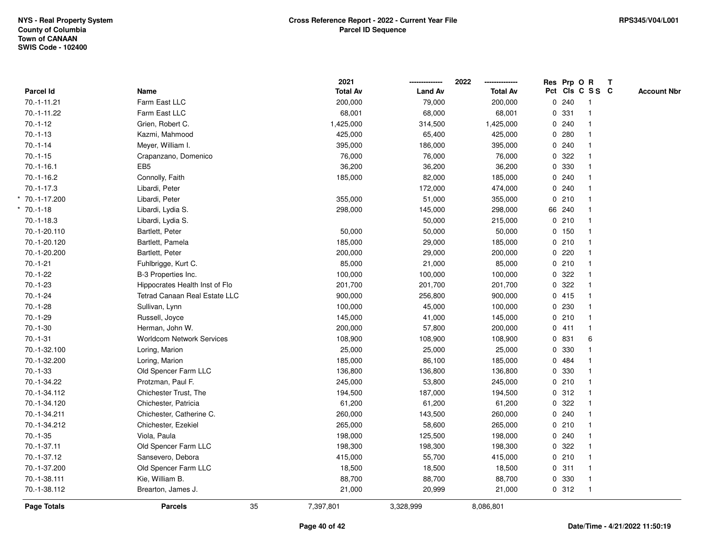|                  |                                  | 2021            |                | 2022<br>-------------- | Res Prp O R |                 | $\mathbf{T}$ |                    |
|------------------|----------------------------------|-----------------|----------------|------------------------|-------------|-----------------|--------------|--------------------|
| <b>Parcel Id</b> | Name                             | <b>Total Av</b> | <b>Land Av</b> | <b>Total Av</b>        |             | Pct Cls C S S C |              | <b>Account Nbr</b> |
| 70.-1-11.21      | Farm East LLC                    | 200,000         | 79,000         | 200,000                | 0.240       | $\overline{1}$  |              |                    |
| 70.-1-11.22      | Farm East LLC                    | 68,001          | 68,000         | 68,001                 | 0 331       | $\mathbf{1}$    |              |                    |
| $70.-1-12$       | Grien, Robert C.                 | 1,425,000       | 314,500        | 1,425,000              | 0.240       | $\mathbf{1}$    |              |                    |
| $70.-1-13$       | Kazmi, Mahmood                   | 425,000         | 65,400         | 425,000                | 0.280       | $\mathbf{1}$    |              |                    |
| $70.-1-14$       | Meyer, William I.                | 395,000         | 186,000        | 395,000                | 0.240       | 1               |              |                    |
| $70.-1-15$       | Crapanzano, Domenico             | 76,000          | 76,000         | 76,000                 | 0.322       | $\mathbf{1}$    |              |                    |
| $70.-1-16.1$     | EB <sub>5</sub>                  | 36,200          | 36,200         | 36,200                 | 0 330       | $\mathbf{1}$    |              |                    |
| $70.-1-16.2$     | Connolly, Faith                  | 185,000         | 82,000         | 185,000                | 0.240       | $\mathbf{1}$    |              |                    |
| $70.-1-17.3$     | Libardi, Peter                   |                 | 172,000        | 474,000                | 0.240       | $\mathbf{1}$    |              |                    |
| * 70.-1-17.200   | Libardi, Peter                   | 355,000         | 51,000         | 355,000                | 0210        | $\mathbf{1}$    |              |                    |
| $* 70.-1-18$     | Libardi, Lydia S.                | 298,000         | 145,000        | 298,000                | 66 240      | $\mathbf 1$     |              |                    |
| $70.-1-18.3$     | Libardi, Lydia S.                |                 | 50,000         | 215,000                | 0210        | 1               |              |                    |
| 70.-1-20.110     | Bartlett, Peter                  | 50,000          | 50,000         | 50,000                 | 0 150       | 1               |              |                    |
| 70.-1-20.120     | Bartlett, Pamela                 | 185,000         | 29,000         | 185,000                | 0210        | $\mathbf{1}$    |              |                    |
| 70.-1-20.200     | Bartlett, Peter                  | 200,000         | 29,000         | 200,000                | 0.220       | $\mathbf{1}$    |              |                    |
| $70.-1-21$       | Fuhlbrigge, Kurt C.              | 85,000          | 21,000         | 85,000                 | 0210        | $\mathbf{1}$    |              |                    |
| $70.-1-22$       | B-3 Properties Inc.              | 100,000         | 100,000        | 100,000                | 0.322       | $\mathbf{1}$    |              |                    |
| $70.-1-23$       | Hippocrates Health Inst of Flo   | 201,700         | 201,700        | 201,700                | 0 322       | $\mathbf{1}$    |              |                    |
| $70.-1-24$       | Tetrad Canaan Real Estate LLC    | 900,000         | 256,800        | 900,000                | 0415        | $\mathbf 1$     |              |                    |
| $70.-1-28$       | Sullivan, Lynn                   | 100,000         | 45,000         | 100,000                | 0.230       | $\mathbf{1}$    |              |                    |
| $70.-1-29$       | Russell, Joyce                   | 145,000         | 41,000         | 145,000                | 0210        | $\mathbf{1}$    |              |                    |
| $70.-1-30$       | Herman, John W.                  | 200,000         | 57,800         | 200,000                | 0411        | $\mathbf{1}$    |              |                    |
| $70.-1-31$       | <b>Worldcom Network Services</b> | 108,900         | 108,900        | 108,900                | 0 831       | 6               |              |                    |
| 70.-1-32.100     | Loring, Marion                   | 25,000          | 25,000         | 25,000                 | 0 330       | $\mathbf{1}$    |              |                    |
| 70.-1-32.200     | Loring, Marion                   | 185,000         | 86,100         | 185,000                | 0 484       | $\mathbf{1}$    |              |                    |
| $70.-1-33$       | Old Spencer Farm LLC             | 136,800         | 136,800        | 136,800                | 0 330       |                 |              |                    |
| 70.-1-34.22      | Protzman, Paul F.                | 245,000         | 53,800         | 245,000                | 0210        | 1               |              |                    |
| 70.-1-34.112     | Chichester Trust, The            | 194,500         | 187,000        | 194,500                | 0.312       | $\mathbf{1}$    |              |                    |
| 70.-1-34.120     | Chichester, Patricia             | 61,200          | 61,200         | 61,200                 | 0.322       | $\mathbf{1}$    |              |                    |
| 70.-1-34.211     | Chichester, Catherine C.         | 260,000         | 143,500        | 260,000                | 0.240       | $\mathbf{1}$    |              |                    |
| 70.-1-34.212     | Chichester, Ezekiel              | 265,000         | 58,600         | 265,000                | 0210        | $\mathbf{1}$    |              |                    |
| $70.-1-35$       | Viola, Paula                     | 198,000         | 125,500        | 198,000                | 0.240       | $\mathbf{1}$    |              |                    |
| 70.-1-37.11      | Old Spencer Farm LLC             | 198,300         | 198,300        | 198,300                | 0.322       | $\mathbf{1}$    |              |                    |
| 70.-1-37.12      | Sansevero, Debora                | 415,000         | 55,700         | 415,000                | 0210        | $\mathbf{1}$    |              |                    |
| 70.-1-37.200     | Old Spencer Farm LLC             | 18,500          | 18,500         | 18,500                 | 0.311       | $\mathbf{1}$    |              |                    |
| 70.-1-38.111     | Kie, William B.                  | 88,700          | 88,700         | 88,700                 | 0 330       | $\mathbf{1}$    |              |                    |
| 70.-1-38.112     | Brearton, James J.               | 21,000          | 20,999         | 21,000                 | 0.312       | $\mathbf{1}$    |              |                    |
| Page Totals      | 35<br><b>Parcels</b>             | 7,397,801       | 3,328,999      | 8,086,801              |             |                 |              |                    |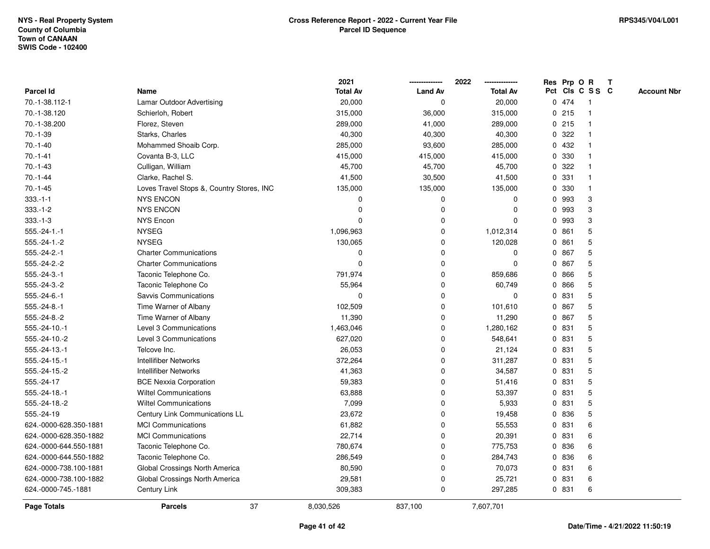|                        |                                           | 2021            |                | 2022            |              |       | Res Prp O R     | T |                    |
|------------------------|-------------------------------------------|-----------------|----------------|-----------------|--------------|-------|-----------------|---|--------------------|
| Parcel Id              | Name                                      | <b>Total Av</b> | <b>Land Av</b> | <b>Total Av</b> |              |       | Pct Cls C S S C |   | <b>Account Nbr</b> |
| 70.-1-38.112-1         | Lamar Outdoor Advertising                 | 20,000          | 0              | 20,000          |              | 0 474 | -1              |   |                    |
| 70.-1-38.120           | Schierloh, Robert                         | 315,000         | 36,000         | 315,000         | $\mathbf{0}$ | 215   | -1              |   |                    |
| 70.-1-38.200           | Florez, Steven                            | 289,000         | 41,000         | 289,000         |              | 0.215 | $\overline{1}$  |   |                    |
| $70.-1-39$             | Starks, Charles                           | 40,300          | 40,300         | 40,300          |              | 0.322 |                 |   |                    |
| $70.-1-40$             | Mohammed Shoaib Corp.                     | 285,000         | 93,600         | 285,000         |              | 0 432 |                 |   |                    |
| $70.-1-41$             | Covanta B-3, LLC                          | 415,000         | 415,000        | 415,000         | $\mathbf{0}$ | 330   |                 |   |                    |
| $70.-1-43$             | Culligan, William                         | 45,700          | 45,700         | 45,700          |              | 0.322 |                 |   |                    |
| $70.-1-44$             | Clarke, Rachel S.                         | 41,500          | 30,500         | 41,500          | 0            | 331   | $\mathbf{1}$    |   |                    |
| $70.-1-45$             | Loves Travel Stops &, Country Stores, INC | 135,000         | 135,000        | 135,000         | $\mathbf{0}$ | 330   | -1              |   |                    |
| $333.-1-1$             | <b>NYS ENCON</b>                          | 0               | $\mathbf 0$    | 0               | $\mathbf{0}$ | 993   | 3               |   |                    |
| $333.-1-2$             | <b>NYS ENCON</b>                          | $\Omega$        | 0              | 0               | $\mathbf 0$  | 993   | 3               |   |                    |
| $333.-1-3$             | <b>NYS Encon</b>                          | $\Omega$        | $\mathbf 0$    | $\Omega$        | $\mathbf{0}$ | 993   | 3               |   |                    |
| $555.-24-1.-1$         | <b>NYSEG</b>                              | 1,096,963       | 0              | 1,012,314       | $\mathbf{0}$ | 861   | 5               |   |                    |
| $555.-24-1.-2$         | <b>NYSEG</b>                              | 130,065         | 0              | 120,028         |              | 0861  | 5               |   |                    |
| $555.-24-2.-1$         | <b>Charter Communications</b>             | $\Omega$        | 0              | $\Omega$        | 0            | 867   | 5               |   |                    |
| 555.-24-2.-2           | <b>Charter Communications</b>             | $\Omega$        | $\mathbf{0}$   | 0               | $\mathbf{0}$ | 867   | 5               |   |                    |
| $555.-24-3.-1$         | Taconic Telephone Co.                     | 791,974         | $\mathbf 0$    | 859,686         | $\mathbf 0$  | 866   | 5               |   |                    |
| $555.-24-3.-2$         | Taconic Telephone Co                      | 55,964          | 0              | 60,749          | $\mathbf{0}$ | 866   | 5               |   |                    |
| $555.-24-6.-1$         | Savvis Communications                     | $\Omega$        | $\mathbf 0$    | 0               |              | 0 831 | 5               |   |                    |
| $555.-24-8.-1$         | Time Warner of Albany                     | 102,509         | $\mathbf 0$    | 101,610         | $\mathbf{0}$ | 867   | 5               |   |                    |
| 555.-24-8.-2           | Time Warner of Albany                     | 11,390          | 0              | 11,290          |              | 0 867 | 5               |   |                    |
| 555.-24-10.-1          | Level 3 Communications                    | 1,463,046       | 0              | 1,280,162       | $\mathbf{0}$ | 831   | 5               |   |                    |
| 555.-24-10.-2          | Level 3 Communications                    | 627,020         | 0              | 548,641         |              | 0 831 | 5               |   |                    |
| 555.-24-13.-1          | Telcove Inc.                              | 26,053          | $\mathbf 0$    | 21,124          | $\mathbf{0}$ | 831   | 5               |   |                    |
| $555.-24-15.-1$        | <b>Intellifiber Networks</b>              | 372,264         | $\mathbf 0$    | 311,287         |              | 0 831 | 5               |   |                    |
| 555.-24-15.-2          | <b>Intellifiber Networks</b>              | 41,363          | $\mathbf 0$    | 34,587          |              | 0 831 | 5               |   |                    |
| 555.-24-17             | <b>BCE Nexxia Corporation</b>             | 59,383          | 0              | 51,416          |              | 0 831 | 5               |   |                    |
| 555.-24-18.-1          | <b>Wiltel Communications</b>              | 63,888          | $\mathbf 0$    | 53,397          |              | 0 831 | 5               |   |                    |
| 555.-24-18.-2          | <b>Wiltel Communications</b>              | 7,099           | $\mathbf 0$    | 5,933           | 0            | 831   | 5               |   |                    |
| 555.-24-19             | Century Link Communications LL            | 23,672          | $\mathbf 0$    | 19,458          | $\mathbf 0$  | 836   | 5               |   |                    |
| 624.-0000-628.350-1881 | <b>MCI Communications</b>                 | 61,882          | 0              | 55,553          | $\mathbf{0}$ | 831   | 6               |   |                    |
| 624.-0000-628.350-1882 | <b>MCI Communications</b>                 | 22,714          | 0              | 20,391          |              | 0 831 | 6               |   |                    |
| 624.-0000-644.550-1881 | Taconic Telephone Co.                     | 780,674         | $\mathbf 0$    | 775,753         |              | 0 836 | 6               |   |                    |
| 624.-0000-644.550-1882 | Taconic Telephone Co.                     | 286,549         | $\mathbf 0$    | 284,743         |              | 0 836 | 6               |   |                    |
| 624.-0000-738.100-1881 | Global Crossings North America            | 80,590          | 0              | 70,073          |              | 0 831 | 6               |   |                    |
| 624.-0000-738.100-1882 | Global Crossings North America            | 29,581          | 0              | 25,721          | $\mathbf{0}$ | 831   | 6               |   |                    |
| 624.-0000-745.-1881    | Century Link                              | 309,383         | $\mathbf 0$    | 297,285         |              | 0 831 | 6               |   |                    |
| <b>Page Totals</b>     | 37<br><b>Parcels</b>                      | 8,030,526       | 837,100        | 7,607,701       |              |       |                 |   |                    |